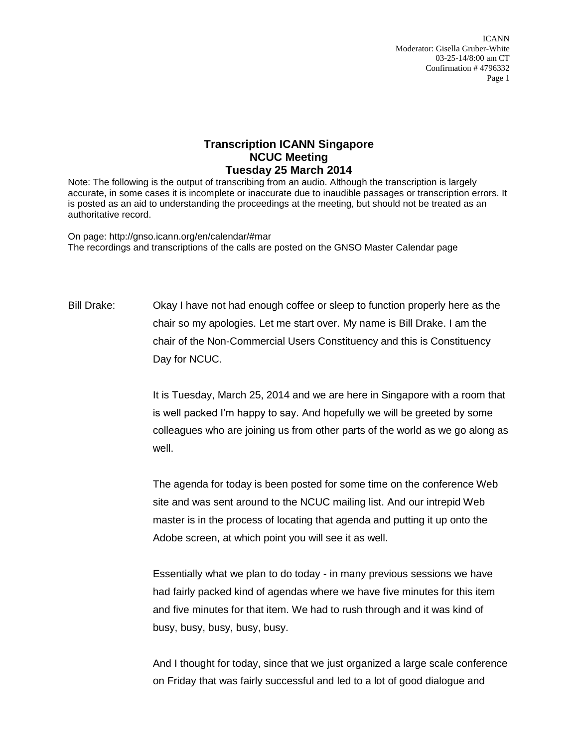ICANN Moderator: Gisella Gruber-White 03-25-14/8:00 am CT Confirmation # 4796332 Page 1

## **Transcription ICANN Singapore NCUC Meeting Tuesday 25 March 2014**

Note: The following is the output of transcribing from an audio. Although the transcription is largely accurate, in some cases it is incomplete or inaccurate due to inaudible passages or transcription errors. It is posted as an aid to understanding the proceedings at the meeting, but should not be treated as an authoritative record.

On page: http://gnso.icann.org/en/calendar/#mar The recordings and transcriptions of the calls are posted on the GNSO Master Calendar page

Bill Drake: Okay I have not had enough coffee or sleep to function properly here as the chair so my apologies. Let me start over. My name is Bill Drake. I am the chair of the Non-Commercial Users Constituency and this is Constituency Day for NCUC.

> It is Tuesday, March 25, 2014 and we are here in Singapore with a room that is well packed I'm happy to say. And hopefully we will be greeted by some colleagues who are joining us from other parts of the world as we go along as well.

The agenda for today is been posted for some time on the conference Web site and was sent around to the NCUC mailing list. And our intrepid Web master is in the process of locating that agenda and putting it up onto the Adobe screen, at which point you will see it as well.

Essentially what we plan to do today - in many previous sessions we have had fairly packed kind of agendas where we have five minutes for this item and five minutes for that item. We had to rush through and it was kind of busy, busy, busy, busy, busy.

And I thought for today, since that we just organized a large scale conference on Friday that was fairly successful and led to a lot of good dialogue and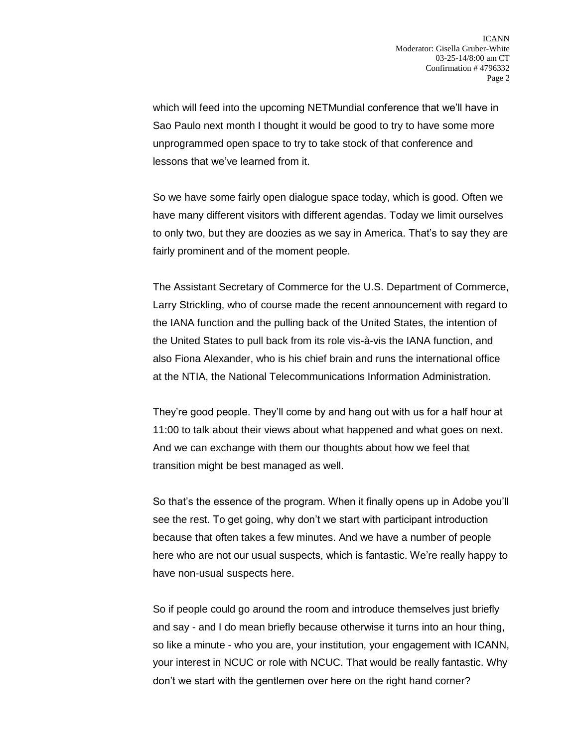which will feed into the upcoming NETMundial conference that we'll have in Sao Paulo next month I thought it would be good to try to have some more unprogrammed open space to try to take stock of that conference and lessons that we've learned from it.

So we have some fairly open dialogue space today, which is good. Often we have many different visitors with different agendas. Today we limit ourselves to only two, but they are doozies as we say in America. That's to say they are fairly prominent and of the moment people.

The Assistant Secretary of Commerce for the U.S. Department of Commerce, Larry Strickling, who of course made the recent announcement with regard to the IANA function and the pulling back of the United States, the intention of the United States to pull back from its role vis-à-vis the IANA function, and also Fiona Alexander, who is his chief brain and runs the international office at the NTIA, the National Telecommunications Information Administration.

They're good people. They'll come by and hang out with us for a half hour at 11:00 to talk about their views about what happened and what goes on next. And we can exchange with them our thoughts about how we feel that transition might be best managed as well.

So that's the essence of the program. When it finally opens up in Adobe you'll see the rest. To get going, why don't we start with participant introduction because that often takes a few minutes. And we have a number of people here who are not our usual suspects, which is fantastic. We're really happy to have non-usual suspects here.

So if people could go around the room and introduce themselves just briefly and say - and I do mean briefly because otherwise it turns into an hour thing, so like a minute - who you are, your institution, your engagement with ICANN, your interest in NCUC or role with NCUC. That would be really fantastic. Why don't we start with the gentlemen over here on the right hand corner?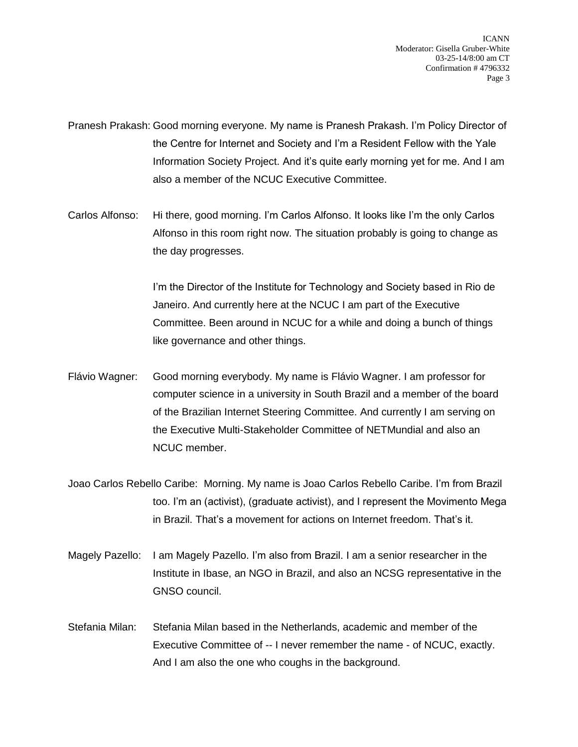ICANN Moderator: Gisella Gruber-White 03-25-14/8:00 am CT Confirmation # 4796332 Page 3

Pranesh Prakash: Good morning everyone. My name is Pranesh Prakash. I'm Policy Director of the Centre for Internet and Society and I'm a Resident Fellow with the Yale Information Society Project. And it's quite early morning yet for me. And I am also a member of the NCUC Executive Committee.

Carlos Alfonso: Hi there, good morning. I'm Carlos Alfonso. It looks like I'm the only Carlos Alfonso in this room right now. The situation probably is going to change as the day progresses.

> I'm the Director of the Institute for Technology and Society based in Rio de Janeiro. And currently here at the NCUC I am part of the Executive Committee. Been around in NCUC for a while and doing a bunch of things like governance and other things.

- Flávio Wagner: Good morning everybody. My name is Flávio Wagner. I am professor for computer science in a university in South Brazil and a member of the board of the Brazilian Internet Steering Committee. And currently I am serving on the Executive Multi-Stakeholder Committee of NETMundial and also an NCUC member.
- Joao Carlos Rebello Caribe: Morning. My name is Joao Carlos Rebello Caribe. I'm from Brazil too. I'm an (activist), (graduate activist), and I represent the Movimento Mega in Brazil. That's a movement for actions on Internet freedom. That's it.
- Magely Pazello: I am Magely Pazello. I'm also from Brazil. I am a senior researcher in the Institute in Ibase, an NGO in Brazil, and also an NCSG representative in the GNSO council.
- Stefania Milan: Stefania Milan based in the Netherlands, academic and member of the Executive Committee of -- I never remember the name - of NCUC, exactly. And I am also the one who coughs in the background.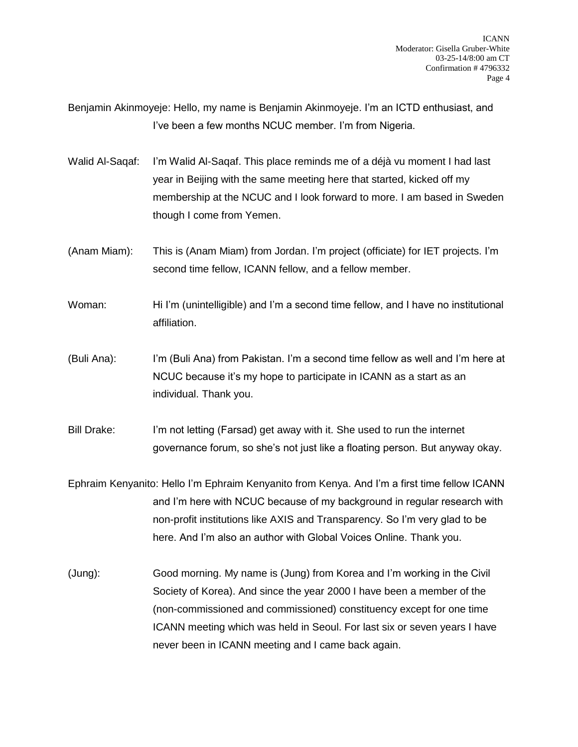Benjamin Akinmoyeje: Hello, my name is Benjamin Akinmoyeje. I'm an ICTD enthusiast, and I've been a few months NCUC member. I'm from Nigeria.

- Walid Al-Saqaf: I'm Walid Al-Saqaf. This place reminds me of a déjà vu moment I had last year in Beijing with the same meeting here that started, kicked off my membership at the NCUC and I look forward to more. I am based in Sweden though I come from Yemen.
- (Anam Miam): This is (Anam Miam) from Jordan. I'm project (officiate) for IET projects. I'm second time fellow, ICANN fellow, and a fellow member.
- Woman: Hi I'm (unintelligible) and I'm a second time fellow, and I have no institutional affiliation.
- (Buli Ana): I'm (Buli Ana) from Pakistan. I'm a second time fellow as well and I'm here at NCUC because it's my hope to participate in ICANN as a start as an individual. Thank you.
- Bill Drake: I'm not letting (Farsad) get away with it. She used to run the internet governance forum, so she's not just like a floating person. But anyway okay.
- Ephraim Kenyanito: Hello I'm Ephraim Kenyanito from Kenya. And I'm a first time fellow ICANN and I'm here with NCUC because of my background in regular research with non-profit institutions like AXIS and Transparency. So I'm very glad to be here. And I'm also an author with Global Voices Online. Thank you.
- (Jung): Good morning. My name is (Jung) from Korea and I'm working in the Civil Society of Korea). And since the year 2000 I have been a member of the (non-commissioned and commissioned) constituency except for one time ICANN meeting which was held in Seoul. For last six or seven years I have never been in ICANN meeting and I came back again.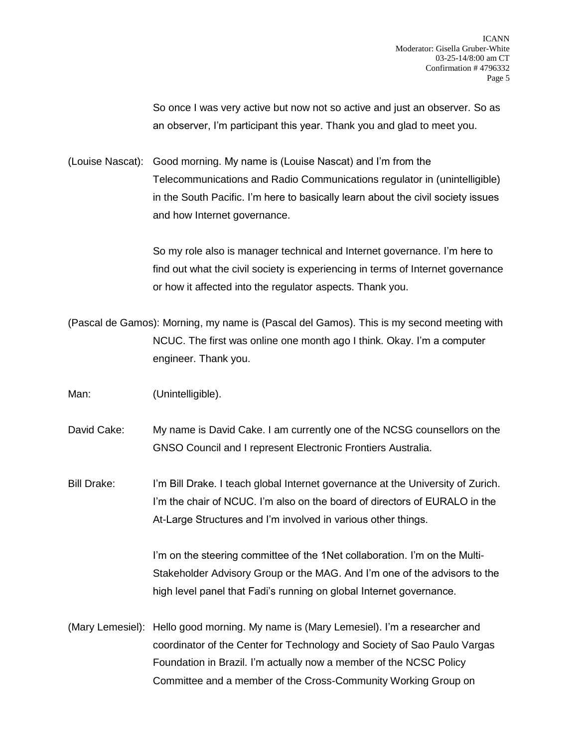So once I was very active but now not so active and just an observer. So as an observer, I'm participant this year. Thank you and glad to meet you.

(Louise Nascat): Good morning. My name is (Louise Nascat) and I'm from the Telecommunications and Radio Communications regulator in (unintelligible) in the South Pacific. I'm here to basically learn about the civil society issues and how Internet governance.

> So my role also is manager technical and Internet governance. I'm here to find out what the civil society is experiencing in terms of Internet governance or how it affected into the regulator aspects. Thank you.

(Pascal de Gamos): Morning, my name is (Pascal del Gamos). This is my second meeting with NCUC. The first was online one month ago I think. Okay. I'm a computer engineer. Thank you.

Man: (Unintelligible).

David Cake: My name is David Cake. I am currently one of the NCSG counsellors on the GNSO Council and I represent Electronic Frontiers Australia.

Bill Drake: I'm Bill Drake. I teach global Internet governance at the University of Zurich. I'm the chair of NCUC. I'm also on the board of directors of EURALO in the At-Large Structures and I'm involved in various other things.

> I'm on the steering committee of the 1Net collaboration. I'm on the Multi-Stakeholder Advisory Group or the MAG. And I'm one of the advisors to the high level panel that Fadi's running on global Internet governance.

(Mary Lemesiel): Hello good morning. My name is (Mary Lemesiel). I'm a researcher and coordinator of the Center for Technology and Society of Sao Paulo Vargas Foundation in Brazil. I'm actually now a member of the NCSC Policy Committee and a member of the Cross-Community Working Group on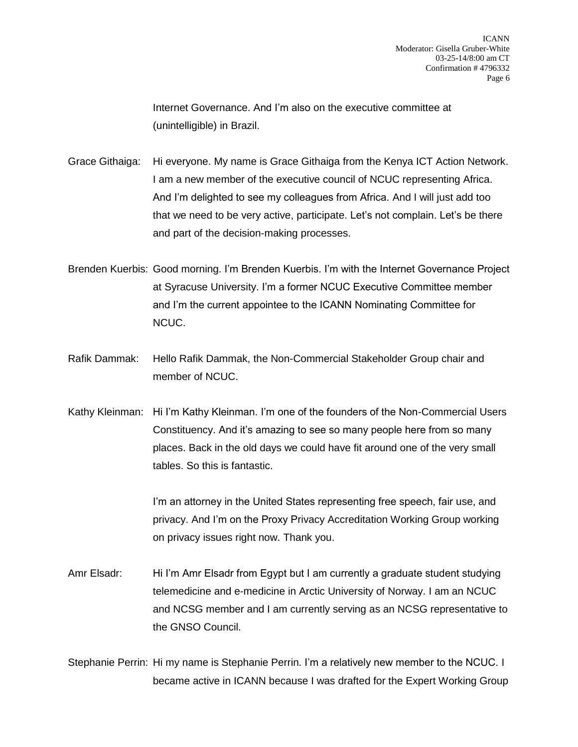Internet Governance. And I'm also on the executive committee at (unintelligible) in Brazil.

Grace Githaiga: Hi everyone. My name is Grace Githaiga from the Kenya ICT Action Network. I am a new member of the executive council of NCUC representing Africa. And I'm delighted to see my colleagues from Africa. And I will just add too that we need to be very active, participate. Let's not complain. Let's be there and part of the decision-making processes.

Brenden Kuerbis: Good morning. I'm Brenden Kuerbis. I'm with the Internet Governance Project at Syracuse University. I'm a former NCUC Executive Committee member and I'm the current appointee to the ICANN Nominating Committee for NCUC.

Rafik Dammak: Hello Rafik Dammak, the Non-Commercial Stakeholder Group chair and member of NCUC.

Kathy Kleinman: Hi I'm Kathy Kleinman. I'm one of the founders of the Non-Commercial Users Constituency. And it's amazing to see so many people here from so many places. Back in the old days we could have fit around one of the very small tables. So this is fantastic.

> I'm an attorney in the United States representing free speech, fair use, and privacy. And I'm on the Proxy Privacy Accreditation Working Group working on privacy issues right now. Thank you.

Amr Elsadr: Hi I'm Amr Elsadr from Egypt but I am currently a graduate student studying telemedicine and e-medicine in Arctic University of Norway. I am an NCUC and NCSG member and I am currently serving as an NCSG representative to the GNSO Council.

Stephanie Perrin: Hi my name is Stephanie Perrin. I'm a relatively new member to the NCUC. I became active in ICANN because I was drafted for the Expert Working Group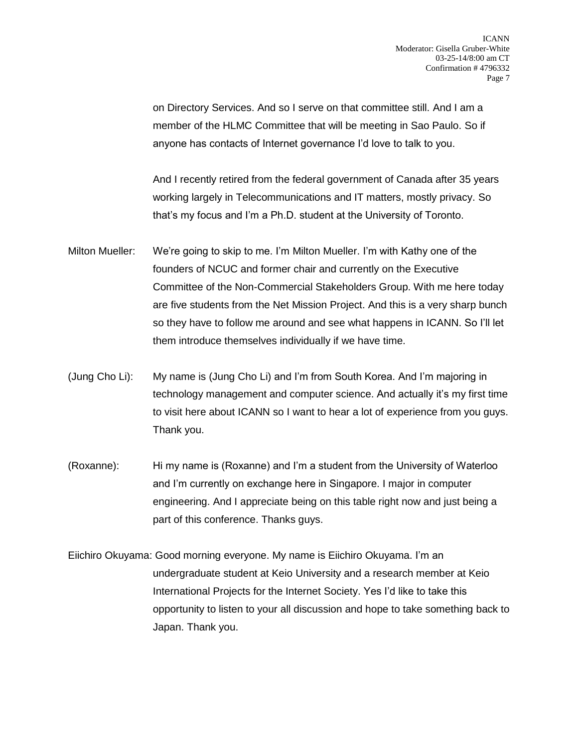on Directory Services. And so I serve on that committee still. And I am a member of the HLMC Committee that will be meeting in Sao Paulo. So if anyone has contacts of Internet governance I'd love to talk to you.

And I recently retired from the federal government of Canada after 35 years working largely in Telecommunications and IT matters, mostly privacy. So that's my focus and I'm a Ph.D. student at the University of Toronto.

- Milton Mueller: We're going to skip to me. I'm Milton Mueller. I'm with Kathy one of the founders of NCUC and former chair and currently on the Executive Committee of the Non-Commercial Stakeholders Group. With me here today are five students from the Net Mission Project. And this is a very sharp bunch so they have to follow me around and see what happens in ICANN. So I'll let them introduce themselves individually if we have time.
- (Jung Cho Li): My name is (Jung Cho Li) and I'm from South Korea. And I'm majoring in technology management and computer science. And actually it's my first time to visit here about ICANN so I want to hear a lot of experience from you guys. Thank you.
- (Roxanne): Hi my name is (Roxanne) and I'm a student from the University of Waterloo and I'm currently on exchange here in Singapore. I major in computer engineering. And I appreciate being on this table right now and just being a part of this conference. Thanks guys.
- Eiichiro Okuyama: Good morning everyone. My name is Eiichiro Okuyama. I'm an undergraduate student at Keio University and a research member at Keio International Projects for the Internet Society. Yes I'd like to take this opportunity to listen to your all discussion and hope to take something back to Japan. Thank you.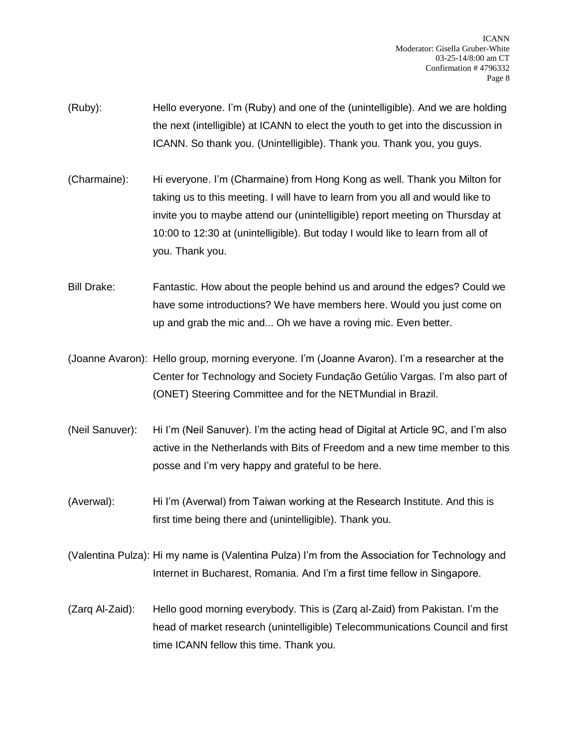- (Ruby): Hello everyone. I'm (Ruby) and one of the (unintelligible). And we are holding the next (intelligible) at ICANN to elect the youth to get into the discussion in ICANN. So thank you. (Unintelligible). Thank you. Thank you, you guys.
- (Charmaine): Hi everyone. I'm (Charmaine) from Hong Kong as well. Thank you Milton for taking us to this meeting. I will have to learn from you all and would like to invite you to maybe attend our (unintelligible) report meeting on Thursday at 10:00 to 12:30 at (unintelligible). But today I would like to learn from all of you. Thank you.

Bill Drake: Fantastic. How about the people behind us and around the edges? Could we have some introductions? We have members here. Would you just come on up and grab the mic and... Oh we have a roving mic. Even better.

- (Joanne Avaron): Hello group, morning everyone. I'm (Joanne Avaron). I'm a researcher at the Center for Technology and Society Fundação Getúlio Vargas. I'm also part of (ONET) Steering Committee and for the NETMundial in Brazil.
- (Neil Sanuver): Hi I'm (Neil Sanuver). I'm the acting head of Digital at Article 9C, and I'm also active in the Netherlands with Bits of Freedom and a new time member to this posse and I'm very happy and grateful to be here.
- (Averwal): Hi I'm (Averwal) from Taiwan working at the Research Institute. And this is first time being there and (unintelligible). Thank you.
- (Valentina Pulza): Hi my name is (Valentina Pulza) I'm from the Association for Technology and Internet in Bucharest, Romania. And I'm a first time fellow in Singapore.
- (Zarq Al-Zaid): Hello good morning everybody. This is (Zarq al-Zaid) from Pakistan. I'm the head of market research (unintelligible) Telecommunications Council and first time ICANN fellow this time. Thank you.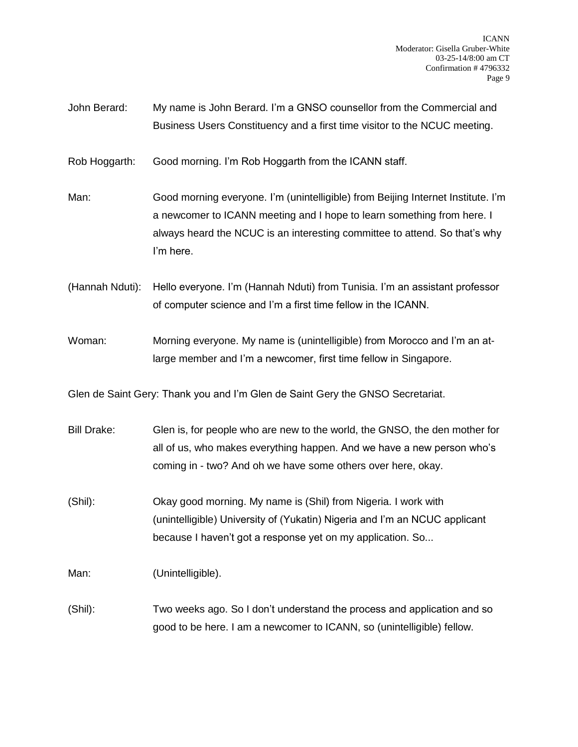John Berard: My name is John Berard. I'm a GNSO counsellor from the Commercial and Business Users Constituency and a first time visitor to the NCUC meeting.

Rob Hoggarth: Good morning. I'm Rob Hoggarth from the ICANN staff.

Man: Good morning everyone. I'm (unintelligible) from Beijing Internet Institute. I'm a newcomer to ICANN meeting and I hope to learn something from here. I always heard the NCUC is an interesting committee to attend. So that's why I'm here.

(Hannah Nduti): Hello everyone. I'm (Hannah Nduti) from Tunisia. I'm an assistant professor of computer science and I'm a first time fellow in the ICANN.

Woman: Morning everyone. My name is (unintelligible) from Morocco and I'm an atlarge member and I'm a newcomer, first time fellow in Singapore.

Glen de Saint Gery: Thank you and I'm Glen de Saint Gery the GNSO Secretariat.

- Bill Drake: Glen is, for people who are new to the world, the GNSO, the den mother for all of us, who makes everything happen. And we have a new person who's coming in - two? And oh we have some others over here, okay.
- (Shil): Okay good morning. My name is (Shil) from Nigeria. I work with (unintelligible) University of (Yukatin) Nigeria and I'm an NCUC applicant because I haven't got a response yet on my application. So...

Man: (Unintelligible).

(Shil): Two weeks ago. So I don't understand the process and application and so good to be here. I am a newcomer to ICANN, so (unintelligible) fellow.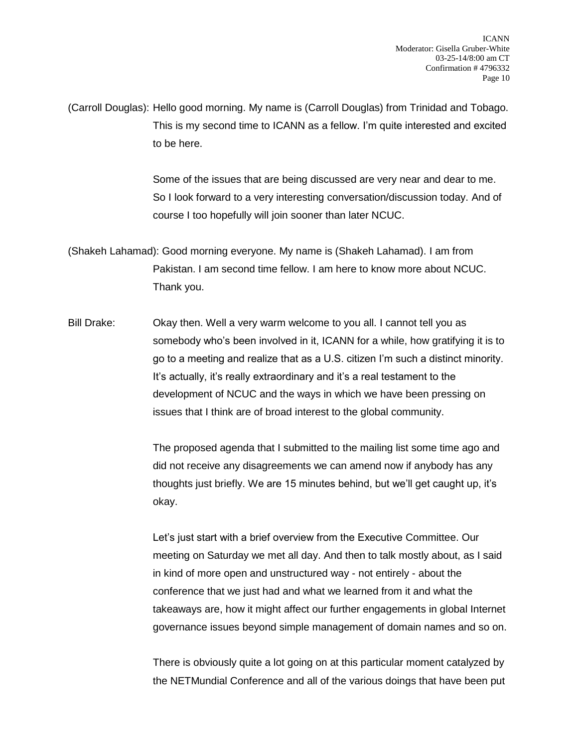(Carroll Douglas): Hello good morning. My name is (Carroll Douglas) from Trinidad and Tobago. This is my second time to ICANN as a fellow. I'm quite interested and excited to be here.

> Some of the issues that are being discussed are very near and dear to me. So I look forward to a very interesting conversation/discussion today. And of course I too hopefully will join sooner than later NCUC.

(Shakeh Lahamad): Good morning everyone. My name is (Shakeh Lahamad). I am from Pakistan. I am second time fellow. I am here to know more about NCUC. Thank you.

Bill Drake: Okay then. Well a very warm welcome to you all. I cannot tell you as somebody who's been involved in it, ICANN for a while, how gratifying it is to go to a meeting and realize that as a U.S. citizen I'm such a distinct minority. It's actually, it's really extraordinary and it's a real testament to the development of NCUC and the ways in which we have been pressing on issues that I think are of broad interest to the global community.

> The proposed agenda that I submitted to the mailing list some time ago and did not receive any disagreements we can amend now if anybody has any thoughts just briefly. We are 15 minutes behind, but we'll get caught up, it's okay.

Let's just start with a brief overview from the Executive Committee. Our meeting on Saturday we met all day. And then to talk mostly about, as I said in kind of more open and unstructured way - not entirely - about the conference that we just had and what we learned from it and what the takeaways are, how it might affect our further engagements in global Internet governance issues beyond simple management of domain names and so on.

There is obviously quite a lot going on at this particular moment catalyzed by the NETMundial Conference and all of the various doings that have been put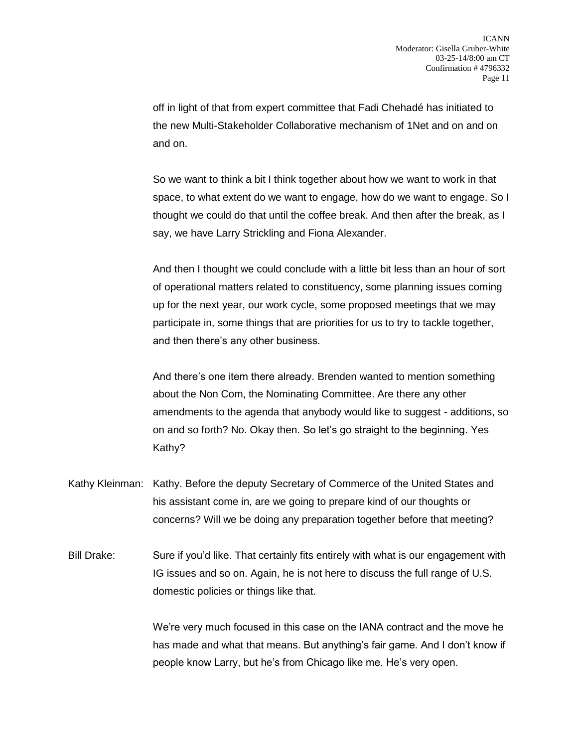off in light of that from expert committee that Fadi Chehadé has initiated to the new Multi-Stakeholder Collaborative mechanism of 1Net and on and on and on.

So we want to think a bit I think together about how we want to work in that space, to what extent do we want to engage, how do we want to engage. So I thought we could do that until the coffee break. And then after the break, as I say, we have Larry Strickling and Fiona Alexander.

And then I thought we could conclude with a little bit less than an hour of sort of operational matters related to constituency, some planning issues coming up for the next year, our work cycle, some proposed meetings that we may participate in, some things that are priorities for us to try to tackle together, and then there's any other business.

And there's one item there already. Brenden wanted to mention something about the Non Com, the Nominating Committee. Are there any other amendments to the agenda that anybody would like to suggest - additions, so on and so forth? No. Okay then. So let's go straight to the beginning. Yes Kathy?

- Kathy Kleinman: Kathy. Before the deputy Secretary of Commerce of the United States and his assistant come in, are we going to prepare kind of our thoughts or concerns? Will we be doing any preparation together before that meeting?
- Bill Drake: Sure if you'd like. That certainly fits entirely with what is our engagement with IG issues and so on. Again, he is not here to discuss the full range of U.S. domestic policies or things like that.

We're very much focused in this case on the IANA contract and the move he has made and what that means. But anything's fair game. And I don't know if people know Larry, but he's from Chicago like me. He's very open.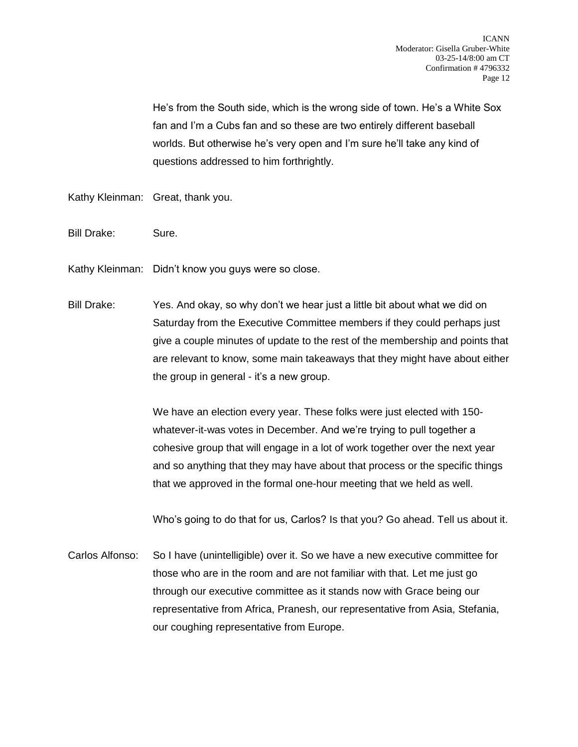He's from the South side, which is the wrong side of town. He's a White Sox fan and I'm a Cubs fan and so these are two entirely different baseball worlds. But otherwise he's very open and I'm sure he'll take any kind of questions addressed to him forthrightly.

Kathy Kleinman: Great, thank you.

- Bill Drake: Sure.
- Kathy Kleinman: Didn't know you guys were so close.
- Bill Drake: Yes. And okay, so why don't we hear just a little bit about what we did on Saturday from the Executive Committee members if they could perhaps just give a couple minutes of update to the rest of the membership and points that are relevant to know, some main takeaways that they might have about either the group in general - it's a new group.

We have an election every year. These folks were just elected with 150 whatever-it-was votes in December. And we're trying to pull together a cohesive group that will engage in a lot of work together over the next year and so anything that they may have about that process or the specific things that we approved in the formal one-hour meeting that we held as well.

Who's going to do that for us, Carlos? Is that you? Go ahead. Tell us about it.

Carlos Alfonso: So I have (unintelligible) over it. So we have a new executive committee for those who are in the room and are not familiar with that. Let me just go through our executive committee as it stands now with Grace being our representative from Africa, Pranesh, our representative from Asia, Stefania, our coughing representative from Europe.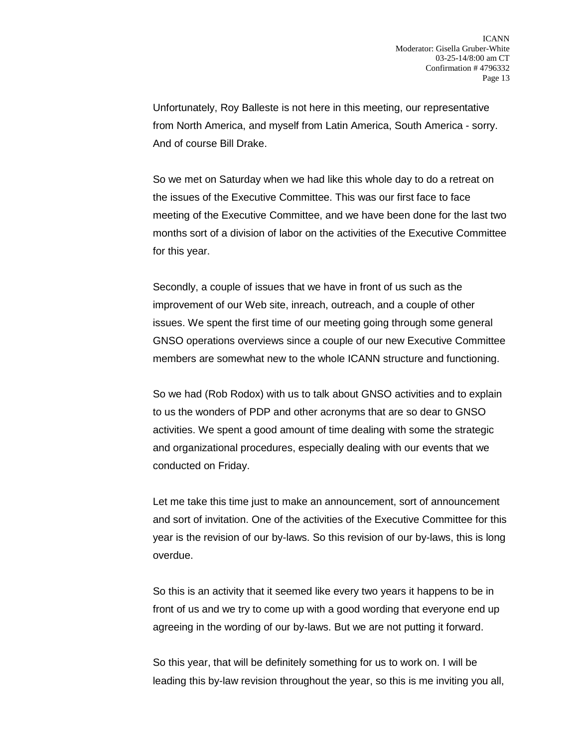Unfortunately, Roy Balleste is not here in this meeting, our representative from North America, and myself from Latin America, South America - sorry. And of course Bill Drake.

So we met on Saturday when we had like this whole day to do a retreat on the issues of the Executive Committee. This was our first face to face meeting of the Executive Committee, and we have been done for the last two months sort of a division of labor on the activities of the Executive Committee for this year.

Secondly, a couple of issues that we have in front of us such as the improvement of our Web site, inreach, outreach, and a couple of other issues. We spent the first time of our meeting going through some general GNSO operations overviews since a couple of our new Executive Committee members are somewhat new to the whole ICANN structure and functioning.

So we had (Rob Rodox) with us to talk about GNSO activities and to explain to us the wonders of PDP and other acronyms that are so dear to GNSO activities. We spent a good amount of time dealing with some the strategic and organizational procedures, especially dealing with our events that we conducted on Friday.

Let me take this time just to make an announcement, sort of announcement and sort of invitation. One of the activities of the Executive Committee for this year is the revision of our by-laws. So this revision of our by-laws, this is long overdue.

So this is an activity that it seemed like every two years it happens to be in front of us and we try to come up with a good wording that everyone end up agreeing in the wording of our by-laws. But we are not putting it forward.

So this year, that will be definitely something for us to work on. I will be leading this by-law revision throughout the year, so this is me inviting you all,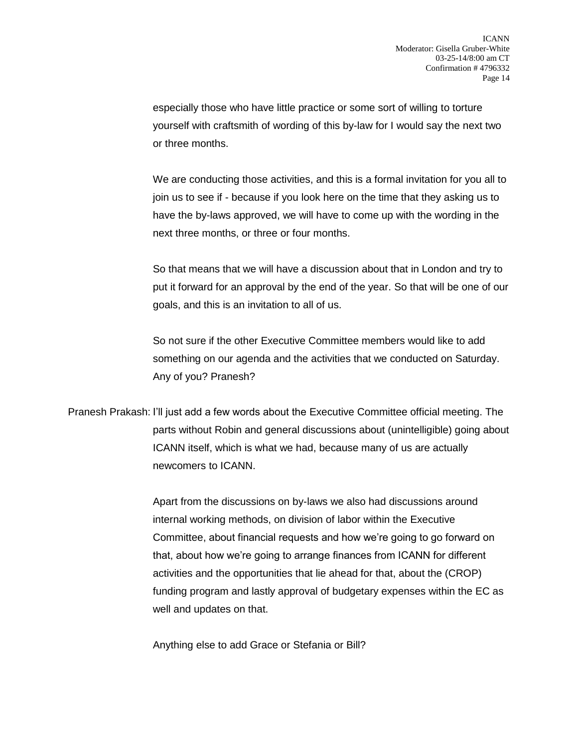especially those who have little practice or some sort of willing to torture yourself with craftsmith of wording of this by-law for I would say the next two or three months.

We are conducting those activities, and this is a formal invitation for you all to join us to see if - because if you look here on the time that they asking us to have the by-laws approved, we will have to come up with the wording in the next three months, or three or four months.

So that means that we will have a discussion about that in London and try to put it forward for an approval by the end of the year. So that will be one of our goals, and this is an invitation to all of us.

So not sure if the other Executive Committee members would like to add something on our agenda and the activities that we conducted on Saturday. Any of you? Pranesh?

Pranesh Prakash: I'll just add a few words about the Executive Committee official meeting. The parts without Robin and general discussions about (unintelligible) going about ICANN itself, which is what we had, because many of us are actually newcomers to ICANN.

> Apart from the discussions on by-laws we also had discussions around internal working methods, on division of labor within the Executive Committee, about financial requests and how we're going to go forward on that, about how we're going to arrange finances from ICANN for different activities and the opportunities that lie ahead for that, about the (CROP) funding program and lastly approval of budgetary expenses within the EC as well and updates on that.

Anything else to add Grace or Stefania or Bill?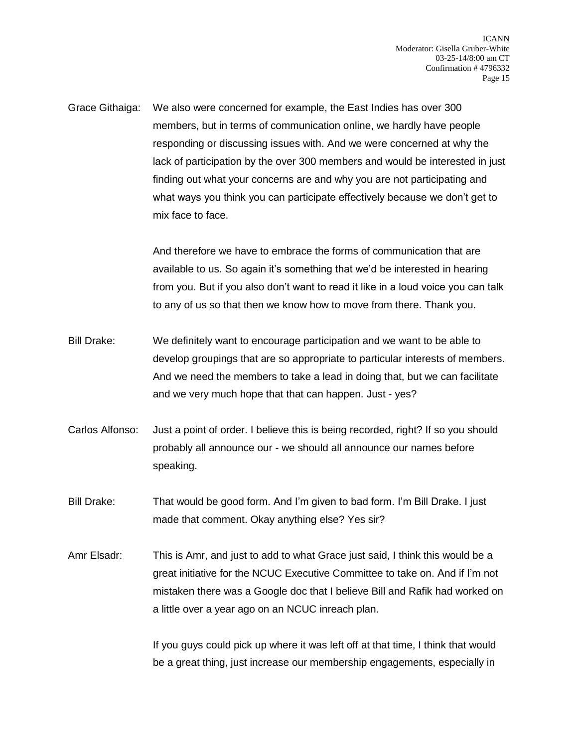Grace Githaiga: We also were concerned for example, the East Indies has over 300 members, but in terms of communication online, we hardly have people responding or discussing issues with. And we were concerned at why the lack of participation by the over 300 members and would be interested in just finding out what your concerns are and why you are not participating and what ways you think you can participate effectively because we don't get to mix face to face.

> And therefore we have to embrace the forms of communication that are available to us. So again it's something that we'd be interested in hearing from you. But if you also don't want to read it like in a loud voice you can talk to any of us so that then we know how to move from there. Thank you.

- Bill Drake: We definitely want to encourage participation and we want to be able to develop groupings that are so appropriate to particular interests of members. And we need the members to take a lead in doing that, but we can facilitate and we very much hope that that can happen. Just - yes?
- Carlos Alfonso: Just a point of order. I believe this is being recorded, right? If so you should probably all announce our - we should all announce our names before speaking.
- Bill Drake: That would be good form. And I'm given to bad form. I'm Bill Drake. I just made that comment. Okay anything else? Yes sir?
- Amr Elsadr: This is Amr, and just to add to what Grace just said, I think this would be a great initiative for the NCUC Executive Committee to take on. And if I'm not mistaken there was a Google doc that I believe Bill and Rafik had worked on a little over a year ago on an NCUC inreach plan.

If you guys could pick up where it was left off at that time, I think that would be a great thing, just increase our membership engagements, especially in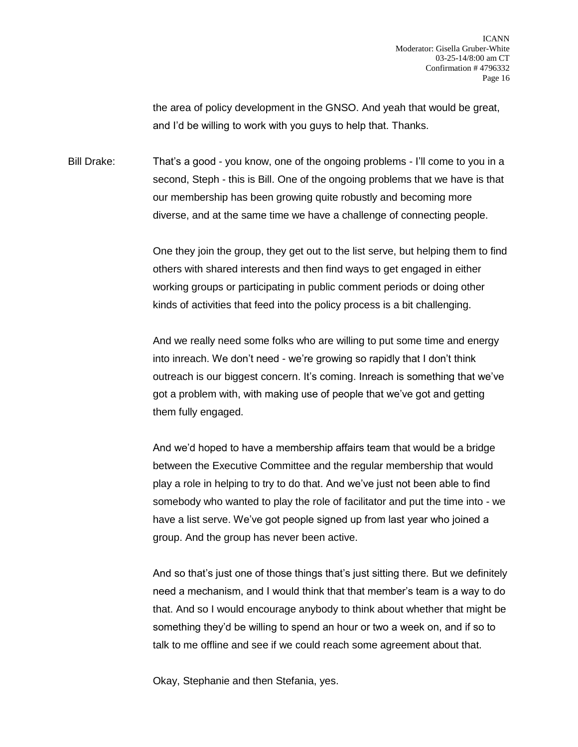the area of policy development in the GNSO. And yeah that would be great, and I'd be willing to work with you guys to help that. Thanks.

Bill Drake: That's a good - you know, one of the ongoing problems - I'll come to you in a second, Steph - this is Bill. One of the ongoing problems that we have is that our membership has been growing quite robustly and becoming more diverse, and at the same time we have a challenge of connecting people.

> One they join the group, they get out to the list serve, but helping them to find others with shared interests and then find ways to get engaged in either working groups or participating in public comment periods or doing other kinds of activities that feed into the policy process is a bit challenging.

> And we really need some folks who are willing to put some time and energy into inreach. We don't need - we're growing so rapidly that I don't think outreach is our biggest concern. It's coming. Inreach is something that we've got a problem with, with making use of people that we've got and getting them fully engaged.

> And we'd hoped to have a membership affairs team that would be a bridge between the Executive Committee and the regular membership that would play a role in helping to try to do that. And we've just not been able to find somebody who wanted to play the role of facilitator and put the time into - we have a list serve. We've got people signed up from last year who joined a group. And the group has never been active.

> And so that's just one of those things that's just sitting there. But we definitely need a mechanism, and I would think that that member's team is a way to do that. And so I would encourage anybody to think about whether that might be something they'd be willing to spend an hour or two a week on, and if so to talk to me offline and see if we could reach some agreement about that.

Okay, Stephanie and then Stefania, yes.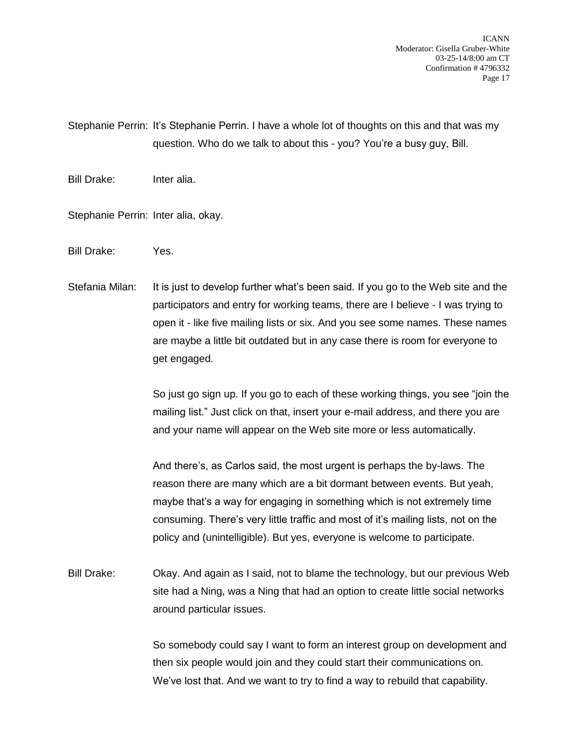ICANN Moderator: Gisella Gruber-White 03-25-14/8:00 am CT Confirmation # 4796332 Page 17

Stephanie Perrin: It's Stephanie Perrin. I have a whole lot of thoughts on this and that was my question. Who do we talk to about this - you? You're a busy guy, Bill.

Bill Drake: Inter alia.

Stephanie Perrin: Inter alia, okay.

Bill Drake: Yes.

Stefania Milan: It is just to develop further what's been said. If you go to the Web site and the participators and entry for working teams, there are I believe - I was trying to open it - like five mailing lists or six. And you see some names. These names are maybe a little bit outdated but in any case there is room for everyone to get engaged.

> So just go sign up. If you go to each of these working things, you see "join the mailing list." Just click on that, insert your e-mail address, and there you are and your name will appear on the Web site more or less automatically.

And there's, as Carlos said, the most urgent is perhaps the by-laws. The reason there are many which are a bit dormant between events. But yeah, maybe that's a way for engaging in something which is not extremely time consuming. There's very little traffic and most of it's mailing lists, not on the policy and (unintelligible). But yes, everyone is welcome to participate.

Bill Drake: Okay. And again as I said, not to blame the technology, but our previous Web site had a Ning, was a Ning that had an option to create little social networks around particular issues.

> So somebody could say I want to form an interest group on development and then six people would join and they could start their communications on. We've lost that. And we want to try to find a way to rebuild that capability.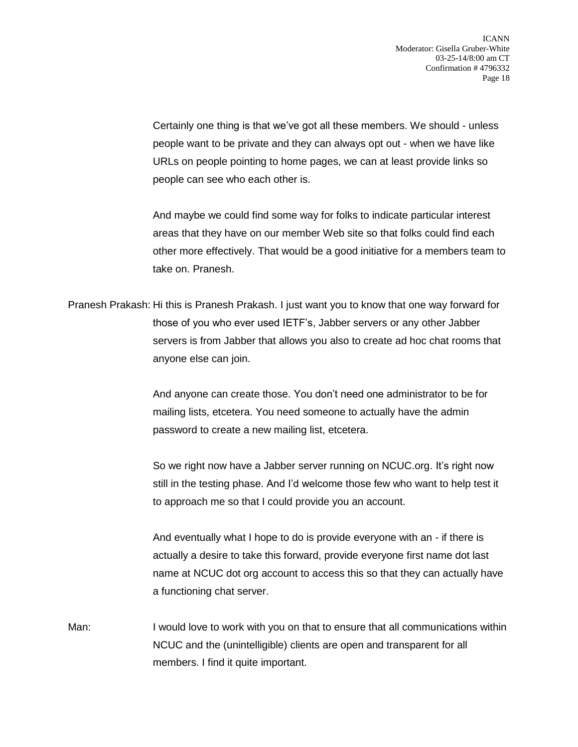Certainly one thing is that we've got all these members. We should - unless people want to be private and they can always opt out - when we have like URLs on people pointing to home pages, we can at least provide links so people can see who each other is.

And maybe we could find some way for folks to indicate particular interest areas that they have on our member Web site so that folks could find each other more effectively. That would be a good initiative for a members team to take on. Pranesh.

Pranesh Prakash: Hi this is Pranesh Prakash. I just want you to know that one way forward for those of you who ever used IETF's, Jabber servers or any other Jabber servers is from Jabber that allows you also to create ad hoc chat rooms that anyone else can join.

> And anyone can create those. You don't need one administrator to be for mailing lists, etcetera. You need someone to actually have the admin password to create a new mailing list, etcetera.

So we right now have a Jabber server running on NCUC.org. It's right now still in the testing phase. And I'd welcome those few who want to help test it to approach me so that I could provide you an account.

And eventually what I hope to do is provide everyone with an - if there is actually a desire to take this forward, provide everyone first name dot last name at NCUC dot org account to access this so that they can actually have a functioning chat server.

Man: I would love to work with you on that to ensure that all communications within NCUC and the (unintelligible) clients are open and transparent for all members. I find it quite important.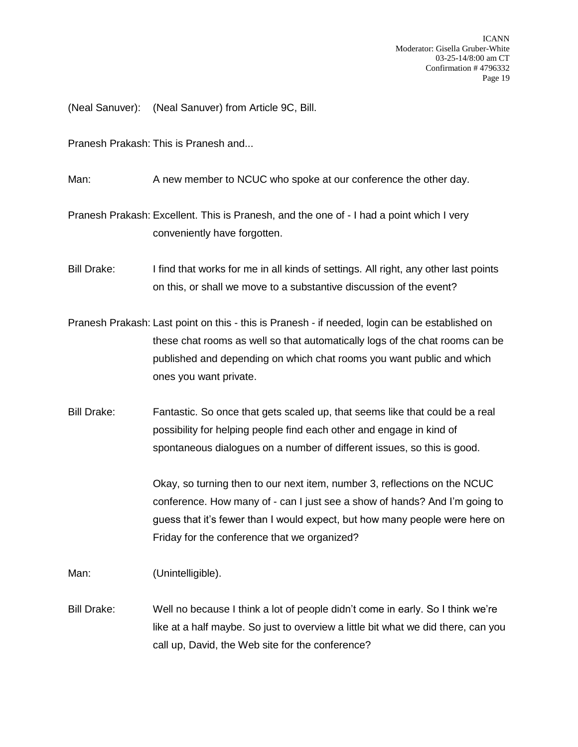(Neal Sanuver): (Neal Sanuver) from Article 9C, Bill.

Pranesh Prakash: This is Pranesh and...

Man: A new member to NCUC who spoke at our conference the other day.

Pranesh Prakash: Excellent. This is Pranesh, and the one of - I had a point which I very conveniently have forgotten.

Bill Drake: I find that works for me in all kinds of settings. All right, any other last points on this, or shall we move to a substantive discussion of the event?

Pranesh Prakash: Last point on this - this is Pranesh - if needed, login can be established on these chat rooms as well so that automatically logs of the chat rooms can be published and depending on which chat rooms you want public and which ones you want private.

Bill Drake: Fantastic. So once that gets scaled up, that seems like that could be a real possibility for helping people find each other and engage in kind of spontaneous dialogues on a number of different issues, so this is good.

> Okay, so turning then to our next item, number 3, reflections on the NCUC conference. How many of - can I just see a show of hands? And I'm going to guess that it's fewer than I would expect, but how many people were here on Friday for the conference that we organized?

Man: (Unintelligible).

Bill Drake: Well no because I think a lot of people didn't come in early. So I think we're like at a half maybe. So just to overview a little bit what we did there, can you call up, David, the Web site for the conference?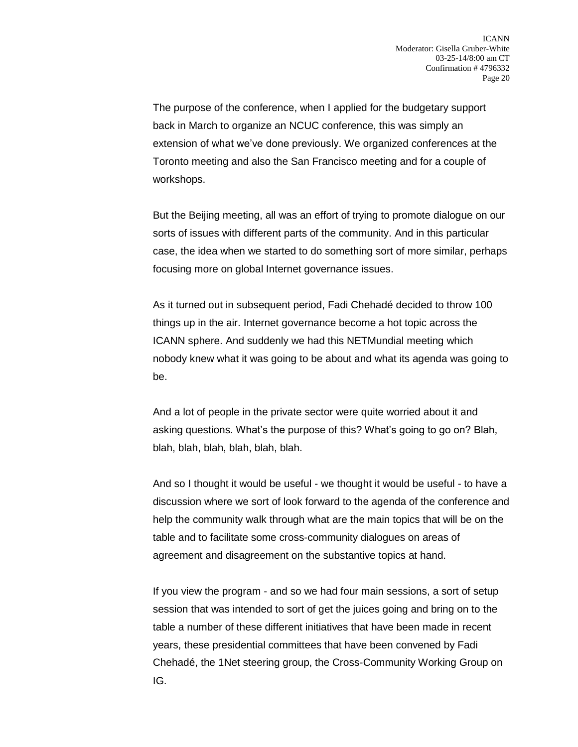The purpose of the conference, when I applied for the budgetary support back in March to organize an NCUC conference, this was simply an extension of what we've done previously. We organized conferences at the Toronto meeting and also the San Francisco meeting and for a couple of workshops.

But the Beijing meeting, all was an effort of trying to promote dialogue on our sorts of issues with different parts of the community. And in this particular case, the idea when we started to do something sort of more similar, perhaps focusing more on global Internet governance issues.

As it turned out in subsequent period, Fadi Chehadé decided to throw 100 things up in the air. Internet governance become a hot topic across the ICANN sphere. And suddenly we had this NETMundial meeting which nobody knew what it was going to be about and what its agenda was going to be.

And a lot of people in the private sector were quite worried about it and asking questions. What's the purpose of this? What's going to go on? Blah, blah, blah, blah, blah, blah, blah.

And so I thought it would be useful - we thought it would be useful - to have a discussion where we sort of look forward to the agenda of the conference and help the community walk through what are the main topics that will be on the table and to facilitate some cross-community dialogues on areas of agreement and disagreement on the substantive topics at hand.

If you view the program - and so we had four main sessions, a sort of setup session that was intended to sort of get the juices going and bring on to the table a number of these different initiatives that have been made in recent years, these presidential committees that have been convened by Fadi Chehadé, the 1Net steering group, the Cross-Community Working Group on IG.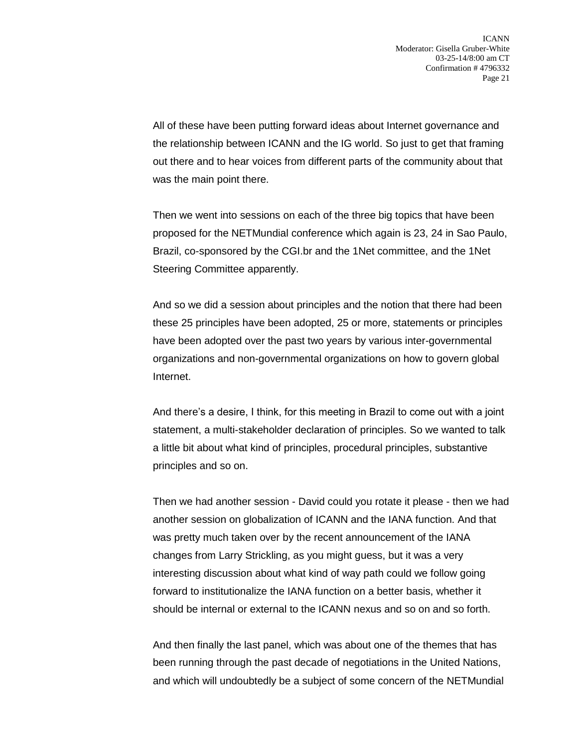All of these have been putting forward ideas about Internet governance and the relationship between ICANN and the IG world. So just to get that framing out there and to hear voices from different parts of the community about that was the main point there.

Then we went into sessions on each of the three big topics that have been proposed for the NETMundial conference which again is 23, 24 in Sao Paulo, Brazil, co-sponsored by the CGI.br and the 1Net committee, and the 1Net Steering Committee apparently.

And so we did a session about principles and the notion that there had been these 25 principles have been adopted, 25 or more, statements or principles have been adopted over the past two years by various inter-governmental organizations and non-governmental organizations on how to govern global Internet.

And there's a desire, I think, for this meeting in Brazil to come out with a joint statement, a multi-stakeholder declaration of principles. So we wanted to talk a little bit about what kind of principles, procedural principles, substantive principles and so on.

Then we had another session - David could you rotate it please - then we had another session on globalization of ICANN and the IANA function. And that was pretty much taken over by the recent announcement of the IANA changes from Larry Strickling, as you might guess, but it was a very interesting discussion about what kind of way path could we follow going forward to institutionalize the IANA function on a better basis, whether it should be internal or external to the ICANN nexus and so on and so forth.

And then finally the last panel, which was about one of the themes that has been running through the past decade of negotiations in the United Nations, and which will undoubtedly be a subject of some concern of the NETMundial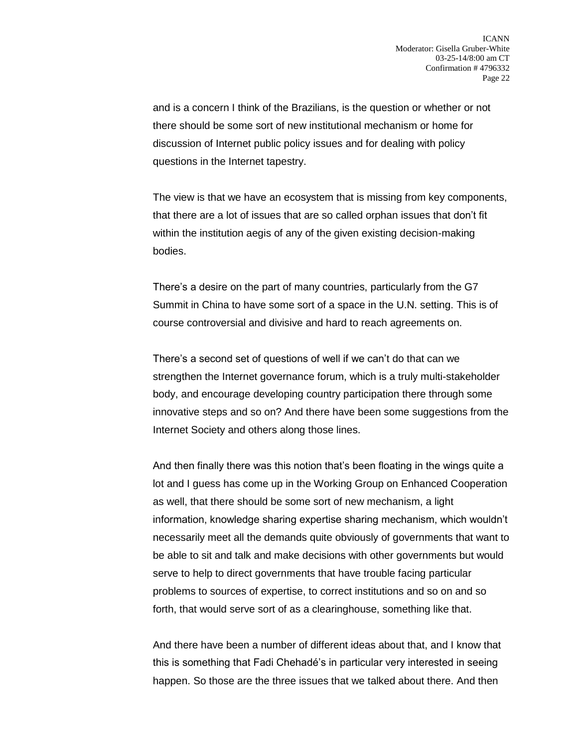and is a concern I think of the Brazilians, is the question or whether or not there should be some sort of new institutional mechanism or home for discussion of Internet public policy issues and for dealing with policy questions in the Internet tapestry.

The view is that we have an ecosystem that is missing from key components, that there are a lot of issues that are so called orphan issues that don't fit within the institution aegis of any of the given existing decision-making bodies.

There's a desire on the part of many countries, particularly from the G7 Summit in China to have some sort of a space in the U.N. setting. This is of course controversial and divisive and hard to reach agreements on.

There's a second set of questions of well if we can't do that can we strengthen the Internet governance forum, which is a truly multi-stakeholder body, and encourage developing country participation there through some innovative steps and so on? And there have been some suggestions from the Internet Society and others along those lines.

And then finally there was this notion that's been floating in the wings quite a lot and I guess has come up in the Working Group on Enhanced Cooperation as well, that there should be some sort of new mechanism, a light information, knowledge sharing expertise sharing mechanism, which wouldn't necessarily meet all the demands quite obviously of governments that want to be able to sit and talk and make decisions with other governments but would serve to help to direct governments that have trouble facing particular problems to sources of expertise, to correct institutions and so on and so forth, that would serve sort of as a clearinghouse, something like that.

And there have been a number of different ideas about that, and I know that this is something that Fadi Chehadé's in particular very interested in seeing happen. So those are the three issues that we talked about there. And then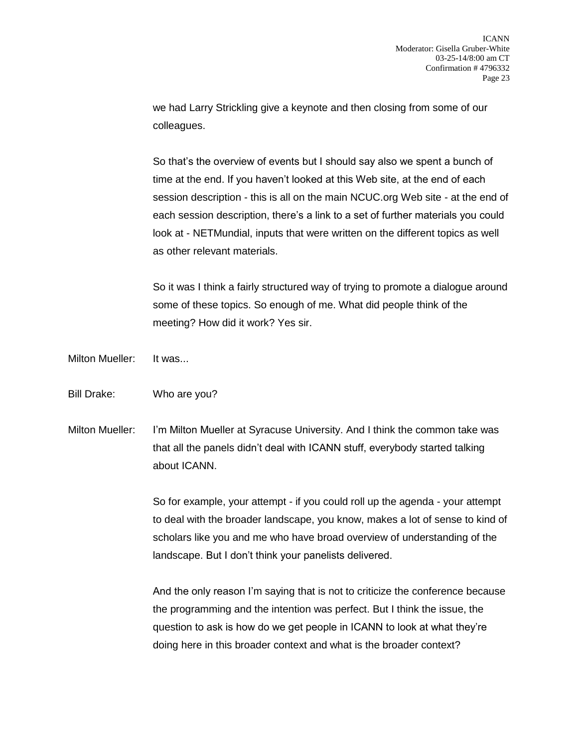we had Larry Strickling give a keynote and then closing from some of our colleagues.

So that's the overview of events but I should say also we spent a bunch of time at the end. If you haven't looked at this Web site, at the end of each session description - this is all on the main NCUC.org Web site - at the end of each session description, there's a link to a set of further materials you could look at - NETMundial, inputs that were written on the different topics as well as other relevant materials.

So it was I think a fairly structured way of trying to promote a dialogue around some of these topics. So enough of me. What did people think of the meeting? How did it work? Yes sir.

Milton Mueller: It was...

Bill Drake: Who are you?

Milton Mueller: I'm Milton Mueller at Syracuse University. And I think the common take was that all the panels didn't deal with ICANN stuff, everybody started talking about ICANN.

> So for example, your attempt - if you could roll up the agenda - your attempt to deal with the broader landscape, you know, makes a lot of sense to kind of scholars like you and me who have broad overview of understanding of the landscape. But I don't think your panelists delivered.

> And the only reason I'm saying that is not to criticize the conference because the programming and the intention was perfect. But I think the issue, the question to ask is how do we get people in ICANN to look at what they're doing here in this broader context and what is the broader context?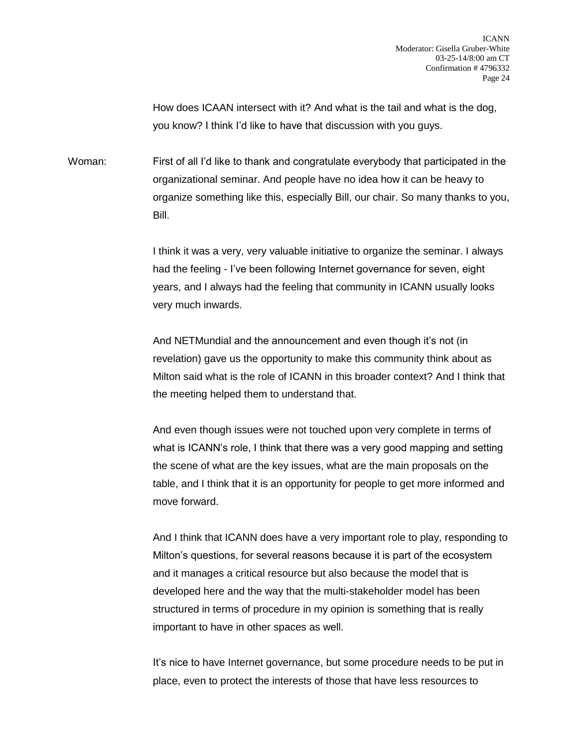How does ICAAN intersect with it? And what is the tail and what is the dog, you know? I think I'd like to have that discussion with you guys.

Woman: First of all I'd like to thank and congratulate everybody that participated in the organizational seminar. And people have no idea how it can be heavy to organize something like this, especially Bill, our chair. So many thanks to you, Bill.

> I think it was a very, very valuable initiative to organize the seminar. I always had the feeling - I've been following Internet governance for seven, eight years, and I always had the feeling that community in ICANN usually looks very much inwards.

> And NETMundial and the announcement and even though it's not (in revelation) gave us the opportunity to make this community think about as Milton said what is the role of ICANN in this broader context? And I think that the meeting helped them to understand that.

> And even though issues were not touched upon very complete in terms of what is ICANN's role, I think that there was a very good mapping and setting the scene of what are the key issues, what are the main proposals on the table, and I think that it is an opportunity for people to get more informed and move forward.

> And I think that ICANN does have a very important role to play, responding to Milton's questions, for several reasons because it is part of the ecosystem and it manages a critical resource but also because the model that is developed here and the way that the multi-stakeholder model has been structured in terms of procedure in my opinion is something that is really important to have in other spaces as well.

> It's nice to have Internet governance, but some procedure needs to be put in place, even to protect the interests of those that have less resources to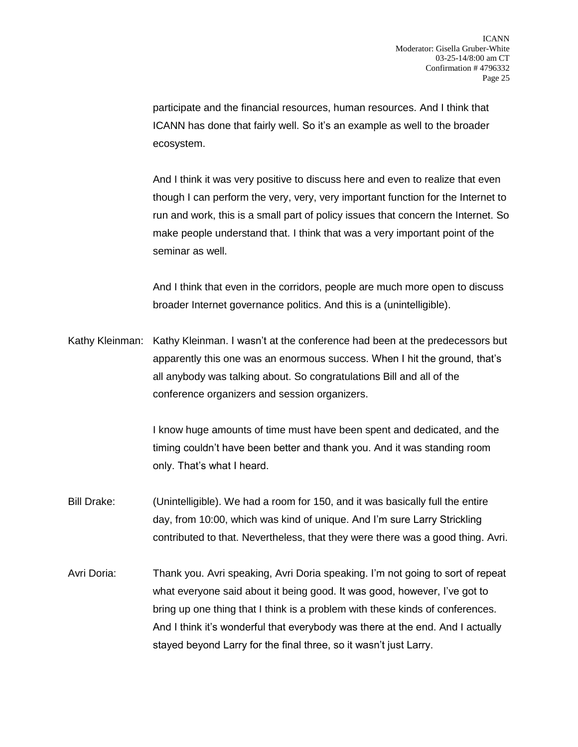participate and the financial resources, human resources. And I think that ICANN has done that fairly well. So it's an example as well to the broader ecosystem.

And I think it was very positive to discuss here and even to realize that even though I can perform the very, very, very important function for the Internet to run and work, this is a small part of policy issues that concern the Internet. So make people understand that. I think that was a very important point of the seminar as well.

And I think that even in the corridors, people are much more open to discuss broader Internet governance politics. And this is a (unintelligible).

Kathy Kleinman: Kathy Kleinman. I wasn't at the conference had been at the predecessors but apparently this one was an enormous success. When I hit the ground, that's all anybody was talking about. So congratulations Bill and all of the conference organizers and session organizers.

> I know huge amounts of time must have been spent and dedicated, and the timing couldn't have been better and thank you. And it was standing room only. That's what I heard.

- Bill Drake: (Unintelligible). We had a room for 150, and it was basically full the entire day, from 10:00, which was kind of unique. And I'm sure Larry Strickling contributed to that. Nevertheless, that they were there was a good thing. Avri.
- Avri Doria: Thank you. Avri speaking, Avri Doria speaking. I'm not going to sort of repeat what everyone said about it being good. It was good, however, I've got to bring up one thing that I think is a problem with these kinds of conferences. And I think it's wonderful that everybody was there at the end. And I actually stayed beyond Larry for the final three, so it wasn't just Larry.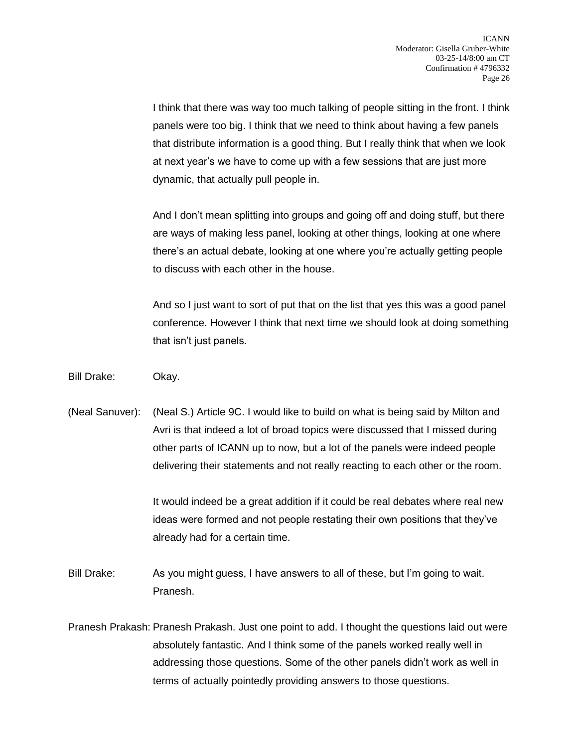I think that there was way too much talking of people sitting in the front. I think panels were too big. I think that we need to think about having a few panels that distribute information is a good thing. But I really think that when we look at next year's we have to come up with a few sessions that are just more dynamic, that actually pull people in.

And I don't mean splitting into groups and going off and doing stuff, but there are ways of making less panel, looking at other things, looking at one where there's an actual debate, looking at one where you're actually getting people to discuss with each other in the house.

And so I just want to sort of put that on the list that yes this was a good panel conference. However I think that next time we should look at doing something that isn't just panels.

Bill Drake: Okay.

(Neal Sanuver): (Neal S.) Article 9C. I would like to build on what is being said by Milton and Avri is that indeed a lot of broad topics were discussed that I missed during other parts of ICANN up to now, but a lot of the panels were indeed people delivering their statements and not really reacting to each other or the room.

> It would indeed be a great addition if it could be real debates where real new ideas were formed and not people restating their own positions that they've already had for a certain time.

Bill Drake: As you might guess, I have answers to all of these, but I'm going to wait. Pranesh.

Pranesh Prakash: Pranesh Prakash. Just one point to add. I thought the questions laid out were absolutely fantastic. And I think some of the panels worked really well in addressing those questions. Some of the other panels didn't work as well in terms of actually pointedly providing answers to those questions.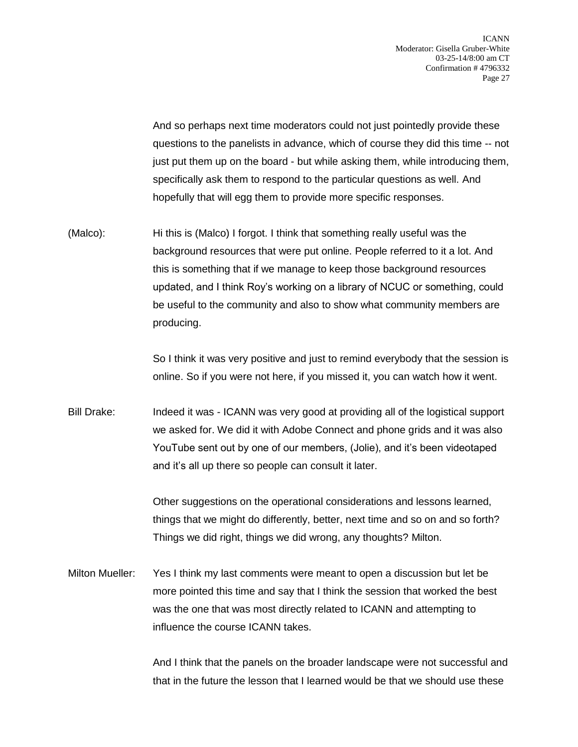And so perhaps next time moderators could not just pointedly provide these questions to the panelists in advance, which of course they did this time -- not just put them up on the board - but while asking them, while introducing them, specifically ask them to respond to the particular questions as well. And hopefully that will egg them to provide more specific responses.

(Malco): Hi this is (Malco) I forgot. I think that something really useful was the background resources that were put online. People referred to it a lot. And this is something that if we manage to keep those background resources updated, and I think Roy's working on a library of NCUC or something, could be useful to the community and also to show what community members are producing.

> So I think it was very positive and just to remind everybody that the session is online. So if you were not here, if you missed it, you can watch how it went.

Bill Drake: Indeed it was - ICANN was very good at providing all of the logistical support we asked for. We did it with Adobe Connect and phone grids and it was also YouTube sent out by one of our members, (Jolie), and it's been videotaped and it's all up there so people can consult it later.

> Other suggestions on the operational considerations and lessons learned, things that we might do differently, better, next time and so on and so forth? Things we did right, things we did wrong, any thoughts? Milton.

Milton Mueller: Yes I think my last comments were meant to open a discussion but let be more pointed this time and say that I think the session that worked the best was the one that was most directly related to ICANN and attempting to influence the course ICANN takes.

> And I think that the panels on the broader landscape were not successful and that in the future the lesson that I learned would be that we should use these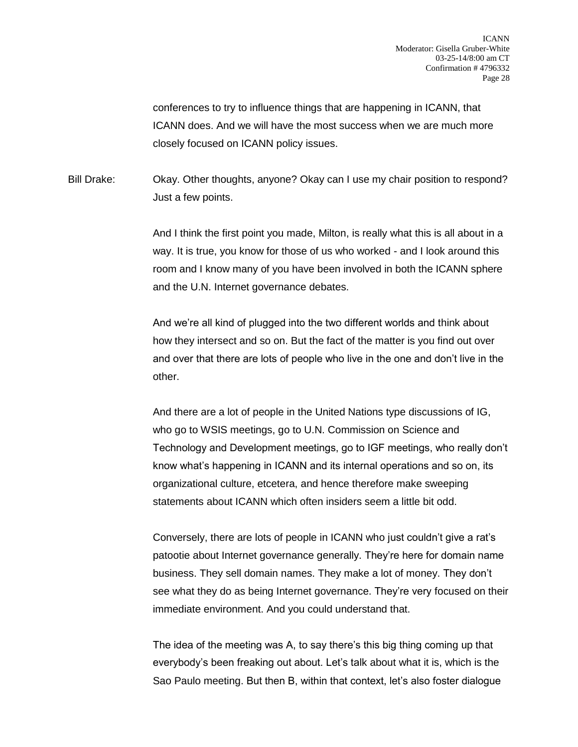conferences to try to influence things that are happening in ICANN, that ICANN does. And we will have the most success when we are much more closely focused on ICANN policy issues.

Bill Drake: Okay. Other thoughts, anyone? Okay can I use my chair position to respond? Just a few points.

> And I think the first point you made, Milton, is really what this is all about in a way. It is true, you know for those of us who worked - and I look around this room and I know many of you have been involved in both the ICANN sphere and the U.N. Internet governance debates.

> And we're all kind of plugged into the two different worlds and think about how they intersect and so on. But the fact of the matter is you find out over and over that there are lots of people who live in the one and don't live in the other.

And there are a lot of people in the United Nations type discussions of IG, who go to WSIS meetings, go to U.N. Commission on Science and Technology and Development meetings, go to IGF meetings, who really don't know what's happening in ICANN and its internal operations and so on, its organizational culture, etcetera, and hence therefore make sweeping statements about ICANN which often insiders seem a little bit odd.

Conversely, there are lots of people in ICANN who just couldn't give a rat's patootie about Internet governance generally. They're here for domain name business. They sell domain names. They make a lot of money. They don't see what they do as being Internet governance. They're very focused on their immediate environment. And you could understand that.

The idea of the meeting was A, to say there's this big thing coming up that everybody's been freaking out about. Let's talk about what it is, which is the Sao Paulo meeting. But then B, within that context, let's also foster dialogue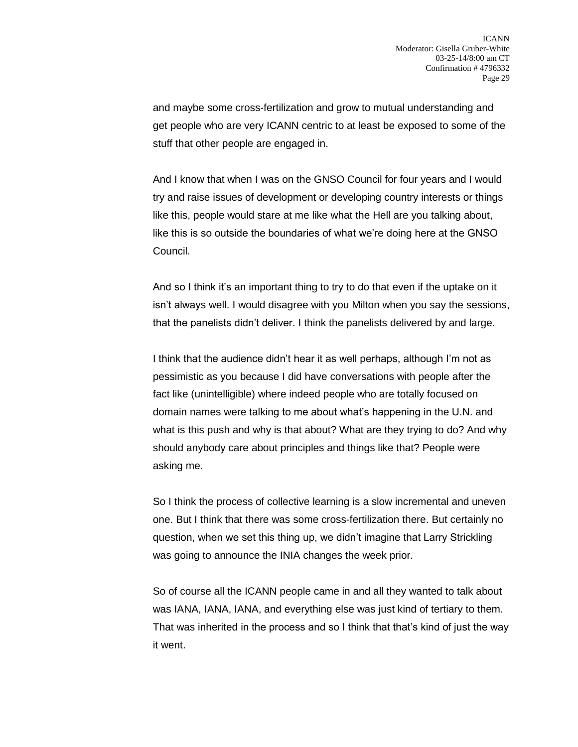and maybe some cross-fertilization and grow to mutual understanding and get people who are very ICANN centric to at least be exposed to some of the stuff that other people are engaged in.

And I know that when I was on the GNSO Council for four years and I would try and raise issues of development or developing country interests or things like this, people would stare at me like what the Hell are you talking about, like this is so outside the boundaries of what we're doing here at the GNSO Council.

And so I think it's an important thing to try to do that even if the uptake on it isn't always well. I would disagree with you Milton when you say the sessions, that the panelists didn't deliver. I think the panelists delivered by and large.

I think that the audience didn't hear it as well perhaps, although I'm not as pessimistic as you because I did have conversations with people after the fact like (unintelligible) where indeed people who are totally focused on domain names were talking to me about what's happening in the U.N. and what is this push and why is that about? What are they trying to do? And why should anybody care about principles and things like that? People were asking me.

So I think the process of collective learning is a slow incremental and uneven one. But I think that there was some cross-fertilization there. But certainly no question, when we set this thing up, we didn't imagine that Larry Strickling was going to announce the INIA changes the week prior.

So of course all the ICANN people came in and all they wanted to talk about was IANA, IANA, IANA, and everything else was just kind of tertiary to them. That was inherited in the process and so I think that that's kind of just the way it went.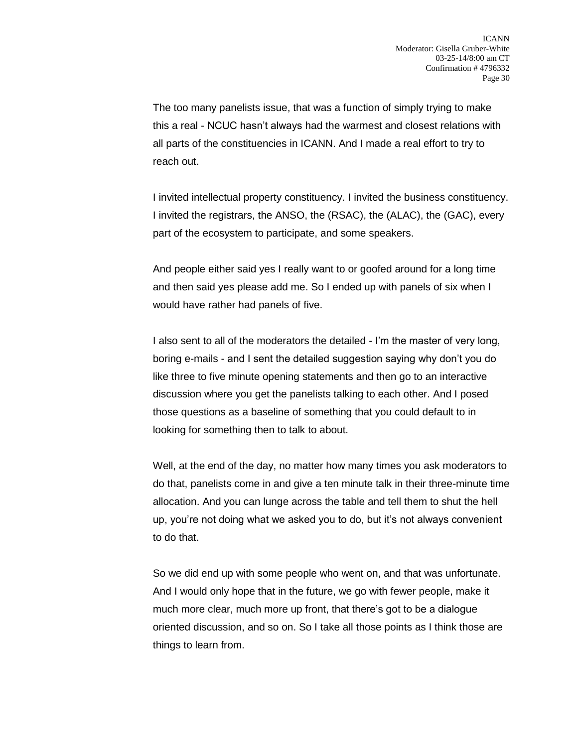The too many panelists issue, that was a function of simply trying to make this a real - NCUC hasn't always had the warmest and closest relations with all parts of the constituencies in ICANN. And I made a real effort to try to reach out.

I invited intellectual property constituency. I invited the business constituency. I invited the registrars, the ANSO, the (RSAC), the (ALAC), the (GAC), every part of the ecosystem to participate, and some speakers.

And people either said yes I really want to or goofed around for a long time and then said yes please add me. So I ended up with panels of six when I would have rather had panels of five.

I also sent to all of the moderators the detailed - I'm the master of very long, boring e-mails - and I sent the detailed suggestion saying why don't you do like three to five minute opening statements and then go to an interactive discussion where you get the panelists talking to each other. And I posed those questions as a baseline of something that you could default to in looking for something then to talk to about.

Well, at the end of the day, no matter how many times you ask moderators to do that, panelists come in and give a ten minute talk in their three-minute time allocation. And you can lunge across the table and tell them to shut the hell up, you're not doing what we asked you to do, but it's not always convenient to do that.

So we did end up with some people who went on, and that was unfortunate. And I would only hope that in the future, we go with fewer people, make it much more clear, much more up front, that there's got to be a dialogue oriented discussion, and so on. So I take all those points as I think those are things to learn from.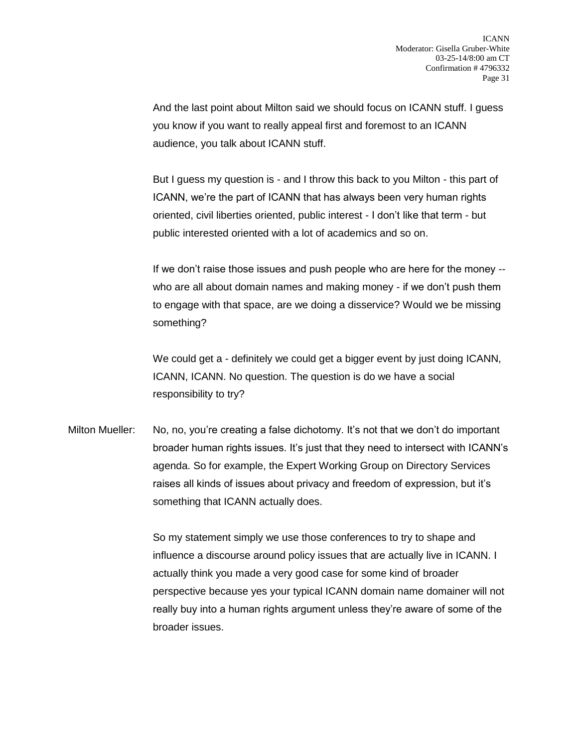And the last point about Milton said we should focus on ICANN stuff. I guess you know if you want to really appeal first and foremost to an ICANN audience, you talk about ICANN stuff.

But I guess my question is - and I throw this back to you Milton - this part of ICANN, we're the part of ICANN that has always been very human rights oriented, civil liberties oriented, public interest - I don't like that term - but public interested oriented with a lot of academics and so on.

If we don't raise those issues and push people who are here for the money - who are all about domain names and making money - if we don't push them to engage with that space, are we doing a disservice? Would we be missing something?

We could get a - definitely we could get a bigger event by just doing ICANN, ICANN, ICANN. No question. The question is do we have a social responsibility to try?

Milton Mueller: No, no, you're creating a false dichotomy. It's not that we don't do important broader human rights issues. It's just that they need to intersect with ICANN's agenda. So for example, the Expert Working Group on Directory Services raises all kinds of issues about privacy and freedom of expression, but it's something that ICANN actually does.

> So my statement simply we use those conferences to try to shape and influence a discourse around policy issues that are actually live in ICANN. I actually think you made a very good case for some kind of broader perspective because yes your typical ICANN domain name domainer will not really buy into a human rights argument unless they're aware of some of the broader issues.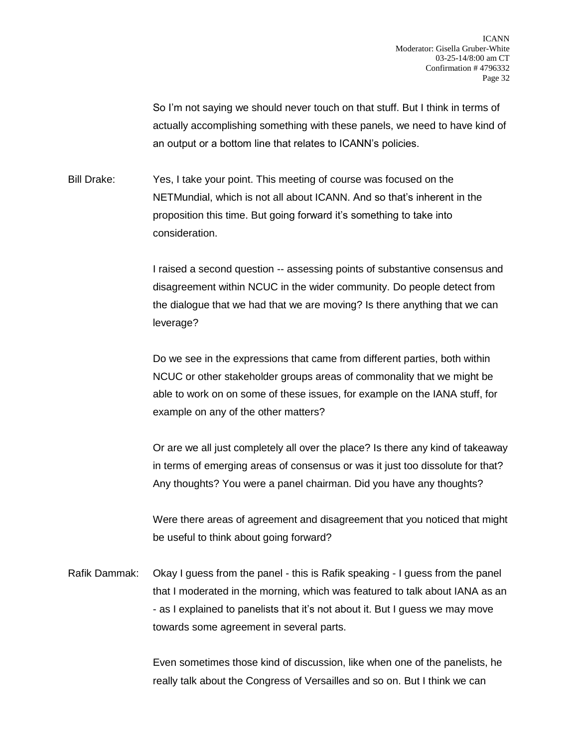So I'm not saying we should never touch on that stuff. But I think in terms of actually accomplishing something with these panels, we need to have kind of an output or a bottom line that relates to ICANN's policies.

Bill Drake: Yes, I take your point. This meeting of course was focused on the NETMundial, which is not all about ICANN. And so that's inherent in the proposition this time. But going forward it's something to take into consideration.

> I raised a second question -- assessing points of substantive consensus and disagreement within NCUC in the wider community. Do people detect from the dialogue that we had that we are moving? Is there anything that we can leverage?

Do we see in the expressions that came from different parties, both within NCUC or other stakeholder groups areas of commonality that we might be able to work on on some of these issues, for example on the IANA stuff, for example on any of the other matters?

Or are we all just completely all over the place? Is there any kind of takeaway in terms of emerging areas of consensus or was it just too dissolute for that? Any thoughts? You were a panel chairman. Did you have any thoughts?

Were there areas of agreement and disagreement that you noticed that might be useful to think about going forward?

Rafik Dammak: Okay I guess from the panel - this is Rafik speaking - I guess from the panel that I moderated in the morning, which was featured to talk about IANA as an - as I explained to panelists that it's not about it. But I guess we may move towards some agreement in several parts.

> Even sometimes those kind of discussion, like when one of the panelists, he really talk about the Congress of Versailles and so on. But I think we can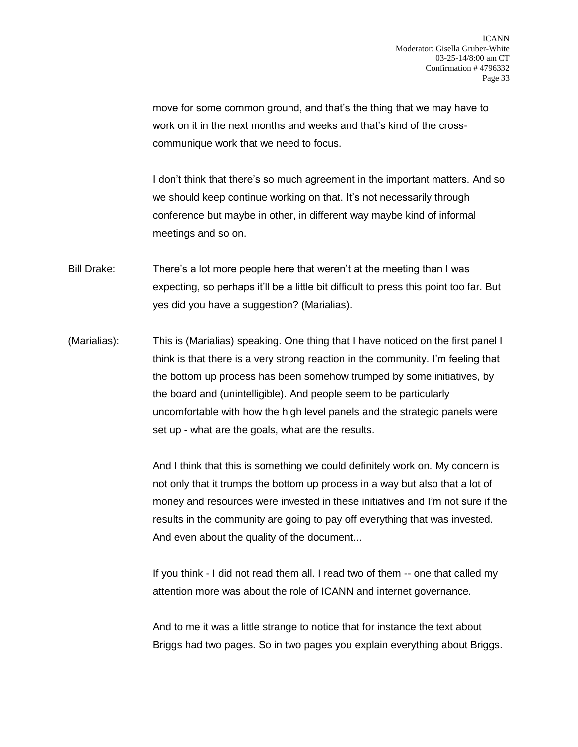move for some common ground, and that's the thing that we may have to work on it in the next months and weeks and that's kind of the crosscommunique work that we need to focus.

I don't think that there's so much agreement in the important matters. And so we should keep continue working on that. It's not necessarily through conference but maybe in other, in different way maybe kind of informal meetings and so on.

- Bill Drake: There's a lot more people here that weren't at the meeting than I was expecting, so perhaps it'll be a little bit difficult to press this point too far. But yes did you have a suggestion? (Marialias).
- (Marialias): This is (Marialias) speaking. One thing that I have noticed on the first panel I think is that there is a very strong reaction in the community. I'm feeling that the bottom up process has been somehow trumped by some initiatives, by the board and (unintelligible). And people seem to be particularly uncomfortable with how the high level panels and the strategic panels were set up - what are the goals, what are the results.

And I think that this is something we could definitely work on. My concern is not only that it trumps the bottom up process in a way but also that a lot of money and resources were invested in these initiatives and I'm not sure if the results in the community are going to pay off everything that was invested. And even about the quality of the document...

If you think - I did not read them all. I read two of them -- one that called my attention more was about the role of ICANN and internet governance.

And to me it was a little strange to notice that for instance the text about Briggs had two pages. So in two pages you explain everything about Briggs.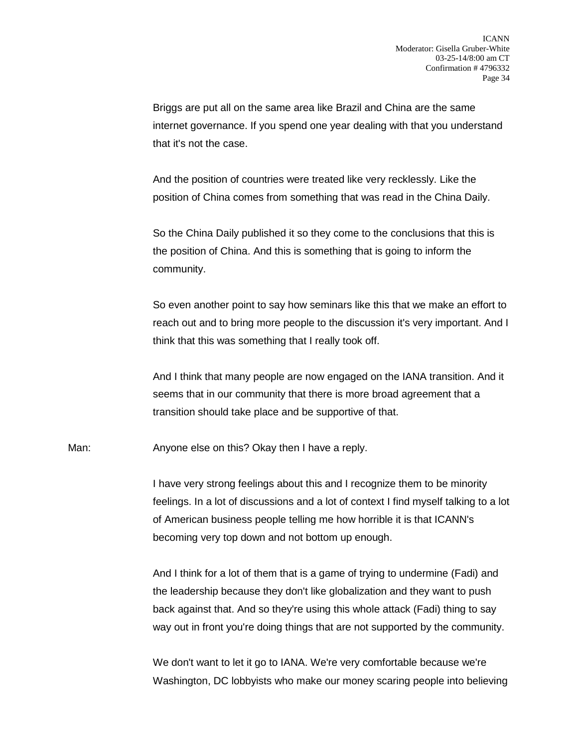Briggs are put all on the same area like Brazil and China are the same internet governance. If you spend one year dealing with that you understand that it's not the case.

And the position of countries were treated like very recklessly. Like the position of China comes from something that was read in the China Daily.

So the China Daily published it so they come to the conclusions that this is the position of China. And this is something that is going to inform the community.

So even another point to say how seminars like this that we make an effort to reach out and to bring more people to the discussion it's very important. And I think that this was something that I really took off.

And I think that many people are now engaged on the IANA transition. And it seems that in our community that there is more broad agreement that a transition should take place and be supportive of that.

Man: Anyone else on this? Okay then I have a reply.

I have very strong feelings about this and I recognize them to be minority feelings. In a lot of discussions and a lot of context I find myself talking to a lot of American business people telling me how horrible it is that ICANN's becoming very top down and not bottom up enough.

And I think for a lot of them that is a game of trying to undermine (Fadi) and the leadership because they don't like globalization and they want to push back against that. And so they're using this whole attack (Fadi) thing to say way out in front you're doing things that are not supported by the community.

We don't want to let it go to IANA. We're very comfortable because we're Washington, DC lobbyists who make our money scaring people into believing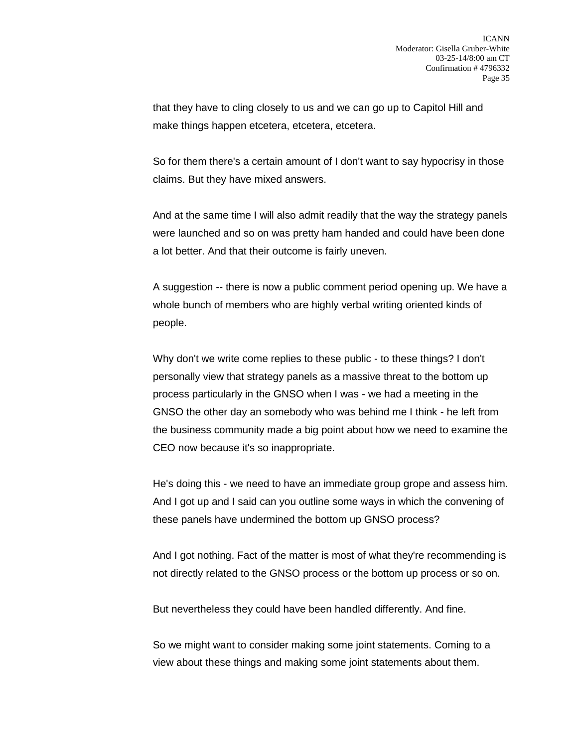that they have to cling closely to us and we can go up to Capitol Hill and make things happen etcetera, etcetera, etcetera.

So for them there's a certain amount of I don't want to say hypocrisy in those claims. But they have mixed answers.

And at the same time I will also admit readily that the way the strategy panels were launched and so on was pretty ham handed and could have been done a lot better. And that their outcome is fairly uneven.

A suggestion -- there is now a public comment period opening up. We have a whole bunch of members who are highly verbal writing oriented kinds of people.

Why don't we write come replies to these public - to these things? I don't personally view that strategy panels as a massive threat to the bottom up process particularly in the GNSO when I was - we had a meeting in the GNSO the other day an somebody who was behind me I think - he left from the business community made a big point about how we need to examine the CEO now because it's so inappropriate.

He's doing this - we need to have an immediate group grope and assess him. And I got up and I said can you outline some ways in which the convening of these panels have undermined the bottom up GNSO process?

And I got nothing. Fact of the matter is most of what they're recommending is not directly related to the GNSO process or the bottom up process or so on.

But nevertheless they could have been handled differently. And fine.

So we might want to consider making some joint statements. Coming to a view about these things and making some joint statements about them.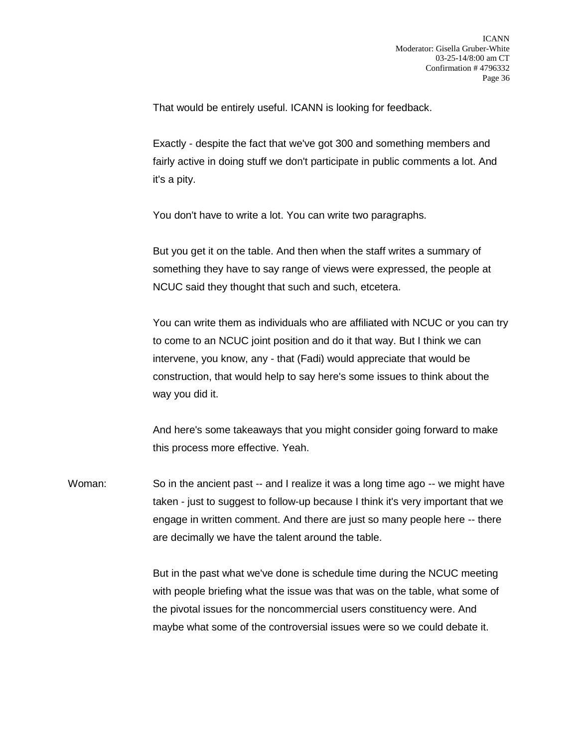That would be entirely useful. ICANN is looking for feedback.

Exactly - despite the fact that we've got 300 and something members and fairly active in doing stuff we don't participate in public comments a lot. And it's a pity.

You don't have to write a lot. You can write two paragraphs.

But you get it on the table. And then when the staff writes a summary of something they have to say range of views were expressed, the people at NCUC said they thought that such and such, etcetera.

You can write them as individuals who are affiliated with NCUC or you can try to come to an NCUC joint position and do it that way. But I think we can intervene, you know, any - that (Fadi) would appreciate that would be construction, that would help to say here's some issues to think about the way you did it.

And here's some takeaways that you might consider going forward to make this process more effective. Yeah.

Woman: So in the ancient past -- and I realize it was a long time ago -- we might have taken - just to suggest to follow-up because I think it's very important that we engage in written comment. And there are just so many people here -- there are decimally we have the talent around the table.

> But in the past what we've done is schedule time during the NCUC meeting with people briefing what the issue was that was on the table, what some of the pivotal issues for the noncommercial users constituency were. And maybe what some of the controversial issues were so we could debate it.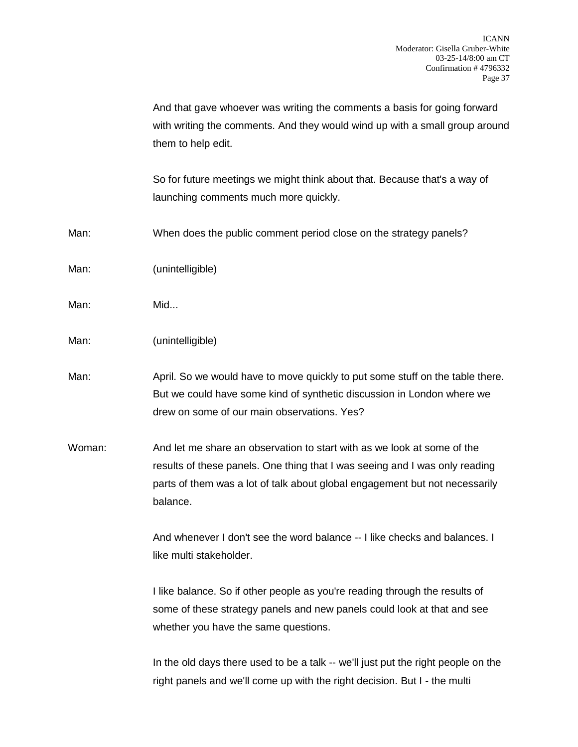And that gave whoever was writing the comments a basis for going forward with writing the comments. And they would wind up with a small group around them to help edit.

So for future meetings we might think about that. Because that's a way of launching comments much more quickly.

- Man: When does the public comment period close on the strategy panels?
- Man: (unintelligible)
- Man: Mid...
- Man: (unintelligible)
- Man: April. So we would have to move quickly to put some stuff on the table there. But we could have some kind of synthetic discussion in London where we drew on some of our main observations. Yes?
- Woman: And let me share an observation to start with as we look at some of the results of these panels. One thing that I was seeing and I was only reading parts of them was a lot of talk about global engagement but not necessarily balance.

And whenever I don't see the word balance -- I like checks and balances. I like multi stakeholder.

I like balance. So if other people as you're reading through the results of some of these strategy panels and new panels could look at that and see whether you have the same questions.

In the old days there used to be a talk -- we'll just put the right people on the right panels and we'll come up with the right decision. But I - the multi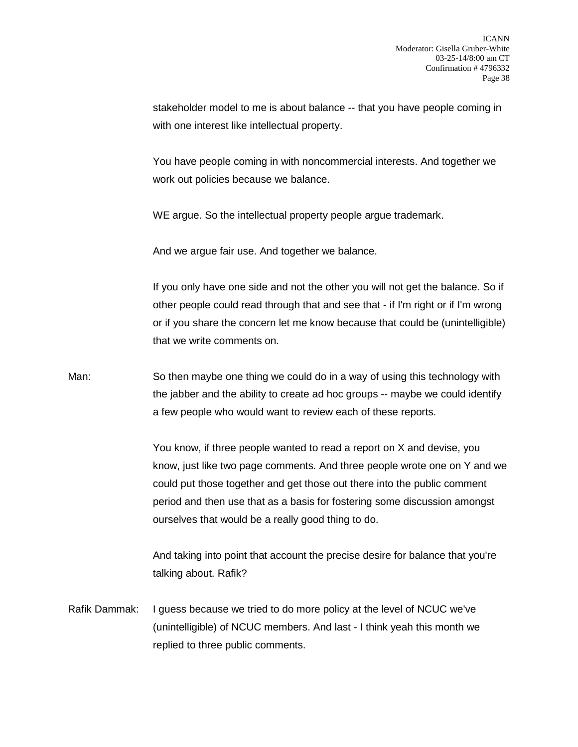stakeholder model to me is about balance -- that you have people coming in with one interest like intellectual property.

You have people coming in with noncommercial interests. And together we work out policies because we balance.

WE argue. So the intellectual property people argue trademark.

And we argue fair use. And together we balance.

If you only have one side and not the other you will not get the balance. So if other people could read through that and see that - if I'm right or if I'm wrong or if you share the concern let me know because that could be (unintelligible) that we write comments on.

Man: So then maybe one thing we could do in a way of using this technology with the jabber and the ability to create ad hoc groups -- maybe we could identify a few people who would want to review each of these reports.

> You know, if three people wanted to read a report on X and devise, you know, just like two page comments. And three people wrote one on Y and we could put those together and get those out there into the public comment period and then use that as a basis for fostering some discussion amongst ourselves that would be a really good thing to do.

And taking into point that account the precise desire for balance that you're talking about. Rafik?

Rafik Dammak: I guess because we tried to do more policy at the level of NCUC we've (unintelligible) of NCUC members. And last - I think yeah this month we replied to three public comments.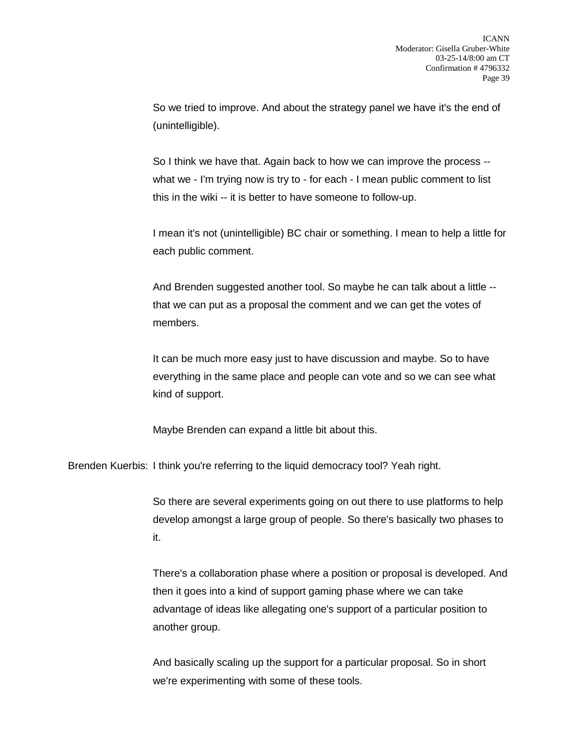So we tried to improve. And about the strategy panel we have it's the end of (unintelligible).

So I think we have that. Again back to how we can improve the process - what we - I'm trying now is try to - for each - I mean public comment to list this in the wiki -- it is better to have someone to follow-up.

I mean it's not (unintelligible) BC chair or something. I mean to help a little for each public comment.

And Brenden suggested another tool. So maybe he can talk about a little - that we can put as a proposal the comment and we can get the votes of members.

It can be much more easy just to have discussion and maybe. So to have everything in the same place and people can vote and so we can see what kind of support.

Maybe Brenden can expand a little bit about this.

Brenden Kuerbis: I think you're referring to the liquid democracy tool? Yeah right.

So there are several experiments going on out there to use platforms to help develop amongst a large group of people. So there's basically two phases to it.

There's a collaboration phase where a position or proposal is developed. And then it goes into a kind of support gaming phase where we can take advantage of ideas like allegating one's support of a particular position to another group.

And basically scaling up the support for a particular proposal. So in short we're experimenting with some of these tools.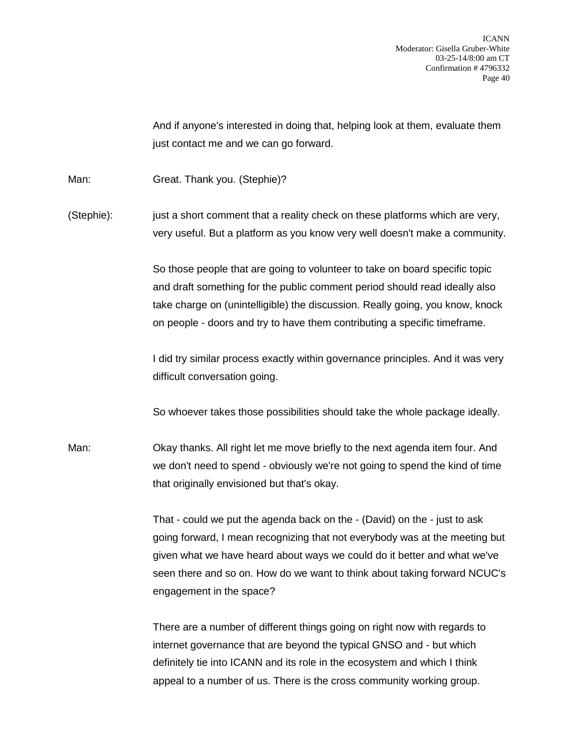ICANN Moderator: Gisella Gruber-White 03-25-14/8:00 am CT Confirmation # 4796332 Page 40

And if anyone's interested in doing that, helping look at them, evaluate them just contact me and we can go forward.

Man: Great. Thank you. (Stephie)?

(Stephie): just a short comment that a reality check on these platforms which are very, very useful. But a platform as you know very well doesn't make a community.

> So those people that are going to volunteer to take on board specific topic and draft something for the public comment period should read ideally also take charge on (unintelligible) the discussion. Really going, you know, knock on people - doors and try to have them contributing a specific timeframe.

> I did try similar process exactly within governance principles. And it was very difficult conversation going.

So whoever takes those possibilities should take the whole package ideally.

Man: Okay thanks. All right let me move briefly to the next agenda item four. And we don't need to spend - obviously we're not going to spend the kind of time that originally envisioned but that's okay.

> That - could we put the agenda back on the - (David) on the - just to ask going forward, I mean recognizing that not everybody was at the meeting but given what we have heard about ways we could do it better and what we've seen there and so on. How do we want to think about taking forward NCUC's engagement in the space?

There are a number of different things going on right now with regards to internet governance that are beyond the typical GNSO and - but which definitely tie into ICANN and its role in the ecosystem and which I think appeal to a number of us. There is the cross community working group.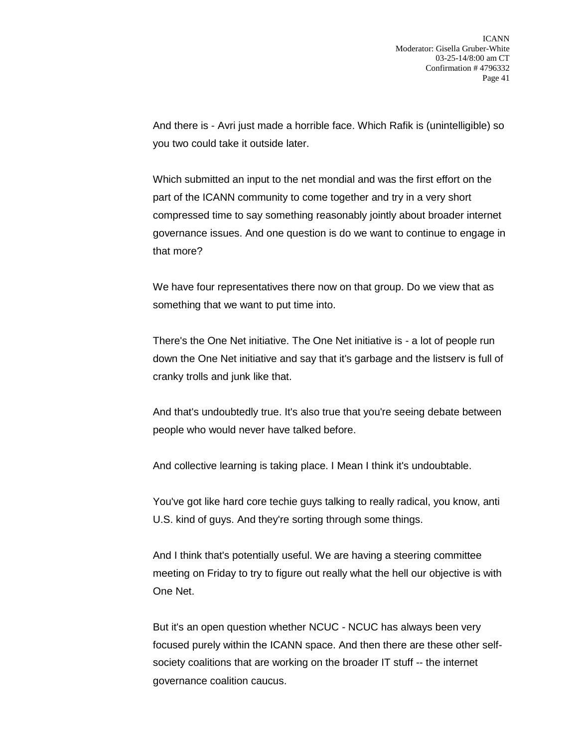And there is - Avri just made a horrible face. Which Rafik is (unintelligible) so you two could take it outside later.

Which submitted an input to the net mondial and was the first effort on the part of the ICANN community to come together and try in a very short compressed time to say something reasonably jointly about broader internet governance issues. And one question is do we want to continue to engage in that more?

We have four representatives there now on that group. Do we view that as something that we want to put time into.

There's the One Net initiative. The One Net initiative is - a lot of people run down the One Net initiative and say that it's garbage and the listserv is full of cranky trolls and junk like that.

And that's undoubtedly true. It's also true that you're seeing debate between people who would never have talked before.

And collective learning is taking place. I Mean I think it's undoubtable.

You've got like hard core techie guys talking to really radical, you know, anti U.S. kind of guys. And they're sorting through some things.

And I think that's potentially useful. We are having a steering committee meeting on Friday to try to figure out really what the hell our objective is with One Net.

But it's an open question whether NCUC - NCUC has always been very focused purely within the ICANN space. And then there are these other selfsociety coalitions that are working on the broader IT stuff -- the internet governance coalition caucus.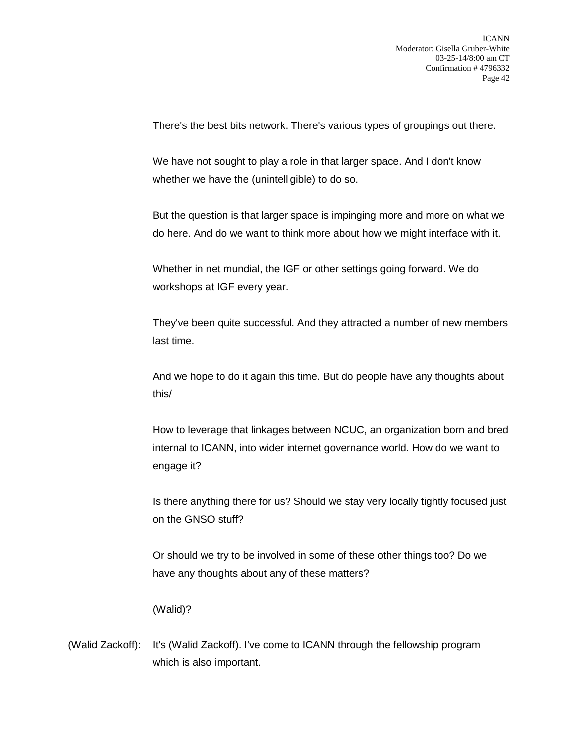There's the best bits network. There's various types of groupings out there.

We have not sought to play a role in that larger space. And I don't know whether we have the (unintelligible) to do so.

But the question is that larger space is impinging more and more on what we do here. And do we want to think more about how we might interface with it.

Whether in net mundial, the IGF or other settings going forward. We do workshops at IGF every year.

They've been quite successful. And they attracted a number of new members last time.

And we hope to do it again this time. But do people have any thoughts about this/

How to leverage that linkages between NCUC, an organization born and bred internal to ICANN, into wider internet governance world. How do we want to engage it?

Is there anything there for us? Should we stay very locally tightly focused just on the GNSO stuff?

Or should we try to be involved in some of these other things too? Do we have any thoughts about any of these matters?

(Walid)?

(Walid Zackoff): It's (Walid Zackoff). I've come to ICANN through the fellowship program which is also important.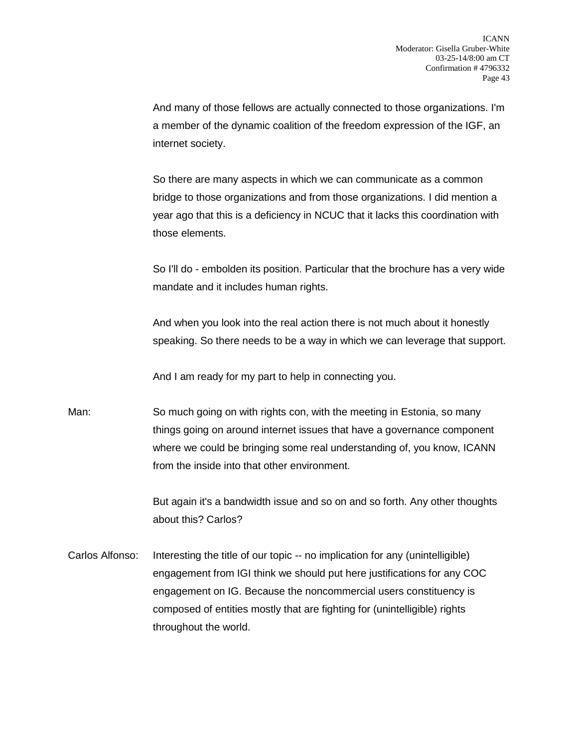And many of those fellows are actually connected to those organizations. I'm a member of the dynamic coalition of the freedom expression of the IGF, an internet society.

So there are many aspects in which we can communicate as a common bridge to those organizations and from those organizations. I did mention a year ago that this is a deficiency in NCUC that it lacks this coordination with those elements.

So I'll do - embolden its position. Particular that the brochure has a very wide mandate and it includes human rights.

And when you look into the real action there is not much about it honestly speaking. So there needs to be a way in which we can leverage that support.

And I am ready for my part to help in connecting you.

Man: So much going on with rights con, with the meeting in Estonia, so many things going on around internet issues that have a governance component where we could be bringing some real understanding of, you know, ICANN from the inside into that other environment.

> But again it's a bandwidth issue and so on and so forth. Any other thoughts about this? Carlos?

Carlos Alfonso: Interesting the title of our topic -- no implication for any (unintelligible) engagement from IGI think we should put here justifications for any COC engagement on IG. Because the noncommercial users constituency is composed of entities mostly that are fighting for (unintelligible) rights throughout the world.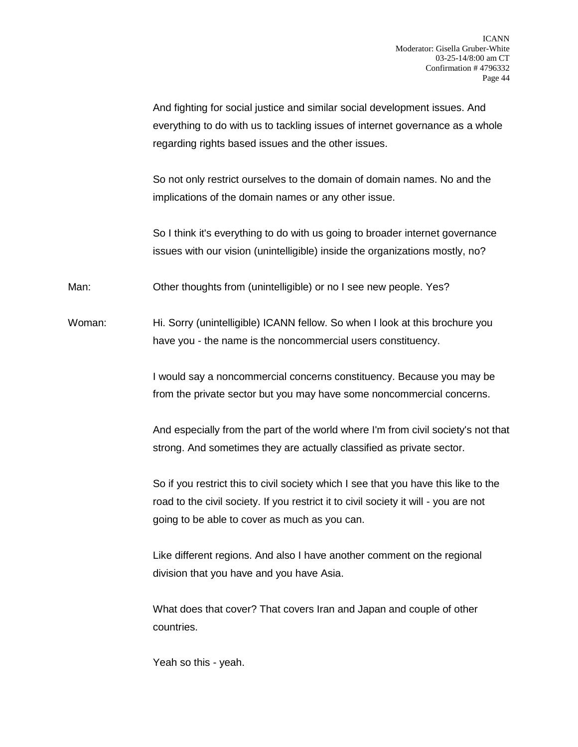And fighting for social justice and similar social development issues. And everything to do with us to tackling issues of internet governance as a whole regarding rights based issues and the other issues.

So not only restrict ourselves to the domain of domain names. No and the implications of the domain names or any other issue.

So I think it's everything to do with us going to broader internet governance issues with our vision (unintelligible) inside the organizations mostly, no?

Man: Other thoughts from (unintelligible) or no I see new people. Yes?

Woman: Hi. Sorry (unintelligible) ICANN fellow. So when I look at this brochure you have you - the name is the noncommercial users constituency.

> I would say a noncommercial concerns constituency. Because you may be from the private sector but you may have some noncommercial concerns.

And especially from the part of the world where I'm from civil society's not that strong. And sometimes they are actually classified as private sector.

So if you restrict this to civil society which I see that you have this like to the road to the civil society. If you restrict it to civil society it will - you are not going to be able to cover as much as you can.

Like different regions. And also I have another comment on the regional division that you have and you have Asia.

What does that cover? That covers Iran and Japan and couple of other countries.

Yeah so this - yeah.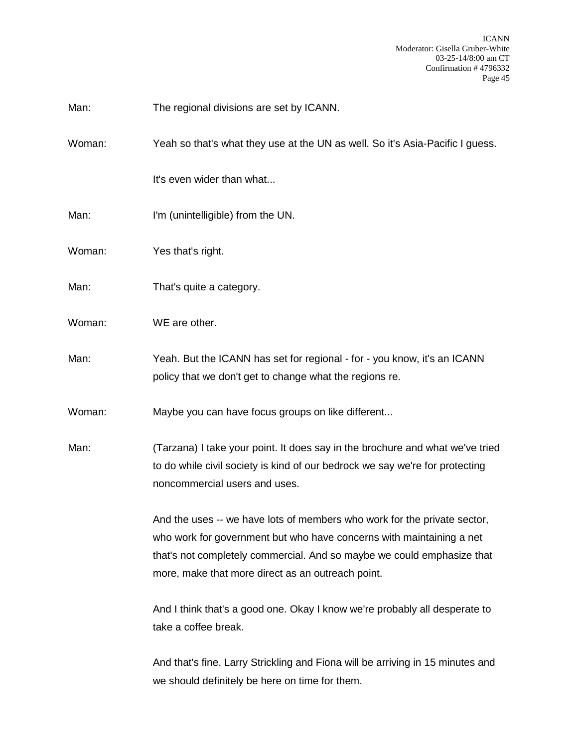Man: The regional divisions are set by ICANN.

Woman: Yeah so that's what they use at the UN as well. So it's Asia-Pacific I guess.

It's even wider than what...

- Man: I'm (unintelligible) from the UN.
- Woman: Yes that's right.
- Man: That's quite a category.
- Woman: WE are other.
- Man: Yeah. But the ICANN has set for regional for you know, it's an ICANN policy that we don't get to change what the regions re.

Woman: Maybe you can have focus groups on like different...

Man: (Tarzana) I take your point. It does say in the brochure and what we've tried to do while civil society is kind of our bedrock we say we're for protecting noncommercial users and uses.

> And the uses -- we have lots of members who work for the private sector, who work for government but who have concerns with maintaining a net that's not completely commercial. And so maybe we could emphasize that more, make that more direct as an outreach point.

> And I think that's a good one. Okay I know we're probably all desperate to take a coffee break.

> And that's fine. Larry Strickling and Fiona will be arriving in 15 minutes and we should definitely be here on time for them.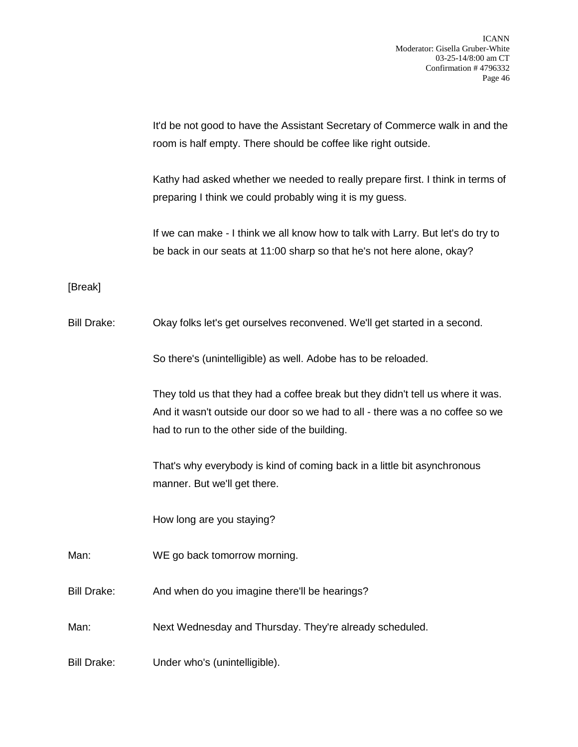It'd be not good to have the Assistant Secretary of Commerce walk in and the room is half empty. There should be coffee like right outside.

Kathy had asked whether we needed to really prepare first. I think in terms of preparing I think we could probably wing it is my guess.

If we can make - I think we all know how to talk with Larry. But let's do try to be back in our seats at 11:00 sharp so that he's not here alone, okay?

## [Break]

Bill Drake: Okay folks let's get ourselves reconvened. We'll get started in a second.

So there's (unintelligible) as well. Adobe has to be reloaded.

They told us that they had a coffee break but they didn't tell us where it was. And it wasn't outside our door so we had to all - there was a no coffee so we had to run to the other side of the building.

That's why everybody is kind of coming back in a little bit asynchronous manner. But we'll get there.

How long are you staying?

Man: WE go back tomorrow morning.

Bill Drake: And when do you imagine there'll be hearings?

Man: Next Wednesday and Thursday. They're already scheduled.

Bill Drake: Under who's (unintelligible).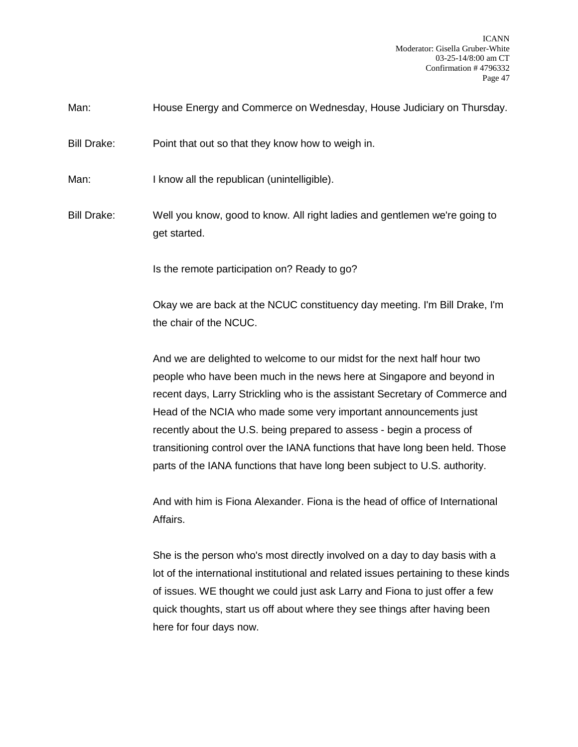ICANN Moderator: Gisella Gruber-White 03-25-14/8:00 am CT Confirmation # 4796332 Page 47

Man: House Energy and Commerce on Wednesday, House Judiciary on Thursday.

Bill Drake: Point that out so that they know how to weigh in.

Man: I know all the republican (unintelligible).

Bill Drake: Well you know, good to know. All right ladies and gentlemen we're going to get started.

Is the remote participation on? Ready to go?

Okay we are back at the NCUC constituency day meeting. I'm Bill Drake, I'm the chair of the NCUC.

And we are delighted to welcome to our midst for the next half hour two people who have been much in the news here at Singapore and beyond in recent days, Larry Strickling who is the assistant Secretary of Commerce and Head of the NCIA who made some very important announcements just recently about the U.S. being prepared to assess - begin a process of transitioning control over the IANA functions that have long been held. Those parts of the IANA functions that have long been subject to U.S. authority.

And with him is Fiona Alexander. Fiona is the head of office of International Affairs.

She is the person who's most directly involved on a day to day basis with a lot of the international institutional and related issues pertaining to these kinds of issues. WE thought we could just ask Larry and Fiona to just offer a few quick thoughts, start us off about where they see things after having been here for four days now.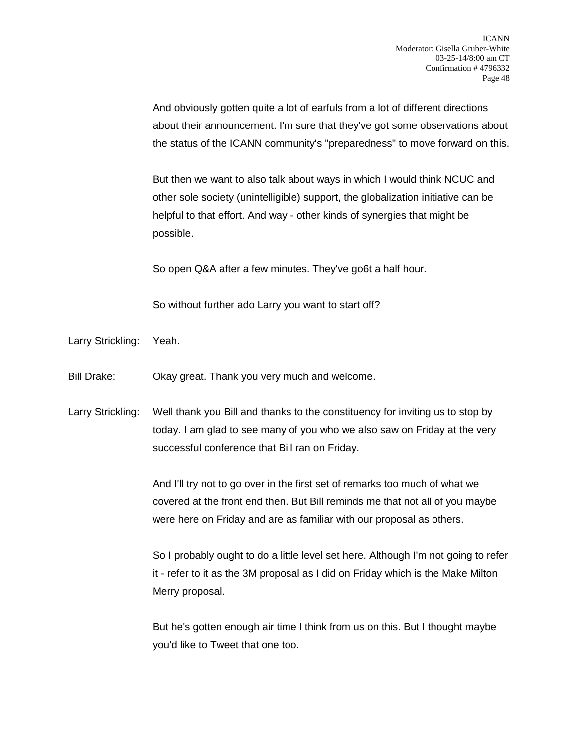And obviously gotten quite a lot of earfuls from a lot of different directions about their announcement. I'm sure that they've got some observations about the status of the ICANN community's "preparedness" to move forward on this.

But then we want to also talk about ways in which I would think NCUC and other sole society (unintelligible) support, the globalization initiative can be helpful to that effort. And way - other kinds of synergies that might be possible.

So open Q&A after a few minutes. They've go6t a half hour.

So without further ado Larry you want to start off?

Larry Strickling: Yeah.

Bill Drake: Okay great. Thank you very much and welcome.

Larry Strickling: Well thank you Bill and thanks to the constituency for inviting us to stop by today. I am glad to see many of you who we also saw on Friday at the very successful conference that Bill ran on Friday.

> And I'll try not to go over in the first set of remarks too much of what we covered at the front end then. But Bill reminds me that not all of you maybe were here on Friday and are as familiar with our proposal as others.

So I probably ought to do a little level set here. Although I'm not going to refer it - refer to it as the 3M proposal as I did on Friday which is the Make Milton Merry proposal.

But he's gotten enough air time I think from us on this. But I thought maybe you'd like to Tweet that one too.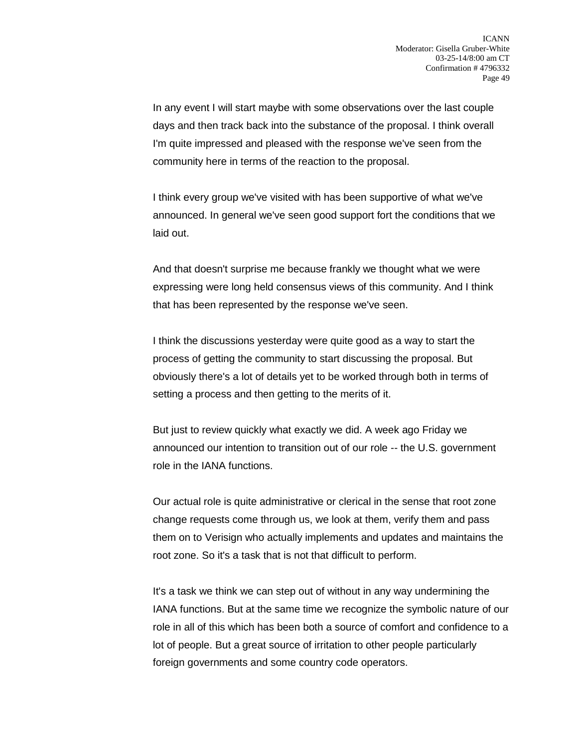In any event I will start maybe with some observations over the last couple days and then track back into the substance of the proposal. I think overall I'm quite impressed and pleased with the response we've seen from the community here in terms of the reaction to the proposal.

I think every group we've visited with has been supportive of what we've announced. In general we've seen good support fort the conditions that we laid out.

And that doesn't surprise me because frankly we thought what we were expressing were long held consensus views of this community. And I think that has been represented by the response we've seen.

I think the discussions yesterday were quite good as a way to start the process of getting the community to start discussing the proposal. But obviously there's a lot of details yet to be worked through both in terms of setting a process and then getting to the merits of it.

But just to review quickly what exactly we did. A week ago Friday we announced our intention to transition out of our role -- the U.S. government role in the IANA functions.

Our actual role is quite administrative or clerical in the sense that root zone change requests come through us, we look at them, verify them and pass them on to Verisign who actually implements and updates and maintains the root zone. So it's a task that is not that difficult to perform.

It's a task we think we can step out of without in any way undermining the IANA functions. But at the same time we recognize the symbolic nature of our role in all of this which has been both a source of comfort and confidence to a lot of people. But a great source of irritation to other people particularly foreign governments and some country code operators.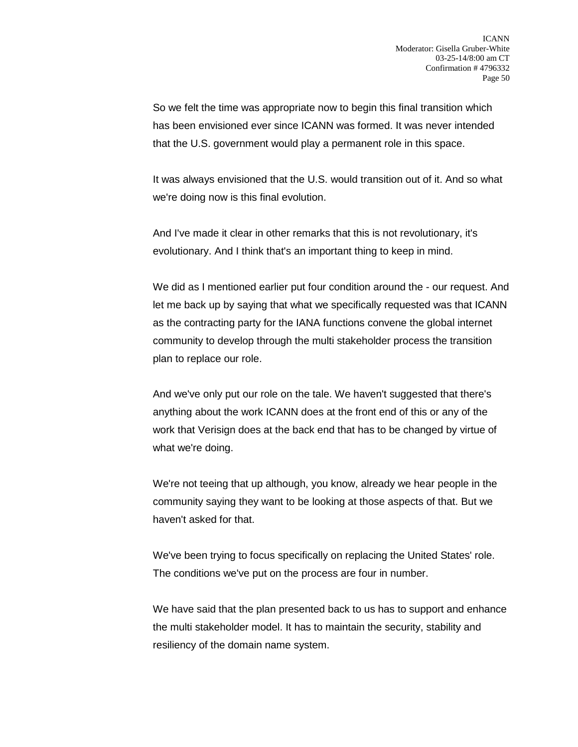So we felt the time was appropriate now to begin this final transition which has been envisioned ever since ICANN was formed. It was never intended that the U.S. government would play a permanent role in this space.

It was always envisioned that the U.S. would transition out of it. And so what we're doing now is this final evolution.

And I've made it clear in other remarks that this is not revolutionary, it's evolutionary. And I think that's an important thing to keep in mind.

We did as I mentioned earlier put four condition around the - our request. And let me back up by saying that what we specifically requested was that ICANN as the contracting party for the IANA functions convene the global internet community to develop through the multi stakeholder process the transition plan to replace our role.

And we've only put our role on the tale. We haven't suggested that there's anything about the work ICANN does at the front end of this or any of the work that Verisign does at the back end that has to be changed by virtue of what we're doing.

We're not teeing that up although, you know, already we hear people in the community saying they want to be looking at those aspects of that. But we haven't asked for that.

We've been trying to focus specifically on replacing the United States' role. The conditions we've put on the process are four in number.

We have said that the plan presented back to us has to support and enhance the multi stakeholder model. It has to maintain the security, stability and resiliency of the domain name system.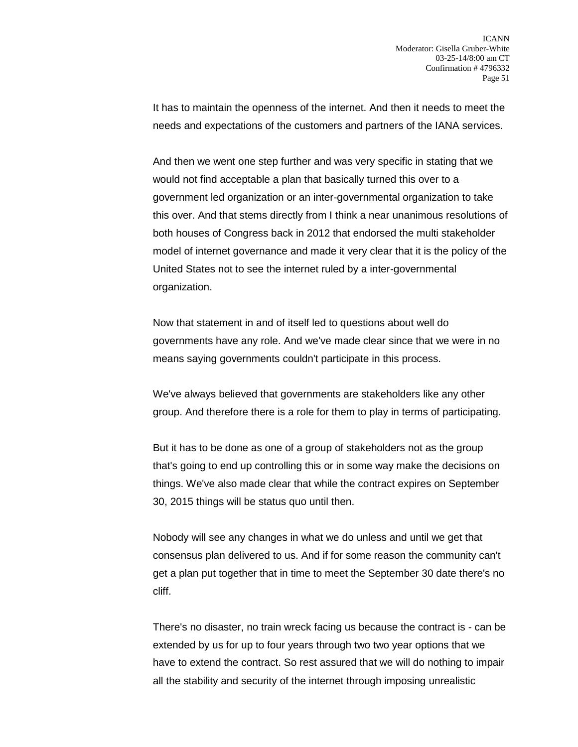It has to maintain the openness of the internet. And then it needs to meet the needs and expectations of the customers and partners of the IANA services.

And then we went one step further and was very specific in stating that we would not find acceptable a plan that basically turned this over to a government led organization or an inter-governmental organization to take this over. And that stems directly from I think a near unanimous resolutions of both houses of Congress back in 2012 that endorsed the multi stakeholder model of internet governance and made it very clear that it is the policy of the United States not to see the internet ruled by a inter-governmental organization.

Now that statement in and of itself led to questions about well do governments have any role. And we've made clear since that we were in no means saying governments couldn't participate in this process.

We've always believed that governments are stakeholders like any other group. And therefore there is a role for them to play in terms of participating.

But it has to be done as one of a group of stakeholders not as the group that's going to end up controlling this or in some way make the decisions on things. We've also made clear that while the contract expires on September 30, 2015 things will be status quo until then.

Nobody will see any changes in what we do unless and until we get that consensus plan delivered to us. And if for some reason the community can't get a plan put together that in time to meet the September 30 date there's no cliff.

There's no disaster, no train wreck facing us because the contract is - can be extended by us for up to four years through two two year options that we have to extend the contract. So rest assured that we will do nothing to impair all the stability and security of the internet through imposing unrealistic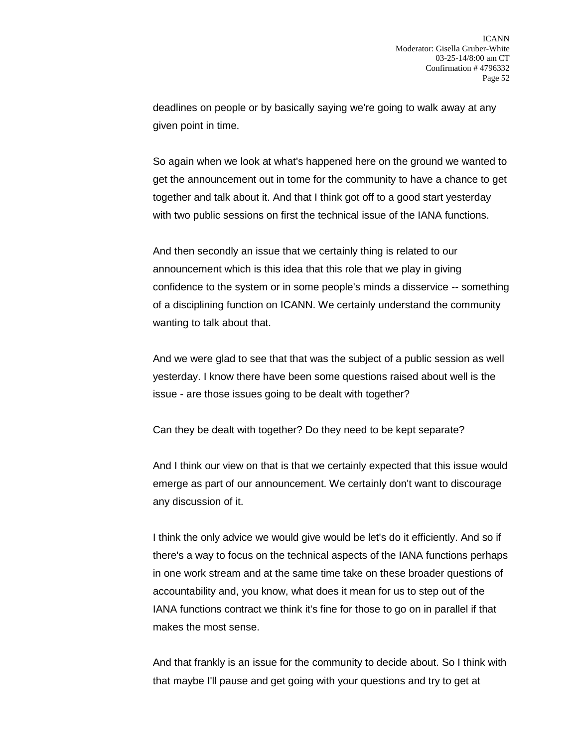deadlines on people or by basically saying we're going to walk away at any given point in time.

So again when we look at what's happened here on the ground we wanted to get the announcement out in tome for the community to have a chance to get together and talk about it. And that I think got off to a good start yesterday with two public sessions on first the technical issue of the IANA functions.

And then secondly an issue that we certainly thing is related to our announcement which is this idea that this role that we play in giving confidence to the system or in some people's minds a disservice -- something of a disciplining function on ICANN. We certainly understand the community wanting to talk about that.

And we were glad to see that that was the subject of a public session as well yesterday. I know there have been some questions raised about well is the issue - are those issues going to be dealt with together?

Can they be dealt with together? Do they need to be kept separate?

And I think our view on that is that we certainly expected that this issue would emerge as part of our announcement. We certainly don't want to discourage any discussion of it.

I think the only advice we would give would be let's do it efficiently. And so if there's a way to focus on the technical aspects of the IANA functions perhaps in one work stream and at the same time take on these broader questions of accountability and, you know, what does it mean for us to step out of the IANA functions contract we think it's fine for those to go on in parallel if that makes the most sense.

And that frankly is an issue for the community to decide about. So I think with that maybe I'll pause and get going with your questions and try to get at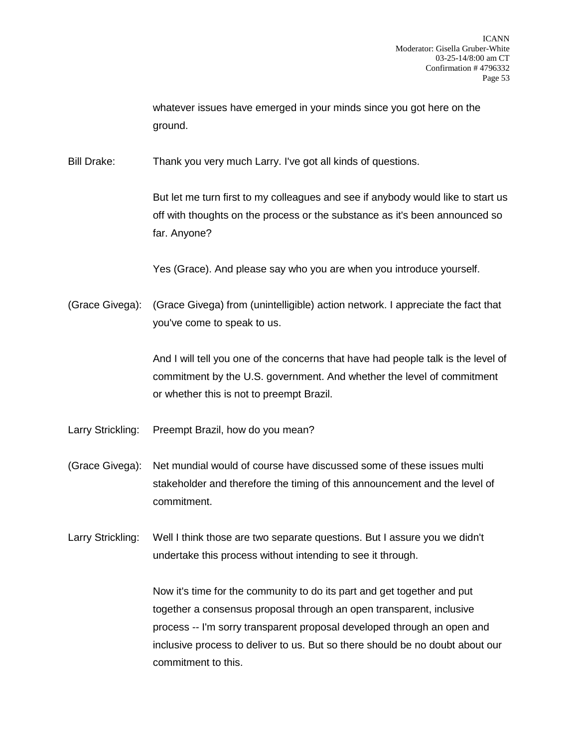whatever issues have emerged in your minds since you got here on the ground.

Bill Drake: Thank you very much Larry. I've got all kinds of questions.

But let me turn first to my colleagues and see if anybody would like to start us off with thoughts on the process or the substance as it's been announced so far. Anyone?

Yes (Grace). And please say who you are when you introduce yourself.

(Grace Givega): (Grace Givega) from (unintelligible) action network. I appreciate the fact that you've come to speak to us.

> And I will tell you one of the concerns that have had people talk is the level of commitment by the U.S. government. And whether the level of commitment or whether this is not to preempt Brazil.

- Larry Strickling: Preempt Brazil, how do you mean?
- (Grace Givega): Net mundial would of course have discussed some of these issues multi stakeholder and therefore the timing of this announcement and the level of commitment.

Larry Strickling: Well I think those are two separate questions. But I assure you we didn't undertake this process without intending to see it through.

> Now it's time for the community to do its part and get together and put together a consensus proposal through an open transparent, inclusive process -- I'm sorry transparent proposal developed through an open and inclusive process to deliver to us. But so there should be no doubt about our commitment to this.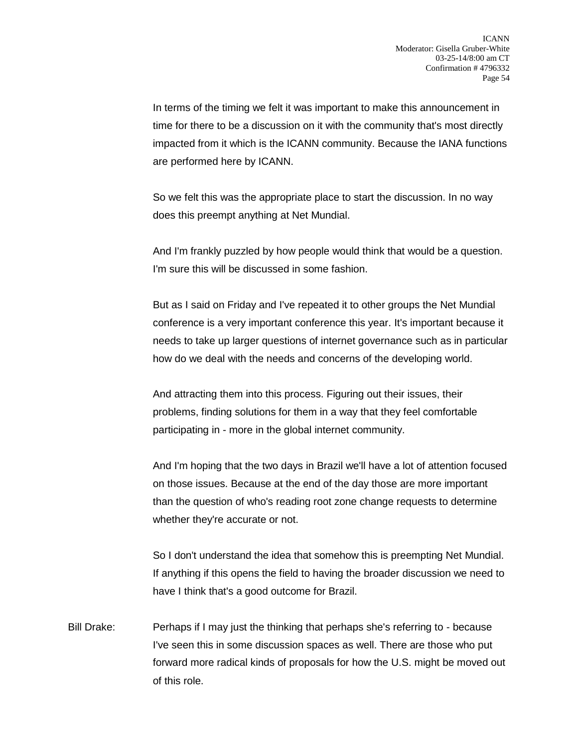In terms of the timing we felt it was important to make this announcement in time for there to be a discussion on it with the community that's most directly impacted from it which is the ICANN community. Because the IANA functions are performed here by ICANN.

So we felt this was the appropriate place to start the discussion. In no way does this preempt anything at Net Mundial.

And I'm frankly puzzled by how people would think that would be a question. I'm sure this will be discussed in some fashion.

But as I said on Friday and I've repeated it to other groups the Net Mundial conference is a very important conference this year. It's important because it needs to take up larger questions of internet governance such as in particular how do we deal with the needs and concerns of the developing world.

And attracting them into this process. Figuring out their issues, their problems, finding solutions for them in a way that they feel comfortable participating in - more in the global internet community.

And I'm hoping that the two days in Brazil we'll have a lot of attention focused on those issues. Because at the end of the day those are more important than the question of who's reading root zone change requests to determine whether they're accurate or not.

So I don't understand the idea that somehow this is preempting Net Mundial. If anything if this opens the field to having the broader discussion we need to have I think that's a good outcome for Brazil.

Bill Drake: Perhaps if I may just the thinking that perhaps she's referring to - because I've seen this in some discussion spaces as well. There are those who put forward more radical kinds of proposals for how the U.S. might be moved out of this role.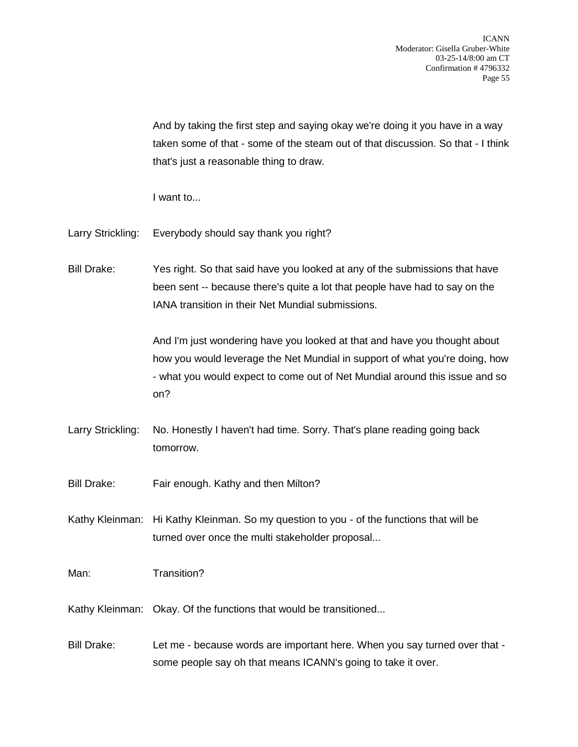And by taking the first step and saying okay we're doing it you have in a way taken some of that - some of the steam out of that discussion. So that - I think that's just a reasonable thing to draw.

I want to...

- Larry Strickling: Everybody should say thank you right?
- Bill Drake: Yes right. So that said have you looked at any of the submissions that have been sent -- because there's quite a lot that people have had to say on the IANA transition in their Net Mundial submissions.

And I'm just wondering have you looked at that and have you thought about how you would leverage the Net Mundial in support of what you're doing, how - what you would expect to come out of Net Mundial around this issue and so on?

- Larry Strickling: No. Honestly I haven't had time. Sorry. That's plane reading going back tomorrow.
- Bill Drake: Fair enough. Kathy and then Milton?
- Kathy Kleinman: Hi Kathy Kleinman. So my question to you of the functions that will be turned over once the multi stakeholder proposal...
- Man: Transition?
- Kathy Kleinman: Okay. Of the functions that would be transitioned...
- Bill Drake: Let me because words are important here. When you say turned over that some people say oh that means ICANN's going to take it over.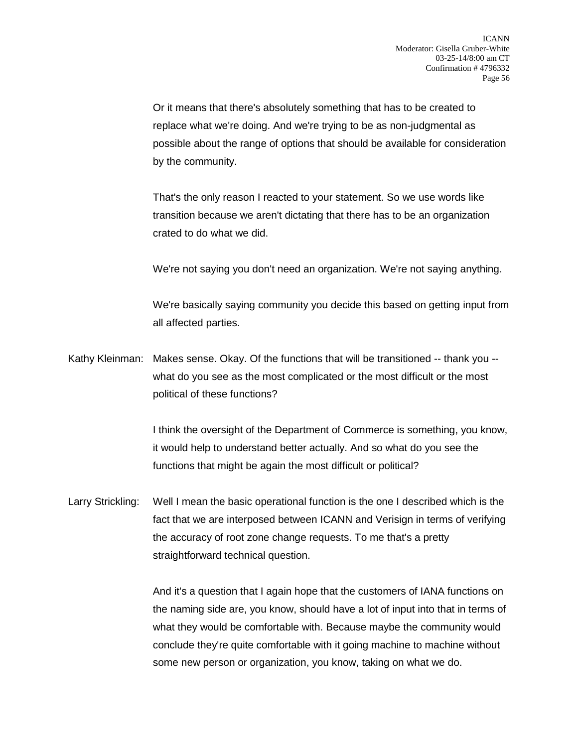Or it means that there's absolutely something that has to be created to replace what we're doing. And we're trying to be as non-judgmental as possible about the range of options that should be available for consideration by the community.

That's the only reason I reacted to your statement. So we use words like transition because we aren't dictating that there has to be an organization crated to do what we did.

We're not saying you don't need an organization. We're not saying anything.

We're basically saying community you decide this based on getting input from all affected parties.

Kathy Kleinman: Makes sense. Okay. Of the functions that will be transitioned -- thank you - what do you see as the most complicated or the most difficult or the most political of these functions?

> I think the oversight of the Department of Commerce is something, you know, it would help to understand better actually. And so what do you see the functions that might be again the most difficult or political?

Larry Strickling: Well I mean the basic operational function is the one I described which is the fact that we are interposed between ICANN and Verisign in terms of verifying the accuracy of root zone change requests. To me that's a pretty straightforward technical question.

> And it's a question that I again hope that the customers of IANA functions on the naming side are, you know, should have a lot of input into that in terms of what they would be comfortable with. Because maybe the community would conclude they're quite comfortable with it going machine to machine without some new person or organization, you know, taking on what we do.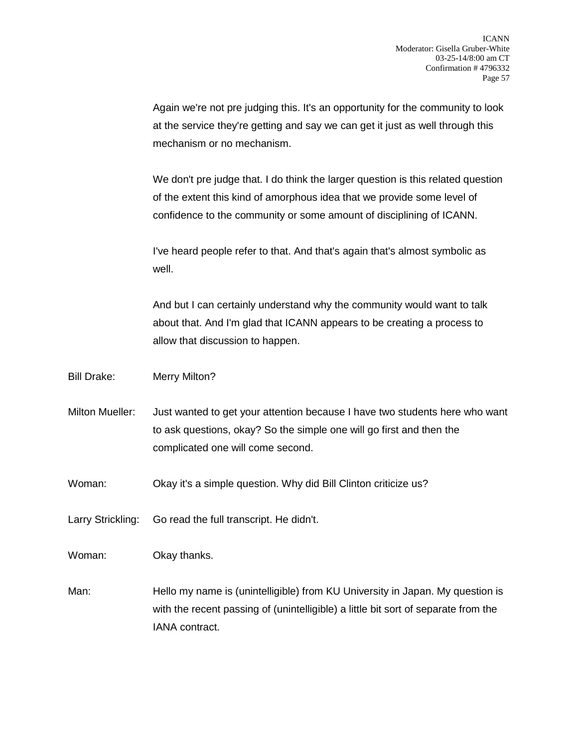Again we're not pre judging this. It's an opportunity for the community to look at the service they're getting and say we can get it just as well through this mechanism or no mechanism.

We don't pre judge that. I do think the larger question is this related question of the extent this kind of amorphous idea that we provide some level of confidence to the community or some amount of disciplining of ICANN.

I've heard people refer to that. And that's again that's almost symbolic as well.

And but I can certainly understand why the community would want to talk about that. And I'm glad that ICANN appears to be creating a process to allow that discussion to happen.

Bill Drake: Merry Milton?

- Milton Mueller: Just wanted to get your attention because I have two students here who want to ask questions, okay? So the simple one will go first and then the complicated one will come second.
- Woman: Okay it's a simple question. Why did Bill Clinton criticize us?
- Larry Strickling: Go read the full transcript. He didn't.

Woman: Okay thanks.

Man: Hello my name is (unintelligible) from KU University in Japan. My question is with the recent passing of (unintelligible) a little bit sort of separate from the IANA contract.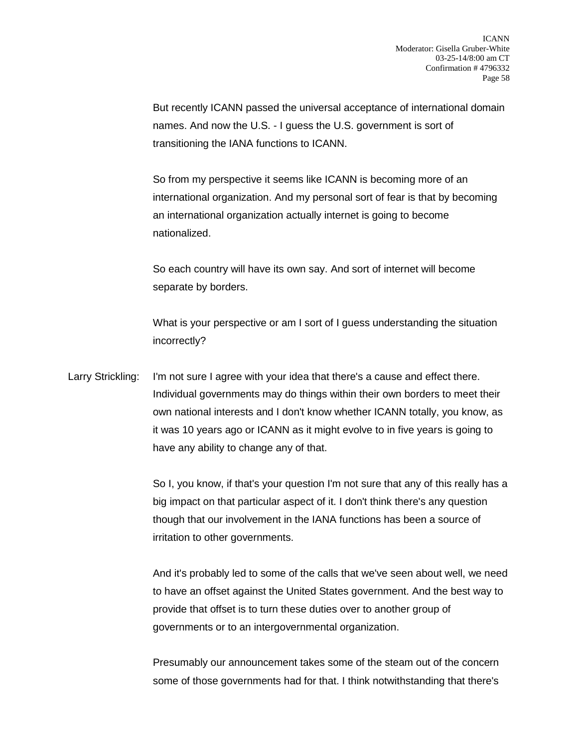But recently ICANN passed the universal acceptance of international domain names. And now the U.S. - I guess the U.S. government is sort of transitioning the IANA functions to ICANN.

So from my perspective it seems like ICANN is becoming more of an international organization. And my personal sort of fear is that by becoming an international organization actually internet is going to become nationalized.

So each country will have its own say. And sort of internet will become separate by borders.

What is your perspective or am I sort of I guess understanding the situation incorrectly?

Larry Strickling: I'm not sure I agree with your idea that there's a cause and effect there. Individual governments may do things within their own borders to meet their own national interests and I don't know whether ICANN totally, you know, as it was 10 years ago or ICANN as it might evolve to in five years is going to have any ability to change any of that.

> So I, you know, if that's your question I'm not sure that any of this really has a big impact on that particular aspect of it. I don't think there's any question though that our involvement in the IANA functions has been a source of irritation to other governments.

> And it's probably led to some of the calls that we've seen about well, we need to have an offset against the United States government. And the best way to provide that offset is to turn these duties over to another group of governments or to an intergovernmental organization.

Presumably our announcement takes some of the steam out of the concern some of those governments had for that. I think notwithstanding that there's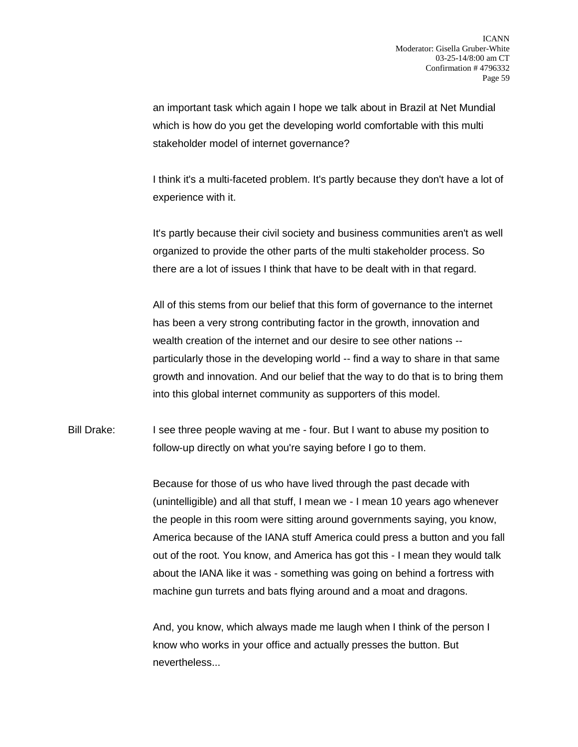an important task which again I hope we talk about in Brazil at Net Mundial which is how do you get the developing world comfortable with this multi stakeholder model of internet governance?

I think it's a multi-faceted problem. It's partly because they don't have a lot of experience with it.

It's partly because their civil society and business communities aren't as well organized to provide the other parts of the multi stakeholder process. So there are a lot of issues I think that have to be dealt with in that regard.

All of this stems from our belief that this form of governance to the internet has been a very strong contributing factor in the growth, innovation and wealth creation of the internet and our desire to see other nations - particularly those in the developing world -- find a way to share in that same growth and innovation. And our belief that the way to do that is to bring them into this global internet community as supporters of this model.

Bill Drake: I see three people waving at me - four. But I want to abuse my position to follow-up directly on what you're saying before I go to them.

> Because for those of us who have lived through the past decade with (unintelligible) and all that stuff, I mean we - I mean 10 years ago whenever the people in this room were sitting around governments saying, you know, America because of the IANA stuff America could press a button and you fall out of the root. You know, and America has got this - I mean they would talk about the IANA like it was - something was going on behind a fortress with machine gun turrets and bats flying around and a moat and dragons.

And, you know, which always made me laugh when I think of the person I know who works in your office and actually presses the button. But nevertheless...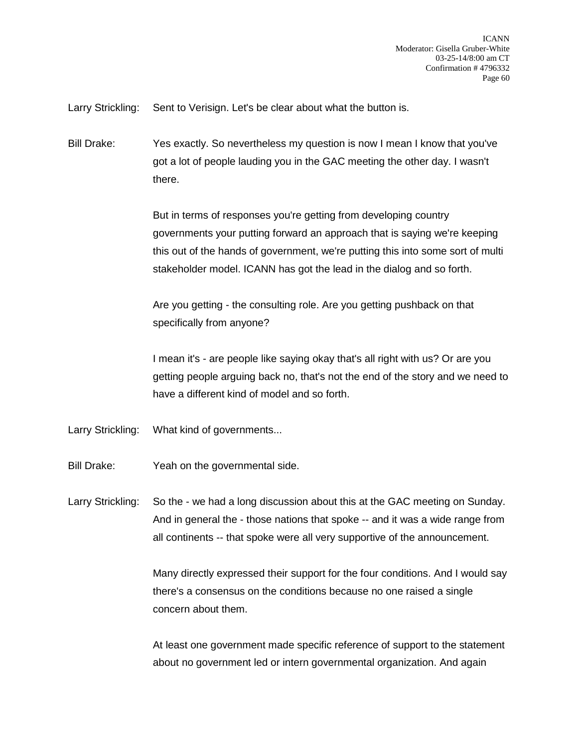Larry Strickling: Sent to Verisign. Let's be clear about what the button is.

Bill Drake: Yes exactly. So nevertheless my question is now I mean I know that you've got a lot of people lauding you in the GAC meeting the other day. I wasn't there.

> But in terms of responses you're getting from developing country governments your putting forward an approach that is saying we're keeping this out of the hands of government, we're putting this into some sort of multi stakeholder model. ICANN has got the lead in the dialog and so forth.

Are you getting - the consulting role. Are you getting pushback on that specifically from anyone?

I mean it's - are people like saying okay that's all right with us? Or are you getting people arguing back no, that's not the end of the story and we need to have a different kind of model and so forth.

- Larry Strickling: What kind of governments...
- Bill Drake: Yeah on the governmental side.

Larry Strickling: So the - we had a long discussion about this at the GAC meeting on Sunday. And in general the - those nations that spoke -- and it was a wide range from all continents -- that spoke were all very supportive of the announcement.

> Many directly expressed their support for the four conditions. And I would say there's a consensus on the conditions because no one raised a single concern about them.

> At least one government made specific reference of support to the statement about no government led or intern governmental organization. And again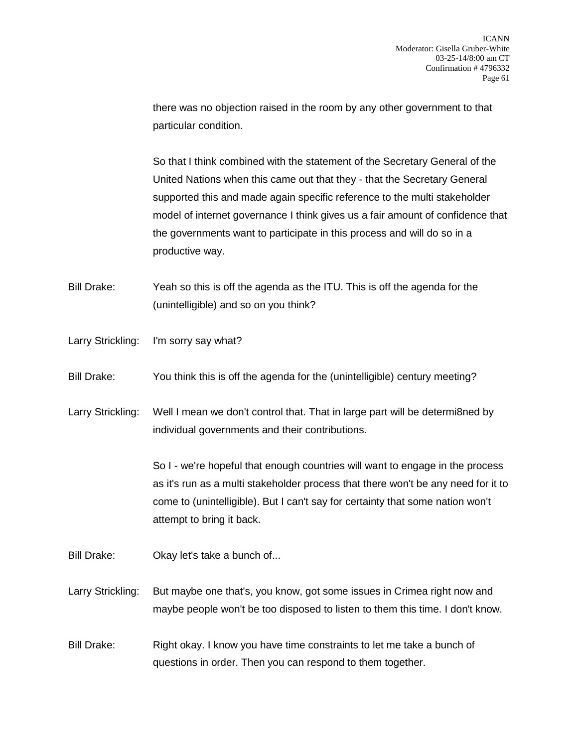there was no objection raised in the room by any other government to that particular condition.

So that I think combined with the statement of the Secretary General of the United Nations when this came out that they - that the Secretary General supported this and made again specific reference to the multi stakeholder model of internet governance I think gives us a fair amount of confidence that the governments want to participate in this process and will do so in a productive way.

Bill Drake: Yeah so this is off the agenda as the ITU. This is off the agenda for the (unintelligible) and so on you think?

- Larry Strickling: I'm sorry say what?
- Bill Drake: You think this is off the agenda for the (unintelligible) century meeting?

Larry Strickling: Well I mean we don't control that. That in large part will be determi8ned by individual governments and their contributions.

> So I - we're hopeful that enough countries will want to engage in the process as it's run as a multi stakeholder process that there won't be any need for it to come to (unintelligible). But I can't say for certainty that some nation won't attempt to bring it back.

- Bill Drake: Okay let's take a bunch of...
- Larry Strickling: But maybe one that's, you know, got some issues in Crimea right now and maybe people won't be too disposed to listen to them this time. I don't know.
- Bill Drake: Right okay. I know you have time constraints to let me take a bunch of questions in order. Then you can respond to them together.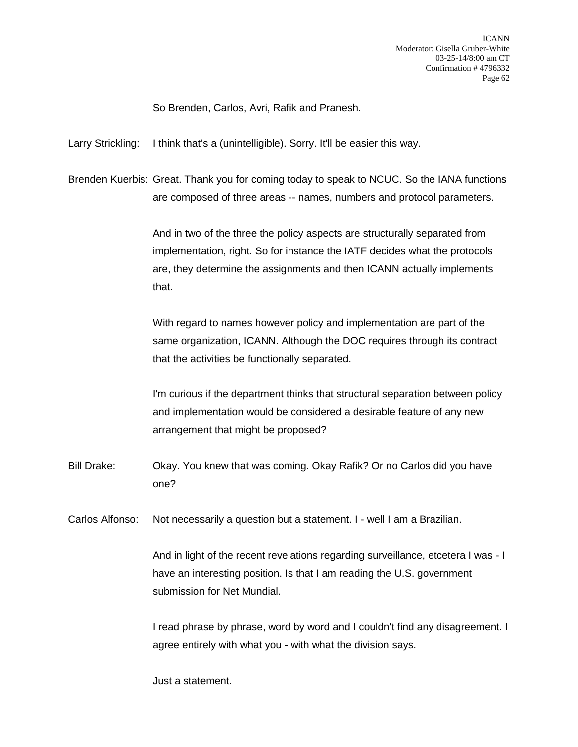So Brenden, Carlos, Avri, Rafik and Pranesh.

Larry Strickling: I think that's a (unintelligible). Sorry. It'll be easier this way.

Brenden Kuerbis: Great. Thank you for coming today to speak to NCUC. So the IANA functions are composed of three areas -- names, numbers and protocol parameters.

> And in two of the three the policy aspects are structurally separated from implementation, right. So for instance the IATF decides what the protocols are, they determine the assignments and then ICANN actually implements that.

With regard to names however policy and implementation are part of the same organization, ICANN. Although the DOC requires through its contract that the activities be functionally separated.

I'm curious if the department thinks that structural separation between policy and implementation would be considered a desirable feature of any new arrangement that might be proposed?

Bill Drake: Okay. You knew that was coming. Okay Rafik? Or no Carlos did you have one?

Carlos Alfonso: Not necessarily a question but a statement. I - well I am a Brazilian.

And in light of the recent revelations regarding surveillance, etcetera I was - I have an interesting position. Is that I am reading the U.S. government submission for Net Mundial.

I read phrase by phrase, word by word and I couldn't find any disagreement. I agree entirely with what you - with what the division says.

Just a statement.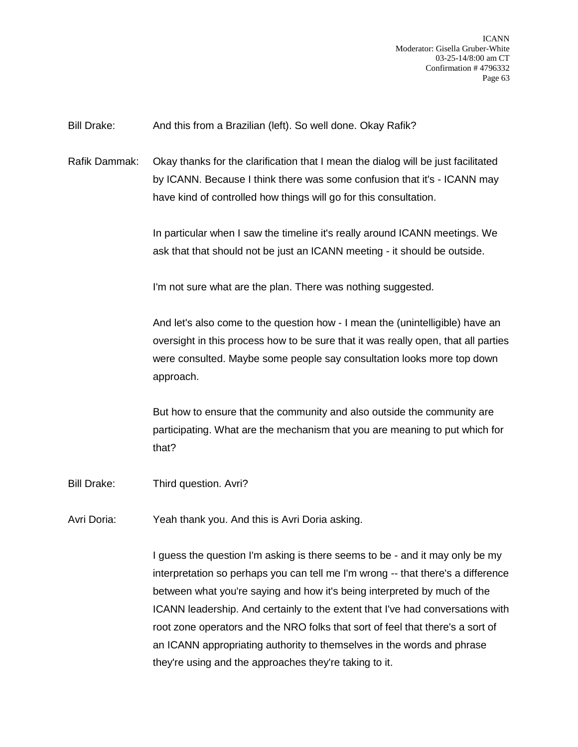Bill Drake: And this from a Brazilian (left). So well done. Okay Rafik?

Rafik Dammak: Okay thanks for the clarification that I mean the dialog will be just facilitated by ICANN. Because I think there was some confusion that it's - ICANN may have kind of controlled how things will go for this consultation.

> In particular when I saw the timeline it's really around ICANN meetings. We ask that that should not be just an ICANN meeting - it should be outside.

I'm not sure what are the plan. There was nothing suggested.

And let's also come to the question how - I mean the (unintelligible) have an oversight in this process how to be sure that it was really open, that all parties were consulted. Maybe some people say consultation looks more top down approach.

But how to ensure that the community and also outside the community are participating. What are the mechanism that you are meaning to put which for that?

Bill Drake: Third question. Avri?

Avri Doria: Yeah thank you. And this is Avri Doria asking.

I guess the question I'm asking is there seems to be - and it may only be my interpretation so perhaps you can tell me I'm wrong -- that there's a difference between what you're saying and how it's being interpreted by much of the ICANN leadership. And certainly to the extent that I've had conversations with root zone operators and the NRO folks that sort of feel that there's a sort of an ICANN appropriating authority to themselves in the words and phrase they're using and the approaches they're taking to it.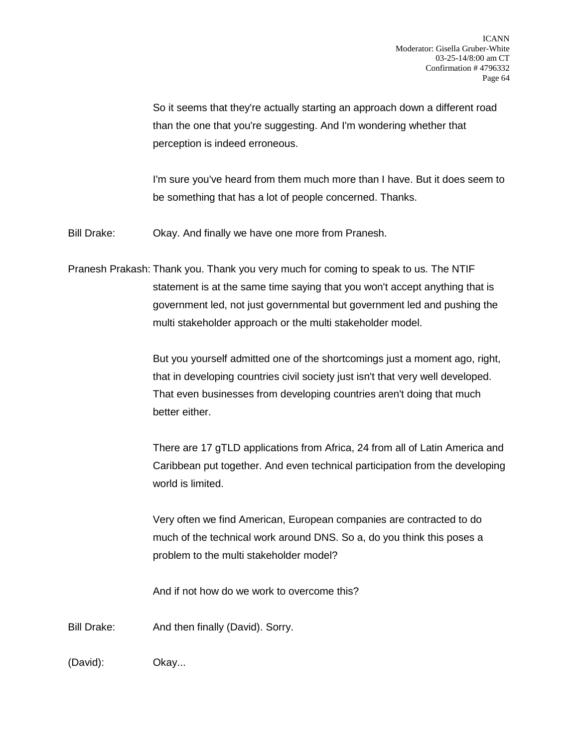So it seems that they're actually starting an approach down a different road than the one that you're suggesting. And I'm wondering whether that perception is indeed erroneous.

I'm sure you've heard from them much more than I have. But it does seem to be something that has a lot of people concerned. Thanks.

Bill Drake: Okay. And finally we have one more from Pranesh.

Pranesh Prakash: Thank you. Thank you very much for coming to speak to us. The NTIF statement is at the same time saying that you won't accept anything that is government led, not just governmental but government led and pushing the multi stakeholder approach or the multi stakeholder model.

> But you yourself admitted one of the shortcomings just a moment ago, right, that in developing countries civil society just isn't that very well developed. That even businesses from developing countries aren't doing that much better either.

There are 17 gTLD applications from Africa, 24 from all of Latin America and Caribbean put together. And even technical participation from the developing world is limited.

Very often we find American, European companies are contracted to do much of the technical work around DNS. So a, do you think this poses a problem to the multi stakeholder model?

And if not how do we work to overcome this?

Bill Drake: And then finally (David). Sorry.

(David): Okay...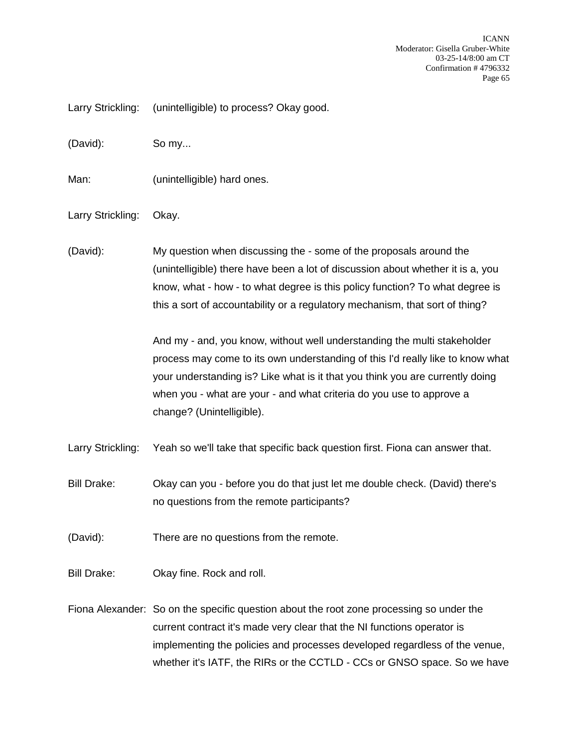Larry Strickling: (unintelligible) to process? Okay good.

(David): So my...

Man: (unintelligible) hard ones.

Larry Strickling: Okay.

(David): My question when discussing the - some of the proposals around the (unintelligible) there have been a lot of discussion about whether it is a, you know, what - how - to what degree is this policy function? To what degree is this a sort of accountability or a regulatory mechanism, that sort of thing?

> And my - and, you know, without well understanding the multi stakeholder process may come to its own understanding of this I'd really like to know what your understanding is? Like what is it that you think you are currently doing when you - what are your - and what criteria do you use to approve a change? (Unintelligible).

Larry Strickling: Yeah so we'll take that specific back question first. Fiona can answer that.

Bill Drake: Okay can you - before you do that just let me double check. (David) there's no questions from the remote participants?

(David): There are no questions from the remote.

Bill Drake: Okay fine. Rock and roll.

Fiona Alexander: So on the specific question about the root zone processing so under the current contract it's made very clear that the NI functions operator is implementing the policies and processes developed regardless of the venue, whether it's IATF, the RIRs or the CCTLD - CCs or GNSO space. So we have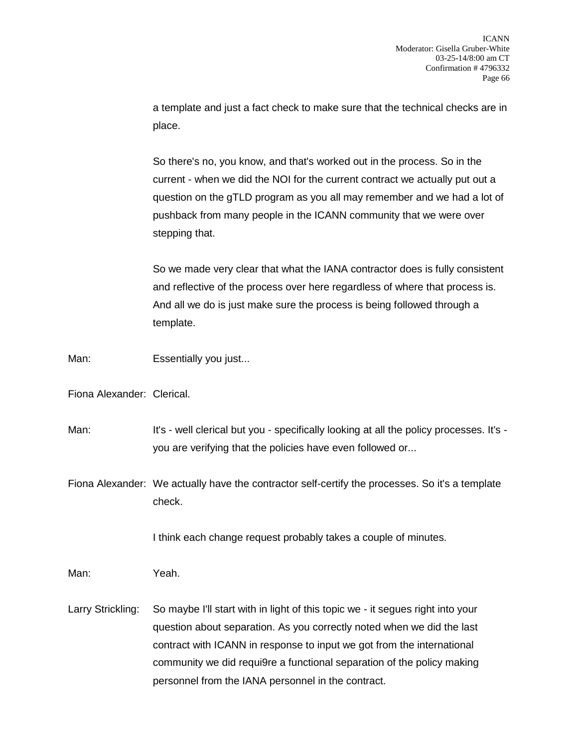a template and just a fact check to make sure that the technical checks are in place.

So there's no, you know, and that's worked out in the process. So in the current - when we did the NOI for the current contract we actually put out a question on the gTLD program as you all may remember and we had a lot of pushback from many people in the ICANN community that we were over stepping that.

So we made very clear that what the IANA contractor does is fully consistent and reflective of the process over here regardless of where that process is. And all we do is just make sure the process is being followed through a template.

Man: Essentially you just...

Fiona Alexander: Clerical.

Man: It's - well clerical but you - specifically looking at all the policy processes. It's you are verifying that the policies have even followed or...

Fiona Alexander: We actually have the contractor self-certify the processes. So it's a template check.

I think each change request probably takes a couple of minutes.

Man: Yeah.

Larry Strickling: So maybe I'll start with in light of this topic we - it segues right into your question about separation. As you correctly noted when we did the last contract with ICANN in response to input we got from the international community we did requi9re a functional separation of the policy making personnel from the IANA personnel in the contract.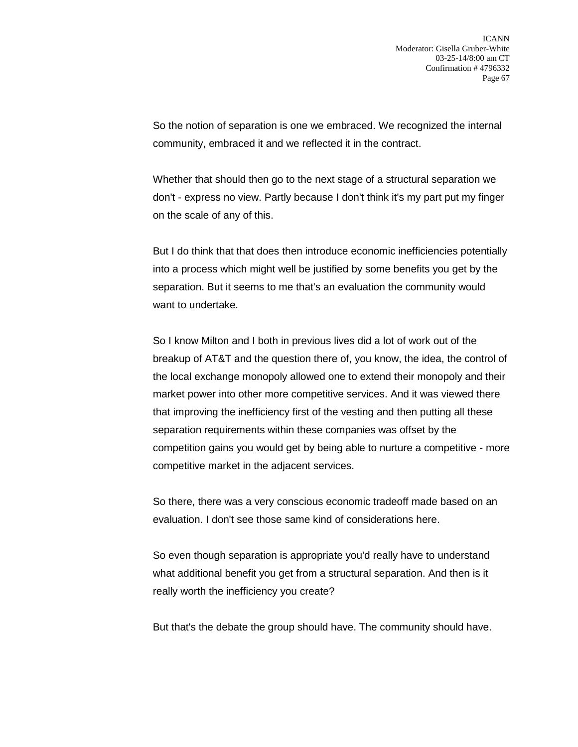So the notion of separation is one we embraced. We recognized the internal community, embraced it and we reflected it in the contract.

Whether that should then go to the next stage of a structural separation we don't - express no view. Partly because I don't think it's my part put my finger on the scale of any of this.

But I do think that that does then introduce economic inefficiencies potentially into a process which might well be justified by some benefits you get by the separation. But it seems to me that's an evaluation the community would want to undertake.

So I know Milton and I both in previous lives did a lot of work out of the breakup of AT&T and the question there of, you know, the idea, the control of the local exchange monopoly allowed one to extend their monopoly and their market power into other more competitive services. And it was viewed there that improving the inefficiency first of the vesting and then putting all these separation requirements within these companies was offset by the competition gains you would get by being able to nurture a competitive - more competitive market in the adjacent services.

So there, there was a very conscious economic tradeoff made based on an evaluation. I don't see those same kind of considerations here.

So even though separation is appropriate you'd really have to understand what additional benefit you get from a structural separation. And then is it really worth the inefficiency you create?

But that's the debate the group should have. The community should have.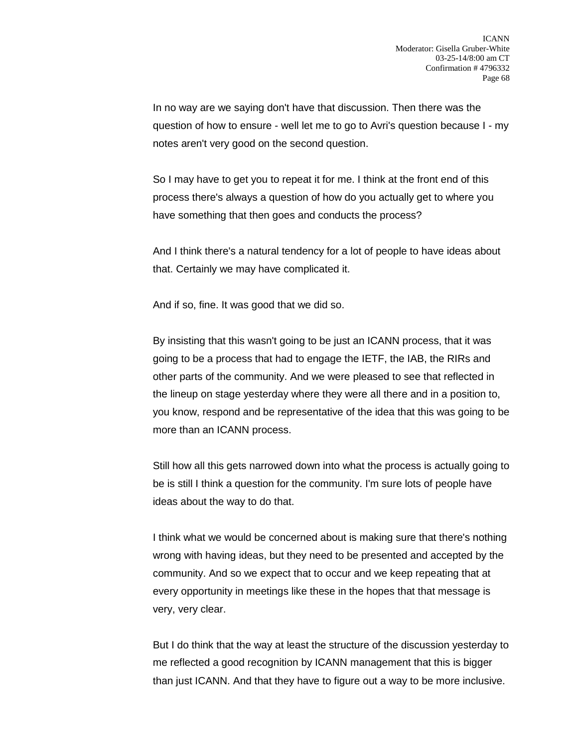In no way are we saying don't have that discussion. Then there was the question of how to ensure - well let me to go to Avri's question because I - my notes aren't very good on the second question.

So I may have to get you to repeat it for me. I think at the front end of this process there's always a question of how do you actually get to where you have something that then goes and conducts the process?

And I think there's a natural tendency for a lot of people to have ideas about that. Certainly we may have complicated it.

And if so, fine. It was good that we did so.

By insisting that this wasn't going to be just an ICANN process, that it was going to be a process that had to engage the IETF, the IAB, the RIRs and other parts of the community. And we were pleased to see that reflected in the lineup on stage yesterday where they were all there and in a position to, you know, respond and be representative of the idea that this was going to be more than an ICANN process.

Still how all this gets narrowed down into what the process is actually going to be is still I think a question for the community. I'm sure lots of people have ideas about the way to do that.

I think what we would be concerned about is making sure that there's nothing wrong with having ideas, but they need to be presented and accepted by the community. And so we expect that to occur and we keep repeating that at every opportunity in meetings like these in the hopes that that message is very, very clear.

But I do think that the way at least the structure of the discussion yesterday to me reflected a good recognition by ICANN management that this is bigger than just ICANN. And that they have to figure out a way to be more inclusive.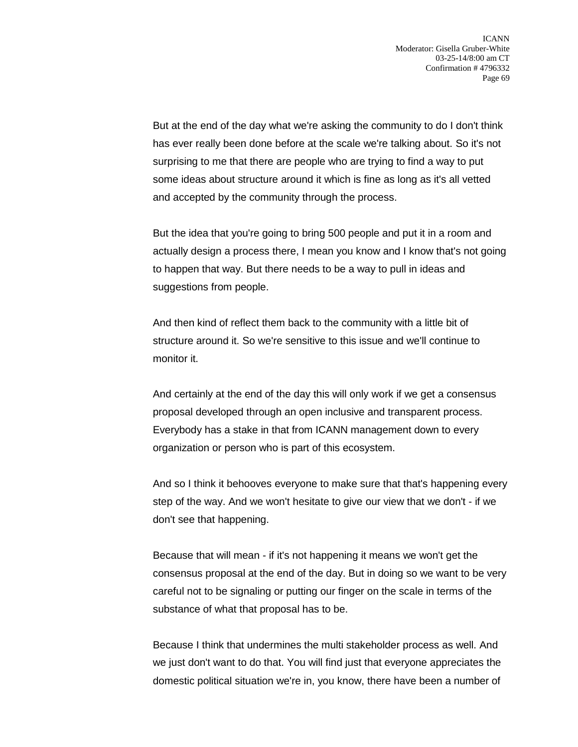But at the end of the day what we're asking the community to do I don't think has ever really been done before at the scale we're talking about. So it's not surprising to me that there are people who are trying to find a way to put some ideas about structure around it which is fine as long as it's all vetted and accepted by the community through the process.

But the idea that you're going to bring 500 people and put it in a room and actually design a process there, I mean you know and I know that's not going to happen that way. But there needs to be a way to pull in ideas and suggestions from people.

And then kind of reflect them back to the community with a little bit of structure around it. So we're sensitive to this issue and we'll continue to monitor it.

And certainly at the end of the day this will only work if we get a consensus proposal developed through an open inclusive and transparent process. Everybody has a stake in that from ICANN management down to every organization or person who is part of this ecosystem.

And so I think it behooves everyone to make sure that that's happening every step of the way. And we won't hesitate to give our view that we don't - if we don't see that happening.

Because that will mean - if it's not happening it means we won't get the consensus proposal at the end of the day. But in doing so we want to be very careful not to be signaling or putting our finger on the scale in terms of the substance of what that proposal has to be.

Because I think that undermines the multi stakeholder process as well. And we just don't want to do that. You will find just that everyone appreciates the domestic political situation we're in, you know, there have been a number of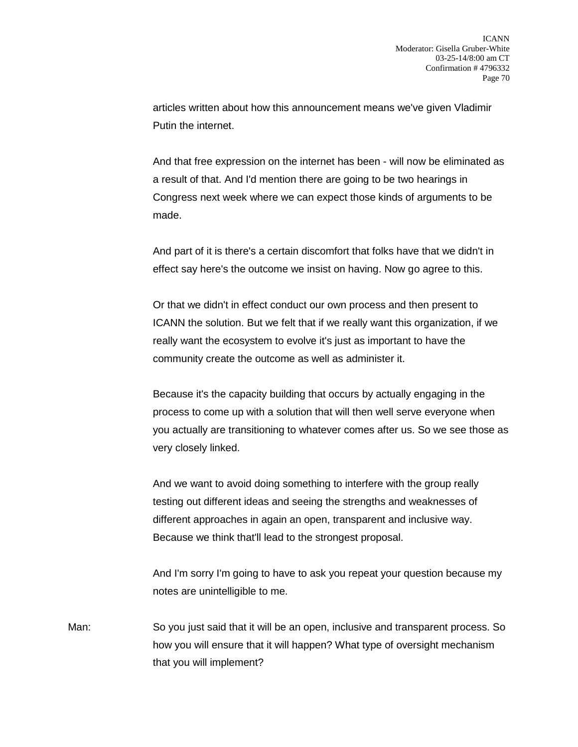articles written about how this announcement means we've given Vladimir Putin the internet.

And that free expression on the internet has been - will now be eliminated as a result of that. And I'd mention there are going to be two hearings in Congress next week where we can expect those kinds of arguments to be made.

And part of it is there's a certain discomfort that folks have that we didn't in effect say here's the outcome we insist on having. Now go agree to this.

Or that we didn't in effect conduct our own process and then present to ICANN the solution. But we felt that if we really want this organization, if we really want the ecosystem to evolve it's just as important to have the community create the outcome as well as administer it.

Because it's the capacity building that occurs by actually engaging in the process to come up with a solution that will then well serve everyone when you actually are transitioning to whatever comes after us. So we see those as very closely linked.

And we want to avoid doing something to interfere with the group really testing out different ideas and seeing the strengths and weaknesses of different approaches in again an open, transparent and inclusive way. Because we think that'll lead to the strongest proposal.

And I'm sorry I'm going to have to ask you repeat your question because my notes are unintelligible to me.

Man: So you just said that it will be an open, inclusive and transparent process. So how you will ensure that it will happen? What type of oversight mechanism that you will implement?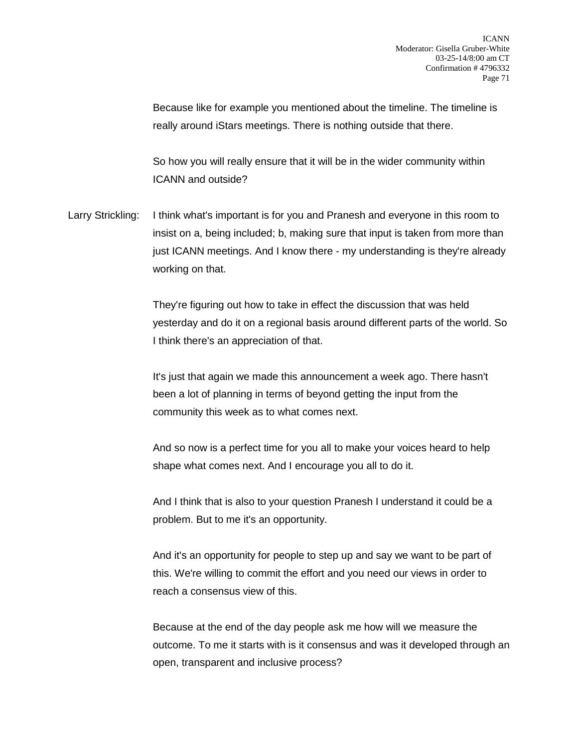Because like for example you mentioned about the timeline. The timeline is really around iStars meetings. There is nothing outside that there.

So how you will really ensure that it will be in the wider community within ICANN and outside?

Larry Strickling: I think what's important is for you and Pranesh and everyone in this room to insist on a, being included; b, making sure that input is taken from more than just ICANN meetings. And I know there - my understanding is they're already working on that.

> They're figuring out how to take in effect the discussion that was held yesterday and do it on a regional basis around different parts of the world. So I think there's an appreciation of that.

It's just that again we made this announcement a week ago. There hasn't been a lot of planning in terms of beyond getting the input from the community this week as to what comes next.

And so now is a perfect time for you all to make your voices heard to help shape what comes next. And I encourage you all to do it.

And I think that is also to your question Pranesh I understand it could be a problem. But to me it's an opportunity.

And it's an opportunity for people to step up and say we want to be part of this. We're willing to commit the effort and you need our views in order to reach a consensus view of this.

Because at the end of the day people ask me how will we measure the outcome. To me it starts with is it consensus and was it developed through an open, transparent and inclusive process?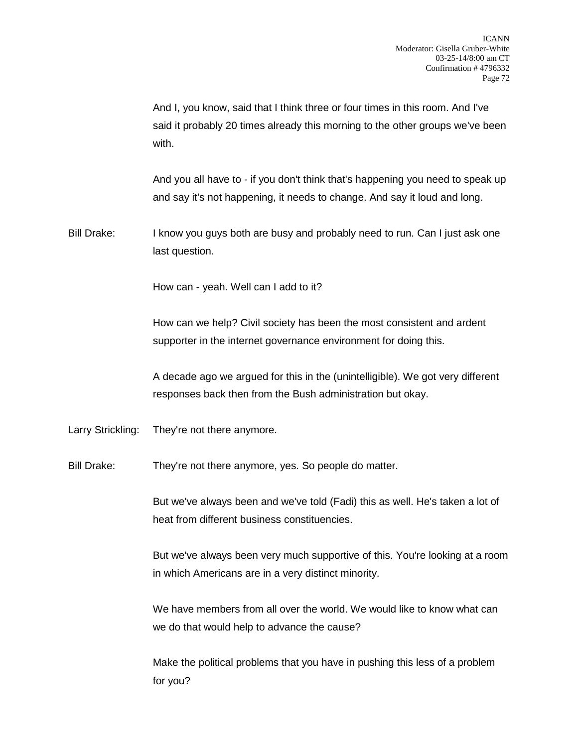And I, you know, said that I think three or four times in this room. And I've said it probably 20 times already this morning to the other groups we've been with.

And you all have to - if you don't think that's happening you need to speak up and say it's not happening, it needs to change. And say it loud and long.

Bill Drake: I know you guys both are busy and probably need to run. Can I just ask one last question.

How can - yeah. Well can I add to it?

How can we help? Civil society has been the most consistent and ardent supporter in the internet governance environment for doing this.

A decade ago we argued for this in the (unintelligible). We got very different responses back then from the Bush administration but okay.

Larry Strickling: They're not there anymore.

Bill Drake: They're not there anymore, yes. So people do matter.

But we've always been and we've told (Fadi) this as well. He's taken a lot of heat from different business constituencies.

But we've always been very much supportive of this. You're looking at a room in which Americans are in a very distinct minority.

We have members from all over the world. We would like to know what can we do that would help to advance the cause?

Make the political problems that you have in pushing this less of a problem for you?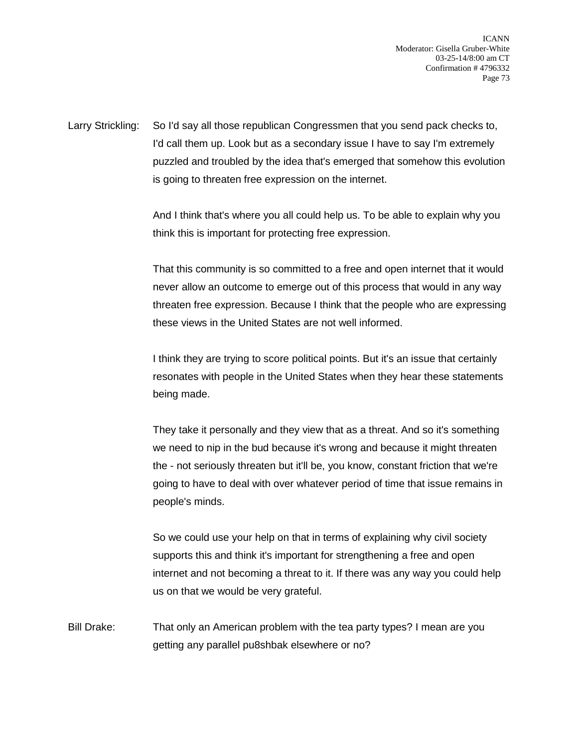Larry Strickling: So I'd say all those republican Congressmen that you send pack checks to, I'd call them up. Look but as a secondary issue I have to say I'm extremely puzzled and troubled by the idea that's emerged that somehow this evolution is going to threaten free expression on the internet.

> And I think that's where you all could help us. To be able to explain why you think this is important for protecting free expression.

That this community is so committed to a free and open internet that it would never allow an outcome to emerge out of this process that would in any way threaten free expression. Because I think that the people who are expressing these views in the United States are not well informed.

I think they are trying to score political points. But it's an issue that certainly resonates with people in the United States when they hear these statements being made.

They take it personally and they view that as a threat. And so it's something we need to nip in the bud because it's wrong and because it might threaten the - not seriously threaten but it'll be, you know, constant friction that we're going to have to deal with over whatever period of time that issue remains in people's minds.

So we could use your help on that in terms of explaining why civil society supports this and think it's important for strengthening a free and open internet and not becoming a threat to it. If there was any way you could help us on that we would be very grateful.

Bill Drake: That only an American problem with the tea party types? I mean are you getting any parallel pu8shbak elsewhere or no?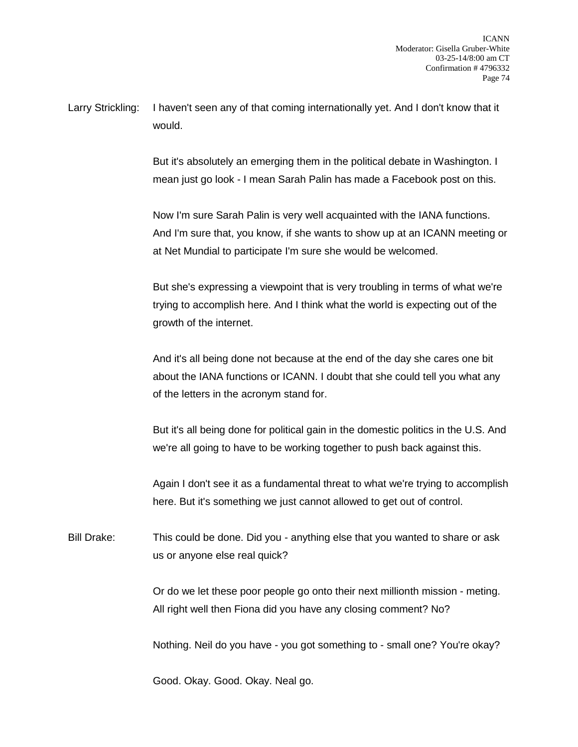Larry Strickling: I haven't seen any of that coming internationally yet. And I don't know that it would.

> But it's absolutely an emerging them in the political debate in Washington. I mean just go look - I mean Sarah Palin has made a Facebook post on this.

Now I'm sure Sarah Palin is very well acquainted with the IANA functions. And I'm sure that, you know, if she wants to show up at an ICANN meeting or at Net Mundial to participate I'm sure she would be welcomed.

But she's expressing a viewpoint that is very troubling in terms of what we're trying to accomplish here. And I think what the world is expecting out of the growth of the internet.

And it's all being done not because at the end of the day she cares one bit about the IANA functions or ICANN. I doubt that she could tell you what any of the letters in the acronym stand for.

But it's all being done for political gain in the domestic politics in the U.S. And we're all going to have to be working together to push back against this.

Again I don't see it as a fundamental threat to what we're trying to accomplish here. But it's something we just cannot allowed to get out of control.

Bill Drake: This could be done. Did you - anything else that you wanted to share or ask us or anyone else real quick?

> Or do we let these poor people go onto their next millionth mission - meting. All right well then Fiona did you have any closing comment? No?

> Nothing. Neil do you have - you got something to - small one? You're okay?

Good. Okay. Good. Okay. Neal go.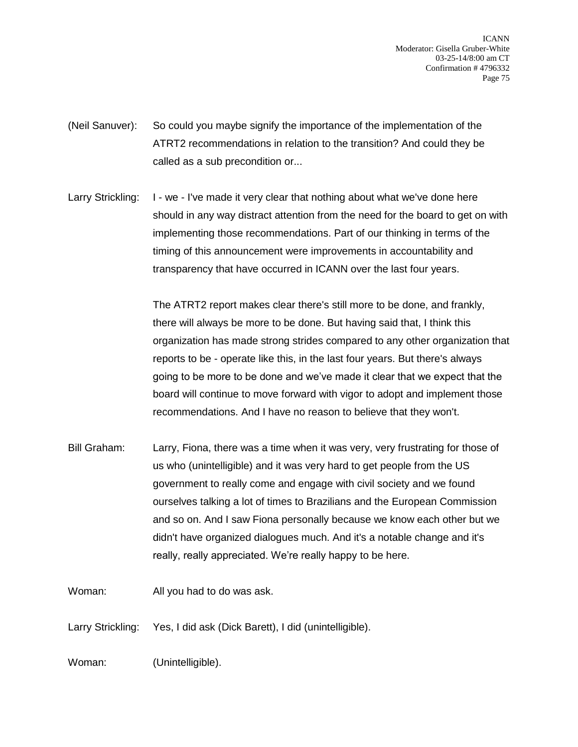- (Neil Sanuver): So could you maybe signify the importance of the implementation of the ATRT2 recommendations in relation to the transition? And could they be called as a sub precondition or...
- Larry Strickling: I we I've made it very clear that nothing about what we've done here should in any way distract attention from the need for the board to get on with implementing those recommendations. Part of our thinking in terms of the timing of this announcement were improvements in accountability and transparency that have occurred in ICANN over the last four years.

The ATRT2 report makes clear there's still more to be done, and frankly, there will always be more to be done. But having said that, I think this organization has made strong strides compared to any other organization that reports to be - operate like this, in the last four years. But there's always going to be more to be done and we've made it clear that we expect that the board will continue to move forward with vigor to adopt and implement those recommendations. And I have no reason to believe that they won't.

- Bill Graham: Larry, Fiona, there was a time when it was very, very frustrating for those of us who (unintelligible) and it was very hard to get people from the US government to really come and engage with civil society and we found ourselves talking a lot of times to Brazilians and the European Commission and so on. And I saw Fiona personally because we know each other but we didn't have organized dialogues much. And it's a notable change and it's really, really appreciated. We're really happy to be here.
- Woman: All you had to do was ask.
- Larry Strickling: Yes, I did ask (Dick Barett), I did (unintelligible).

Woman: (Unintelligible).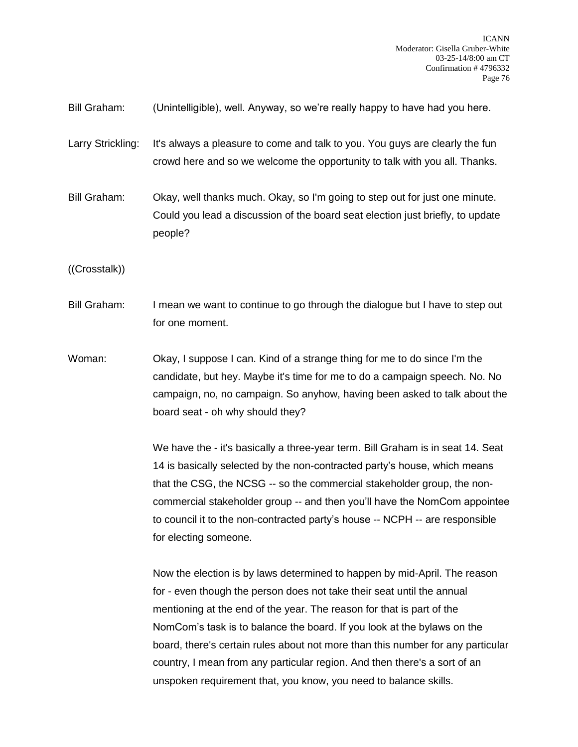Bill Graham: (Unintelligible), well. Anyway, so we're really happy to have had you here.

Larry Strickling: It's always a pleasure to come and talk to you. You guys are clearly the fun crowd here and so we welcome the opportunity to talk with you all. Thanks.

Bill Graham: Okay, well thanks much. Okay, so I'm going to step out for just one minute. Could you lead a discussion of the board seat election just briefly, to update people?

((Crosstalk))

Bill Graham: I mean we want to continue to go through the dialogue but I have to step out for one moment.

Woman: Okay, I suppose I can. Kind of a strange thing for me to do since I'm the candidate, but hey. Maybe it's time for me to do a campaign speech. No. No campaign, no, no campaign. So anyhow, having been asked to talk about the board seat - oh why should they?

> We have the - it's basically a three-year term. Bill Graham is in seat 14. Seat 14 is basically selected by the non-contracted party's house, which means that the CSG, the NCSG -- so the commercial stakeholder group, the noncommercial stakeholder group -- and then you'll have the NomCom appointee to council it to the non-contracted party's house -- NCPH -- are responsible for electing someone.

> Now the election is by laws determined to happen by mid-April. The reason for - even though the person does not take their seat until the annual mentioning at the end of the year. The reason for that is part of the NomCom's task is to balance the board. If you look at the bylaws on the board, there's certain rules about not more than this number for any particular country, I mean from any particular region. And then there's a sort of an unspoken requirement that, you know, you need to balance skills.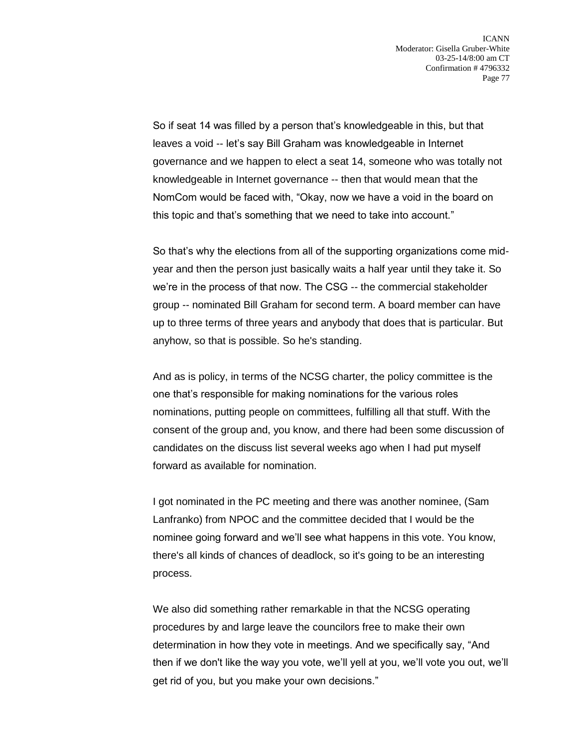So if seat 14 was filled by a person that's knowledgeable in this, but that leaves a void -- let's say Bill Graham was knowledgeable in Internet governance and we happen to elect a seat 14, someone who was totally not knowledgeable in Internet governance -- then that would mean that the NomCom would be faced with, "Okay, now we have a void in the board on this topic and that's something that we need to take into account."

So that's why the elections from all of the supporting organizations come midyear and then the person just basically waits a half year until they take it. So we're in the process of that now. The CSG -- the commercial stakeholder group -- nominated Bill Graham for second term. A board member can have up to three terms of three years and anybody that does that is particular. But anyhow, so that is possible. So he's standing.

And as is policy, in terms of the NCSG charter, the policy committee is the one that's responsible for making nominations for the various roles nominations, putting people on committees, fulfilling all that stuff. With the consent of the group and, you know, and there had been some discussion of candidates on the discuss list several weeks ago when I had put myself forward as available for nomination.

I got nominated in the PC meeting and there was another nominee, (Sam Lanfranko) from NPOC and the committee decided that I would be the nominee going forward and we'll see what happens in this vote. You know, there's all kinds of chances of deadlock, so it's going to be an interesting process.

We also did something rather remarkable in that the NCSG operating procedures by and large leave the councilors free to make their own determination in how they vote in meetings. And we specifically say, "And then if we don't like the way you vote, we'll yell at you, we'll vote you out, we'll get rid of you, but you make your own decisions."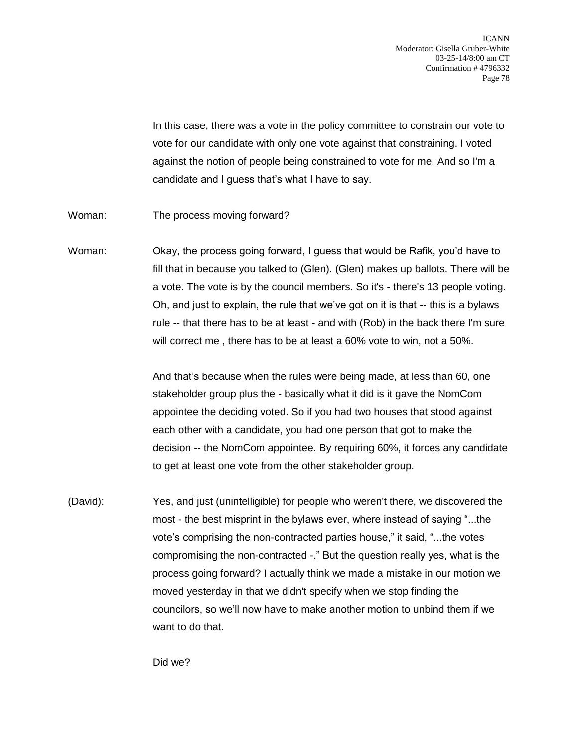In this case, there was a vote in the policy committee to constrain our vote to vote for our candidate with only one vote against that constraining. I voted against the notion of people being constrained to vote for me. And so I'm a candidate and I guess that's what I have to say.

Woman: The process moving forward?

Woman: Okay, the process going forward, I guess that would be Rafik, you'd have to fill that in because you talked to (Glen). (Glen) makes up ballots. There will be a vote. The vote is by the council members. So it's - there's 13 people voting. Oh, and just to explain, the rule that we've got on it is that -- this is a bylaws rule -- that there has to be at least - and with (Rob) in the back there I'm sure will correct me , there has to be at least a 60% vote to win, not a 50%.

> And that's because when the rules were being made, at less than 60, one stakeholder group plus the - basically what it did is it gave the NomCom appointee the deciding voted. So if you had two houses that stood against each other with a candidate, you had one person that got to make the decision -- the NomCom appointee. By requiring 60%, it forces any candidate to get at least one vote from the other stakeholder group.

(David): Yes, and just (unintelligible) for people who weren't there, we discovered the most - the best misprint in the bylaws ever, where instead of saying "...the vote's comprising the non-contracted parties house," it said, "...the votes compromising the non-contracted -." But the question really yes, what is the process going forward? I actually think we made a mistake in our motion we moved yesterday in that we didn't specify when we stop finding the councilors, so we'll now have to make another motion to unbind them if we want to do that.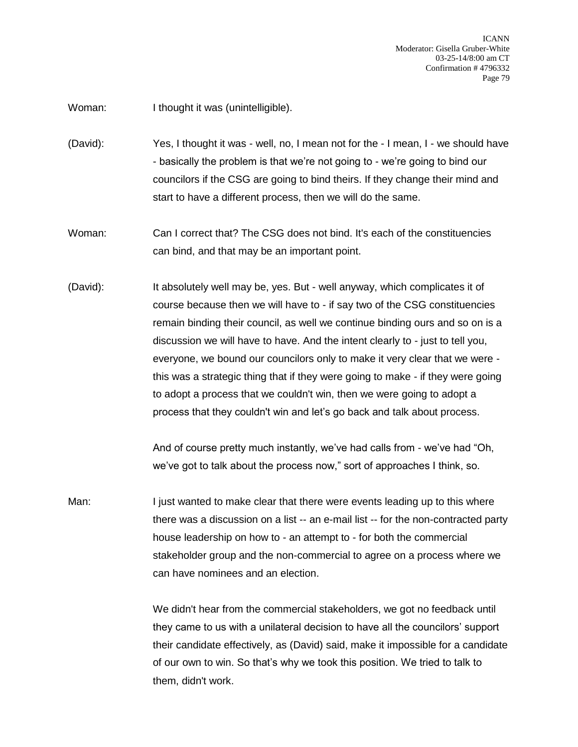Woman: I thought it was (unintelligible).

(David): Yes, I thought it was - well, no, I mean not for the - I mean, I - we should have - basically the problem is that we're not going to - we're going to bind our councilors if the CSG are going to bind theirs. If they change their mind and start to have a different process, then we will do the same.

Woman: Can I correct that? The CSG does not bind. It's each of the constituencies can bind, and that may be an important point.

(David): It absolutely well may be, yes. But - well anyway, which complicates it of course because then we will have to - if say two of the CSG constituencies remain binding their council, as well we continue binding ours and so on is a discussion we will have to have. And the intent clearly to - just to tell you, everyone, we bound our councilors only to make it very clear that we were this was a strategic thing that if they were going to make - if they were going to adopt a process that we couldn't win, then we were going to adopt a process that they couldn't win and let's go back and talk about process.

> And of course pretty much instantly, we've had calls from - we've had "Oh, we've got to talk about the process now," sort of approaches I think, so.

Man: I just wanted to make clear that there were events leading up to this where there was a discussion on a list -- an e-mail list -- for the non-contracted party house leadership on how to - an attempt to - for both the commercial stakeholder group and the non-commercial to agree on a process where we can have nominees and an election.

> We didn't hear from the commercial stakeholders, we got no feedback until they came to us with a unilateral decision to have all the councilors' support their candidate effectively, as (David) said, make it impossible for a candidate of our own to win. So that's why we took this position. We tried to talk to them, didn't work.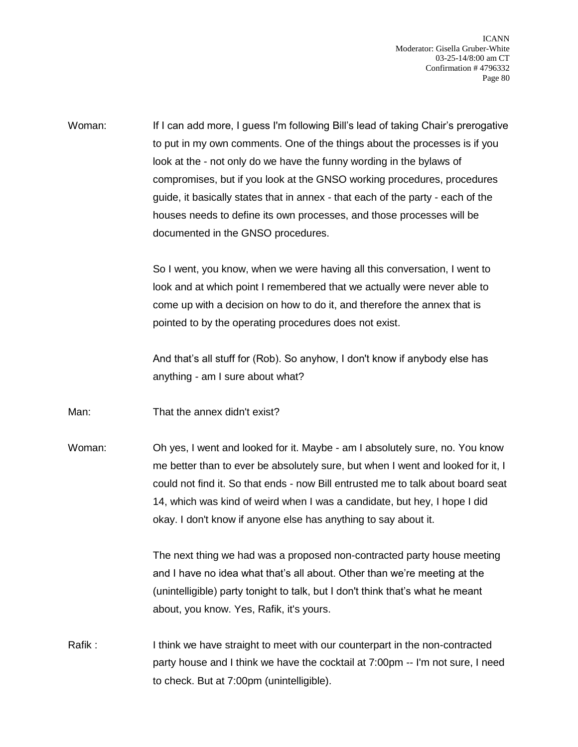Woman: If I can add more, I guess I'm following Bill's lead of taking Chair's prerogative to put in my own comments. One of the things about the processes is if you look at the - not only do we have the funny wording in the bylaws of compromises, but if you look at the GNSO working procedures, procedures guide, it basically states that in annex - that each of the party - each of the houses needs to define its own processes, and those processes will be documented in the GNSO procedures.

> So I went, you know, when we were having all this conversation, I went to look and at which point I remembered that we actually were never able to come up with a decision on how to do it, and therefore the annex that is pointed to by the operating procedures does not exist.

> And that's all stuff for (Rob). So anyhow, I don't know if anybody else has anything - am I sure about what?

Man: That the annex didn't exist?

Woman: Oh yes, I went and looked for it. Maybe - am I absolutely sure, no. You know me better than to ever be absolutely sure, but when I went and looked for it, I could not find it. So that ends - now Bill entrusted me to talk about board seat 14, which was kind of weird when I was a candidate, but hey, I hope I did okay. I don't know if anyone else has anything to say about it.

> The next thing we had was a proposed non-contracted party house meeting and I have no idea what that's all about. Other than we're meeting at the (unintelligible) party tonight to talk, but I don't think that's what he meant about, you know. Yes, Rafik, it's yours.

Rafik : I think we have straight to meet with our counterpart in the non-contracted party house and I think we have the cocktail at 7:00pm -- I'm not sure, I need to check. But at 7:00pm (unintelligible).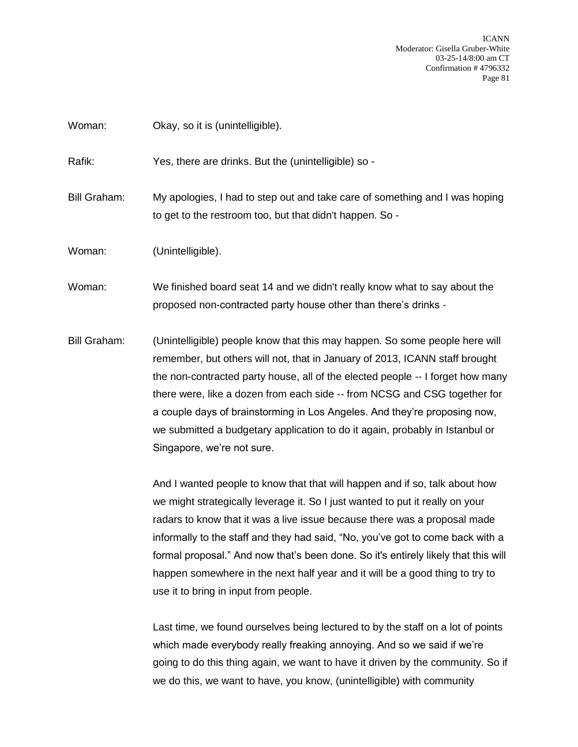Woman: Okay, so it is (unintelligible).

Rafik: Yes, there are drinks. But the (unintelligible) so -

Bill Graham: My apologies, I had to step out and take care of something and I was hoping to get to the restroom too, but that didn't happen. So -

Woman: (Unintelligible).

Woman: We finished board seat 14 and we didn't really know what to say about the proposed non-contracted party house other than there's drinks -

Bill Graham: (Unintelligible) people know that this may happen. So some people here will remember, but others will not, that in January of 2013, ICANN staff brought the non-contracted party house, all of the elected people -- I forget how many there were, like a dozen from each side -- from NCSG and CSG together for a couple days of brainstorming in Los Angeles. And they're proposing now, we submitted a budgetary application to do it again, probably in Istanbul or Singapore, we're not sure.

> And I wanted people to know that that will happen and if so, talk about how we might strategically leverage it. So I just wanted to put it really on your radars to know that it was a live issue because there was a proposal made informally to the staff and they had said, "No, you've got to come back with a formal proposal." And now that's been done. So it's entirely likely that this will happen somewhere in the next half year and it will be a good thing to try to use it to bring in input from people.

> Last time, we found ourselves being lectured to by the staff on a lot of points which made everybody really freaking annoying. And so we said if we're going to do this thing again, we want to have it driven by the community. So if we do this, we want to have, you know, (unintelligible) with community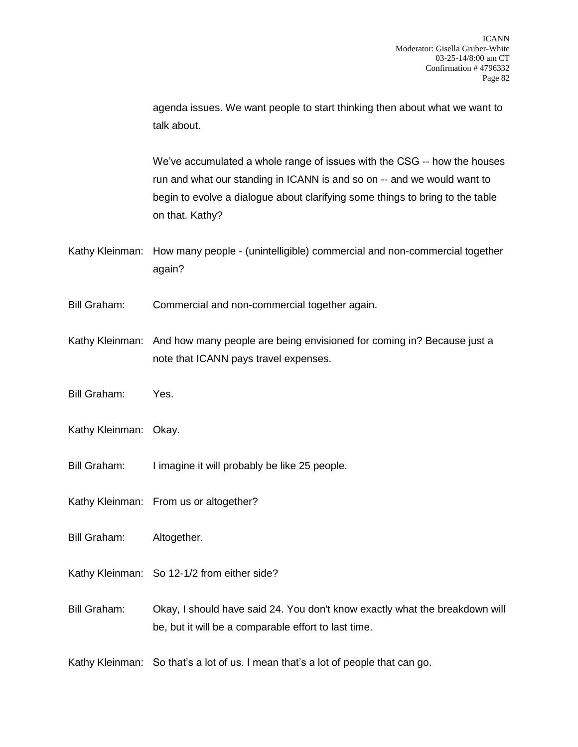agenda issues. We want people to start thinking then about what we want to talk about.

We've accumulated a whole range of issues with the CSG -- how the houses run and what our standing in ICANN is and so on -- and we would want to begin to evolve a dialogue about clarifying some things to bring to the table on that. Kathy?

- Kathy Kleinman: How many people (unintelligible) commercial and non-commercial together again?
- Bill Graham: Commercial and non-commercial together again.
- Kathy Kleinman: And how many people are being envisioned for coming in? Because just a note that ICANN pays travel expenses.
- Bill Graham: Yes.
- Kathy Kleinman: Okay.
- Bill Graham: I imagine it will probably be like 25 people.
- Kathy Kleinman: From us or altogether?
- Bill Graham: Altogether.
- Kathy Kleinman: So 12-1/2 from either side?
- Bill Graham: Okay, I should have said 24. You don't know exactly what the breakdown will be, but it will be a comparable effort to last time.
- Kathy Kleinman: So that's a lot of us. I mean that's a lot of people that can go.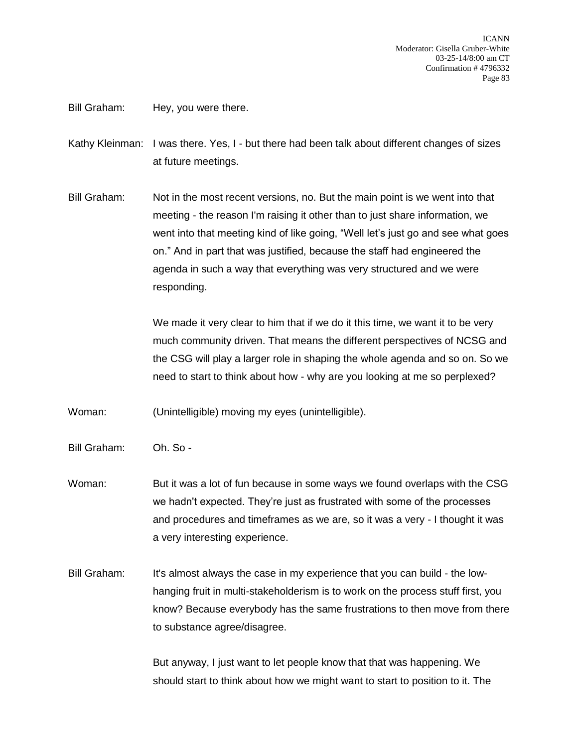Bill Graham: Hey, you were there.

Kathy Kleinman: I was there. Yes, I - but there had been talk about different changes of sizes at future meetings.

Bill Graham: Not in the most recent versions, no. But the main point is we went into that meeting - the reason I'm raising it other than to just share information, we went into that meeting kind of like going, "Well let's just go and see what goes on." And in part that was justified, because the staff had engineered the agenda in such a way that everything was very structured and we were responding.

> We made it very clear to him that if we do it this time, we want it to be very much community driven. That means the different perspectives of NCSG and the CSG will play a larger role in shaping the whole agenda and so on. So we need to start to think about how - why are you looking at me so perplexed?

Woman: (Unintelligible) moving my eyes (unintelligible).

- Bill Graham: Oh. So -
- Woman: But it was a lot of fun because in some ways we found overlaps with the CSG we hadn't expected. They're just as frustrated with some of the processes and procedures and timeframes as we are, so it was a very - I thought it was a very interesting experience.
- Bill Graham: It's almost always the case in my experience that you can build the lowhanging fruit in multi-stakeholderism is to work on the process stuff first, you know? Because everybody has the same frustrations to then move from there to substance agree/disagree.

But anyway, I just want to let people know that that was happening. We should start to think about how we might want to start to position to it. The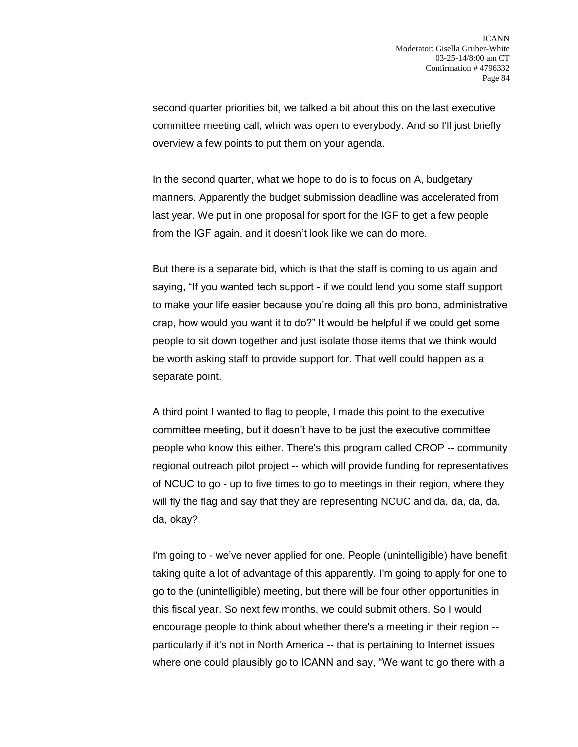second quarter priorities bit, we talked a bit about this on the last executive committee meeting call, which was open to everybody. And so I'll just briefly overview a few points to put them on your agenda.

In the second quarter, what we hope to do is to focus on A, budgetary manners. Apparently the budget submission deadline was accelerated from last year. We put in one proposal for sport for the IGF to get a few people from the IGF again, and it doesn't look like we can do more.

But there is a separate bid, which is that the staff is coming to us again and saying, "If you wanted tech support - if we could lend you some staff support to make your life easier because you're doing all this pro bono, administrative crap, how would you want it to do?" It would be helpful if we could get some people to sit down together and just isolate those items that we think would be worth asking staff to provide support for. That well could happen as a separate point.

A third point I wanted to flag to people, I made this point to the executive committee meeting, but it doesn't have to be just the executive committee people who know this either. There's this program called CROP -- community regional outreach pilot project -- which will provide funding for representatives of NCUC to go - up to five times to go to meetings in their region, where they will fly the flag and say that they are representing NCUC and da, da, da, da, da, okay?

I'm going to - we've never applied for one. People (unintelligible) have benefit taking quite a lot of advantage of this apparently. I'm going to apply for one to go to the (unintelligible) meeting, but there will be four other opportunities in this fiscal year. So next few months, we could submit others. So I would encourage people to think about whether there's a meeting in their region - particularly if it's not in North America -- that is pertaining to Internet issues where one could plausibly go to ICANN and say, "We want to go there with a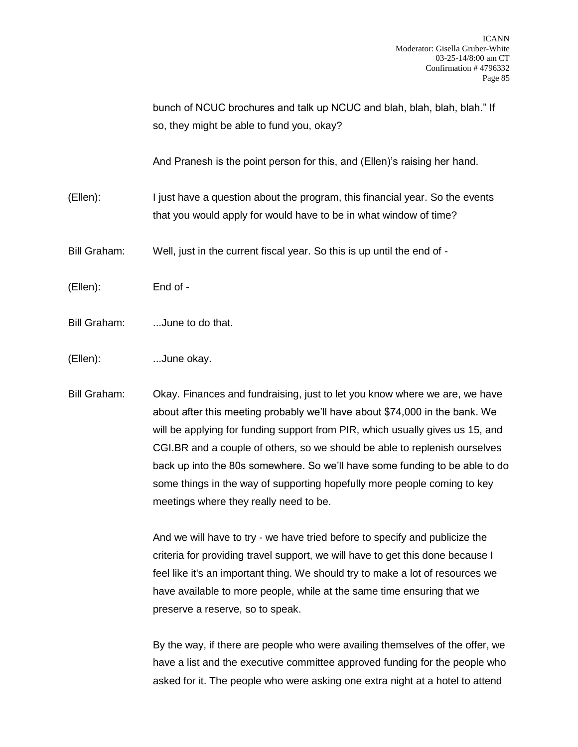bunch of NCUC brochures and talk up NCUC and blah, blah, blah, blah." If so, they might be able to fund you, okay?

And Pranesh is the point person for this, and (Ellen)'s raising her hand.

(Ellen): I just have a question about the program, this financial year. So the events that you would apply for would have to be in what window of time?

Bill Graham: Well, just in the current fiscal year. So this is up until the end of -

(Ellen): End of -

Bill Graham: ...June to do that.

(Ellen): ...June okay.

Bill Graham: Okay. Finances and fundraising, just to let you know where we are, we have about after this meeting probably we'll have about \$74,000 in the bank. We will be applying for funding support from PIR, which usually gives us 15, and CGI.BR and a couple of others, so we should be able to replenish ourselves back up into the 80s somewhere. So we'll have some funding to be able to do some things in the way of supporting hopefully more people coming to key meetings where they really need to be.

> And we will have to try - we have tried before to specify and publicize the criteria for providing travel support, we will have to get this done because I feel like it's an important thing. We should try to make a lot of resources we have available to more people, while at the same time ensuring that we preserve a reserve, so to speak.

By the way, if there are people who were availing themselves of the offer, we have a list and the executive committee approved funding for the people who asked for it. The people who were asking one extra night at a hotel to attend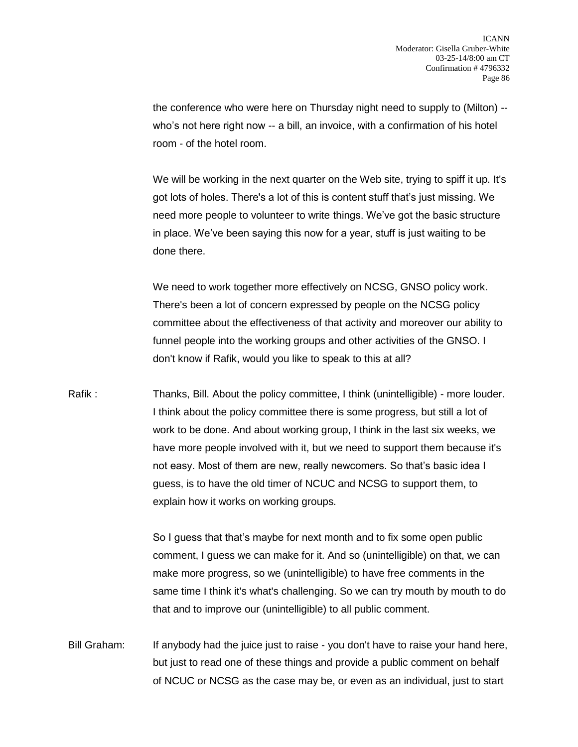the conference who were here on Thursday night need to supply to (Milton) - who's not here right now -- a bill, an invoice, with a confirmation of his hotel room - of the hotel room.

We will be working in the next quarter on the Web site, trying to spiff it up. It's got lots of holes. There's a lot of this is content stuff that's just missing. We need more people to volunteer to write things. We've got the basic structure in place. We've been saying this now for a year, stuff is just waiting to be done there.

We need to work together more effectively on NCSG, GNSO policy work. There's been a lot of concern expressed by people on the NCSG policy committee about the effectiveness of that activity and moreover our ability to funnel people into the working groups and other activities of the GNSO. I don't know if Rafik, would you like to speak to this at all?

Rafik : Thanks, Bill. About the policy committee, I think (unintelligible) - more louder. I think about the policy committee there is some progress, but still a lot of work to be done. And about working group, I think in the last six weeks, we have more people involved with it, but we need to support them because it's not easy. Most of them are new, really newcomers. So that's basic idea I guess, is to have the old timer of NCUC and NCSG to support them, to explain how it works on working groups.

> So I guess that that's maybe for next month and to fix some open public comment, I guess we can make for it. And so (unintelligible) on that, we can make more progress, so we (unintelligible) to have free comments in the same time I think it's what's challenging. So we can try mouth by mouth to do that and to improve our (unintelligible) to all public comment.

Bill Graham: If anybody had the juice just to raise - you don't have to raise your hand here, but just to read one of these things and provide a public comment on behalf of NCUC or NCSG as the case may be, or even as an individual, just to start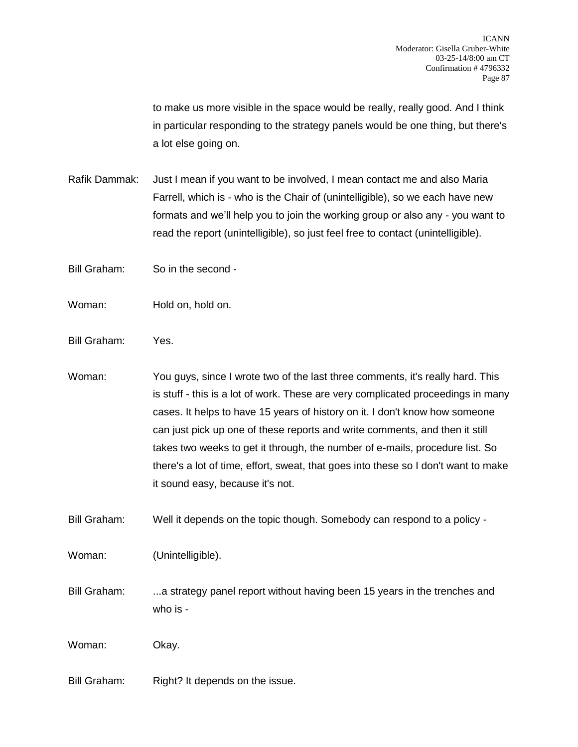to make us more visible in the space would be really, really good. And I think in particular responding to the strategy panels would be one thing, but there's a lot else going on.

Rafik Dammak: Just I mean if you want to be involved, I mean contact me and also Maria Farrell, which is - who is the Chair of (unintelligible), so we each have new formats and we'll help you to join the working group or also any - you want to read the report (unintelligible), so just feel free to contact (unintelligible).

Bill Graham: So in the second -

Woman: Hold on, hold on.

Bill Graham: Yes.

Woman: You guys, since I wrote two of the last three comments, it's really hard. This is stuff - this is a lot of work. These are very complicated proceedings in many cases. It helps to have 15 years of history on it. I don't know how someone can just pick up one of these reports and write comments, and then it still takes two weeks to get it through, the number of e-mails, procedure list. So there's a lot of time, effort, sweat, that goes into these so I don't want to make it sound easy, because it's not.

Bill Graham: Well it depends on the topic though. Somebody can respond to a policy -

Woman: (Unintelligible).

Bill Graham: ...a strategy panel report without having been 15 years in the trenches and who is -

Woman: Okay.

Bill Graham: Right? It depends on the issue.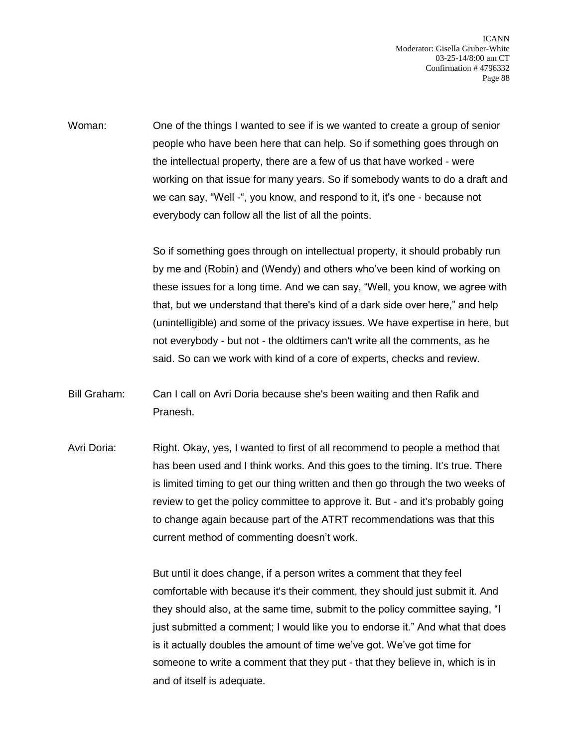Woman: One of the things I wanted to see if is we wanted to create a group of senior people who have been here that can help. So if something goes through on the intellectual property, there are a few of us that have worked - were working on that issue for many years. So if somebody wants to do a draft and we can say, "Well -", you know, and respond to it, it's one - because not everybody can follow all the list of all the points.

> So if something goes through on intellectual property, it should probably run by me and (Robin) and (Wendy) and others who've been kind of working on these issues for a long time. And we can say, "Well, you know, we agree with that, but we understand that there's kind of a dark side over here," and help (unintelligible) and some of the privacy issues. We have expertise in here, but not everybody - but not - the oldtimers can't write all the comments, as he said. So can we work with kind of a core of experts, checks and review.

Bill Graham: Can I call on Avri Doria because she's been waiting and then Rafik and Pranesh.

Avri Doria: Right. Okay, yes, I wanted to first of all recommend to people a method that has been used and I think works. And this goes to the timing. It's true. There is limited timing to get our thing written and then go through the two weeks of review to get the policy committee to approve it. But - and it's probably going to change again because part of the ATRT recommendations was that this current method of commenting doesn't work.

> But until it does change, if a person writes a comment that they feel comfortable with because it's their comment, they should just submit it. And they should also, at the same time, submit to the policy committee saying, "I just submitted a comment; I would like you to endorse it." And what that does is it actually doubles the amount of time we've got. We've got time for someone to write a comment that they put - that they believe in, which is in and of itself is adequate.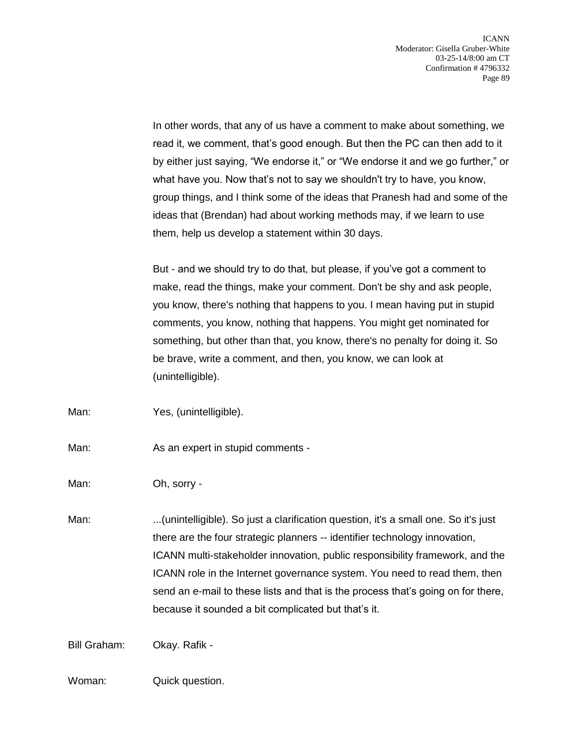In other words, that any of us have a comment to make about something, we read it, we comment, that's good enough. But then the PC can then add to it by either just saying, "We endorse it," or "We endorse it and we go further," or what have you. Now that's not to say we shouldn't try to have, you know, group things, and I think some of the ideas that Pranesh had and some of the ideas that (Brendan) had about working methods may, if we learn to use them, help us develop a statement within 30 days.

But - and we should try to do that, but please, if you've got a comment to make, read the things, make your comment. Don't be shy and ask people, you know, there's nothing that happens to you. I mean having put in stupid comments, you know, nothing that happens. You might get nominated for something, but other than that, you know, there's no penalty for doing it. So be brave, write a comment, and then, you know, we can look at (unintelligible).

Man: Yes, (unintelligible).

Man: As an expert in stupid comments -

Man: Oh, sorry -

Man: ...(unintelligible). So just a clarification question, it's a small one. So it's just there are the four strategic planners -- identifier technology innovation, ICANN multi-stakeholder innovation, public responsibility framework, and the ICANN role in the Internet governance system. You need to read them, then send an e-mail to these lists and that is the process that's going on for there, because it sounded a bit complicated but that's it.

Bill Graham: Okay. Rafik -

Woman: Quick question.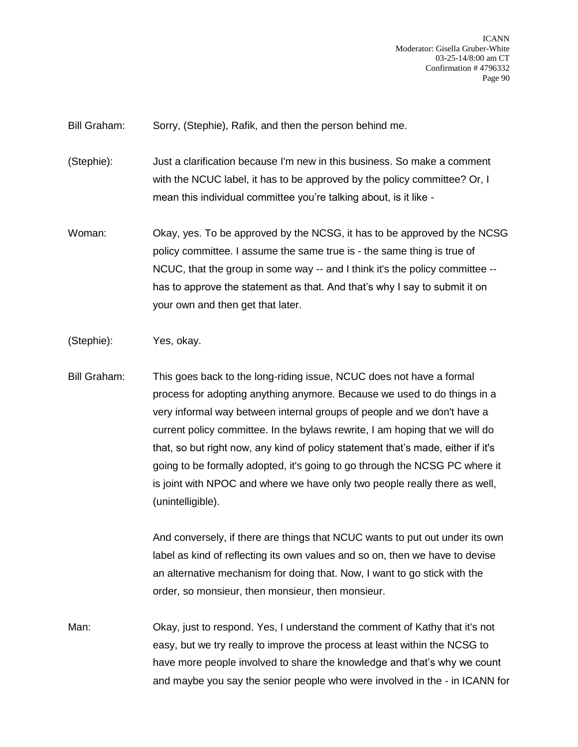Bill Graham: Sorry, (Stephie), Rafik, and then the person behind me.

(Stephie): Just a clarification because I'm new in this business. So make a comment with the NCUC label, it has to be approved by the policy committee? Or, I mean this individual committee you're talking about, is it like -

- Woman: Okay, yes. To be approved by the NCSG, it has to be approved by the NCSG policy committee. I assume the same true is - the same thing is true of NCUC, that the group in some way -- and I think it's the policy committee - has to approve the statement as that. And that's why I say to submit it on your own and then get that later.
- (Stephie): Yes, okay.
- Bill Graham: This goes back to the long-riding issue, NCUC does not have a formal process for adopting anything anymore. Because we used to do things in a very informal way between internal groups of people and we don't have a current policy committee. In the bylaws rewrite, I am hoping that we will do that, so but right now, any kind of policy statement that's made, either if it's going to be formally adopted, it's going to go through the NCSG PC where it is joint with NPOC and where we have only two people really there as well, (unintelligible).

And conversely, if there are things that NCUC wants to put out under its own label as kind of reflecting its own values and so on, then we have to devise an alternative mechanism for doing that. Now, I want to go stick with the order, so monsieur, then monsieur, then monsieur.

Man: Okay, just to respond. Yes, I understand the comment of Kathy that it's not easy, but we try really to improve the process at least within the NCSG to have more people involved to share the knowledge and that's why we count and maybe you say the senior people who were involved in the - in ICANN for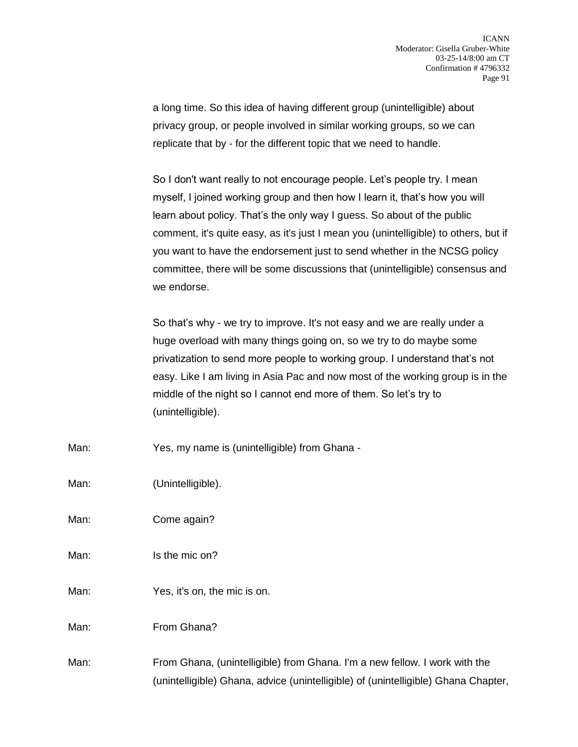a long time. So this idea of having different group (unintelligible) about privacy group, or people involved in similar working groups, so we can replicate that by - for the different topic that we need to handle.

So I don't want really to not encourage people. Let's people try. I mean myself, I joined working group and then how I learn it, that's how you will learn about policy. That's the only way I guess. So about of the public comment, it's quite easy, as it's just I mean you (unintelligible) to others, but if you want to have the endorsement just to send whether in the NCSG policy committee, there will be some discussions that (unintelligible) consensus and we endorse.

So that's why - we try to improve. It's not easy and we are really under a huge overload with many things going on, so we try to do maybe some privatization to send more people to working group. I understand that's not easy. Like I am living in Asia Pac and now most of the working group is in the middle of the night so I cannot end more of them. So let's try to (unintelligible).

Man: Yes, my name is (unintelligible) from Ghana -

Man: (Unintelligible).

Man: Come again?

Man: Is the mic on?

Man: Yes, it's on, the mic is on.

Man: From Ghana?

Man: From Ghana, (unintelligible) from Ghana. I'm a new fellow. I work with the (unintelligible) Ghana, advice (unintelligible) of (unintelligible) Ghana Chapter,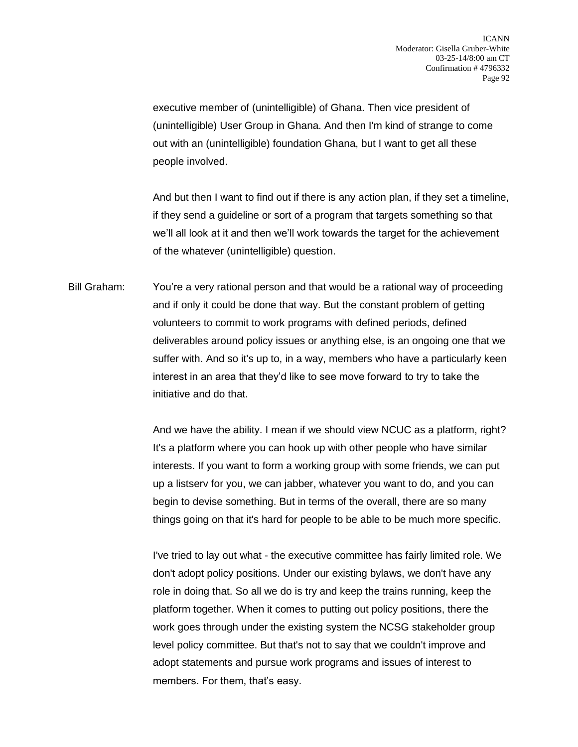executive member of (unintelligible) of Ghana. Then vice president of (unintelligible) User Group in Ghana. And then I'm kind of strange to come out with an (unintelligible) foundation Ghana, but I want to get all these people involved.

And but then I want to find out if there is any action plan, if they set a timeline, if they send a guideline or sort of a program that targets something so that we'll all look at it and then we'll work towards the target for the achievement of the whatever (unintelligible) question.

Bill Graham: You're a very rational person and that would be a rational way of proceeding and if only it could be done that way. But the constant problem of getting volunteers to commit to work programs with defined periods, defined deliverables around policy issues or anything else, is an ongoing one that we suffer with. And so it's up to, in a way, members who have a particularly keen interest in an area that they'd like to see move forward to try to take the initiative and do that.

> And we have the ability. I mean if we should view NCUC as a platform, right? It's a platform where you can hook up with other people who have similar interests. If you want to form a working group with some friends, we can put up a listserv for you, we can jabber, whatever you want to do, and you can begin to devise something. But in terms of the overall, there are so many things going on that it's hard for people to be able to be much more specific.

I've tried to lay out what - the executive committee has fairly limited role. We don't adopt policy positions. Under our existing bylaws, we don't have any role in doing that. So all we do is try and keep the trains running, keep the platform together. When it comes to putting out policy positions, there the work goes through under the existing system the NCSG stakeholder group level policy committee. But that's not to say that we couldn't improve and adopt statements and pursue work programs and issues of interest to members. For them, that's easy.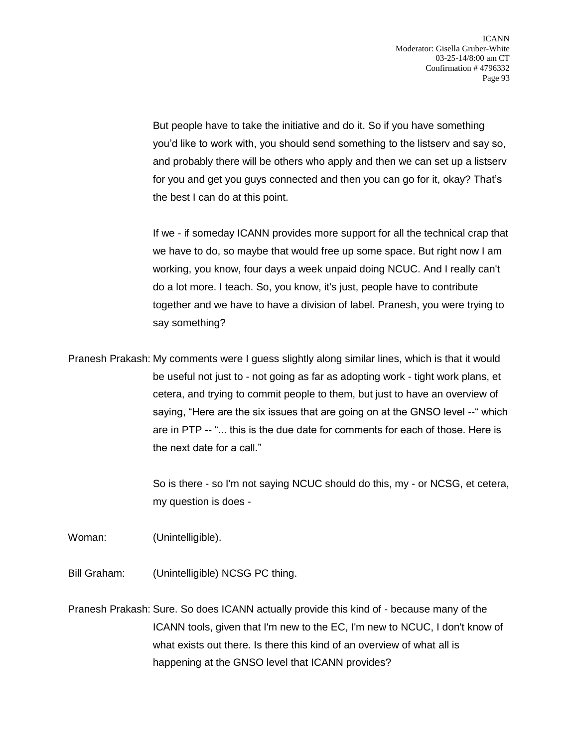But people have to take the initiative and do it. So if you have something you'd like to work with, you should send something to the listserv and say so, and probably there will be others who apply and then we can set up a listserv for you and get you guys connected and then you can go for it, okay? That's the best I can do at this point.

If we - if someday ICANN provides more support for all the technical crap that we have to do, so maybe that would free up some space. But right now I am working, you know, four days a week unpaid doing NCUC. And I really can't do a lot more. I teach. So, you know, it's just, people have to contribute together and we have to have a division of label. Pranesh, you were trying to say something?

Pranesh Prakash: My comments were I guess slightly along similar lines, which is that it would be useful not just to - not going as far as adopting work - tight work plans, et cetera, and trying to commit people to them, but just to have an overview of saying, "Here are the six issues that are going on at the GNSO level --" which are in PTP -- "... this is the due date for comments for each of those. Here is the next date for a call."

> So is there - so I'm not saying NCUC should do this, my - or NCSG, et cetera, my question is does -

Woman: (Unintelligible).

Bill Graham: (Unintelligible) NCSG PC thing.

Pranesh Prakash: Sure. So does ICANN actually provide this kind of - because many of the ICANN tools, given that I'm new to the EC, I'm new to NCUC, I don't know of what exists out there. Is there this kind of an overview of what all is happening at the GNSO level that ICANN provides?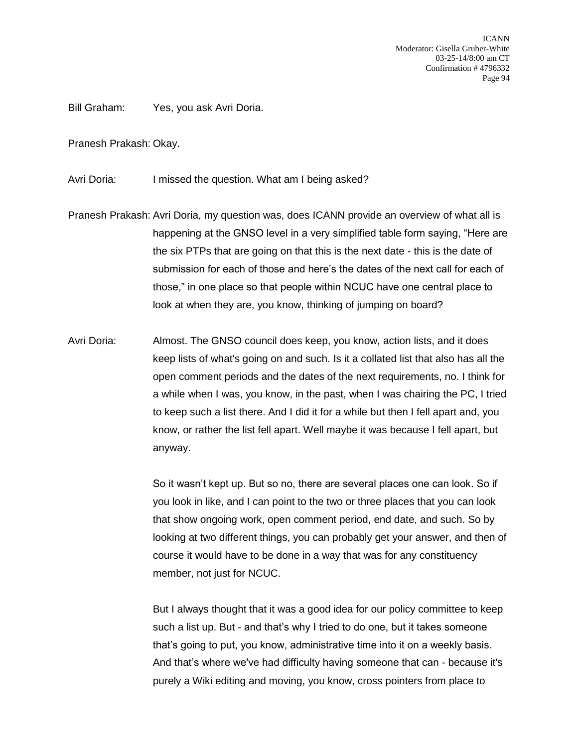Bill Graham: Yes, you ask Avri Doria.

Pranesh Prakash: Okay.

Avri Doria: I missed the question. What am I being asked?

Pranesh Prakash: Avri Doria, my question was, does ICANN provide an overview of what all is happening at the GNSO level in a very simplified table form saying, "Here are the six PTPs that are going on that this is the next date - this is the date of submission for each of those and here's the dates of the next call for each of those," in one place so that people within NCUC have one central place to look at when they are, you know, thinking of jumping on board?

Avri Doria: Almost. The GNSO council does keep, you know, action lists, and it does keep lists of what's going on and such. Is it a collated list that also has all the open comment periods and the dates of the next requirements, no. I think for a while when I was, you know, in the past, when I was chairing the PC, I tried to keep such a list there. And I did it for a while but then I fell apart and, you know, or rather the list fell apart. Well maybe it was because I fell apart, but anyway.

> So it wasn't kept up. But so no, there are several places one can look. So if you look in like, and I can point to the two or three places that you can look that show ongoing work, open comment period, end date, and such. So by looking at two different things, you can probably get your answer, and then of course it would have to be done in a way that was for any constituency member, not just for NCUC.

> But I always thought that it was a good idea for our policy committee to keep such a list up. But - and that's why I tried to do one, but it takes someone that's going to put, you know, administrative time into it on a weekly basis. And that's where we've had difficulty having someone that can - because it's purely a Wiki editing and moving, you know, cross pointers from place to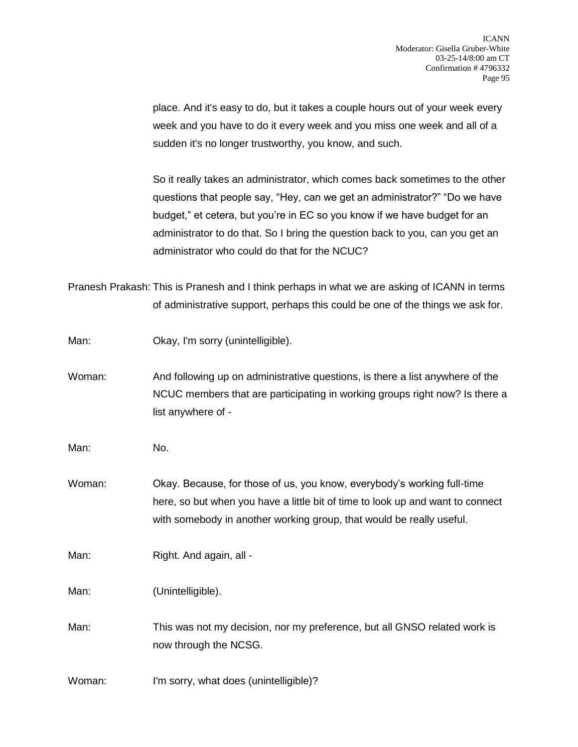place. And it's easy to do, but it takes a couple hours out of your week every week and you have to do it every week and you miss one week and all of a sudden it's no longer trustworthy, you know, and such.

So it really takes an administrator, which comes back sometimes to the other questions that people say, "Hey, can we get an administrator?" "Do we have budget," et cetera, but you're in EC so you know if we have budget for an administrator to do that. So I bring the question back to you, can you get an administrator who could do that for the NCUC?

Pranesh Prakash: This is Pranesh and I think perhaps in what we are asking of ICANN in terms of administrative support, perhaps this could be one of the things we ask for.

| Man: |  | Okay, I'm sorry (unintelligible). |
|------|--|-----------------------------------|
|      |  |                                   |

Woman: And following up on administrative questions, is there a list anywhere of the NCUC members that are participating in working groups right now? Is there a list anywhere of -

Man: No.

Woman: Okay. Because, for those of us, you know, everybody's working full-time here, so but when you have a little bit of time to look up and want to connect with somebody in another working group, that would be really useful.

Man: Right. And again, all -

Man: (Unintelligible).

Man: This was not my decision, nor my preference, but all GNSO related work is now through the NCSG.

Woman: I'm sorry, what does (unintelligible)?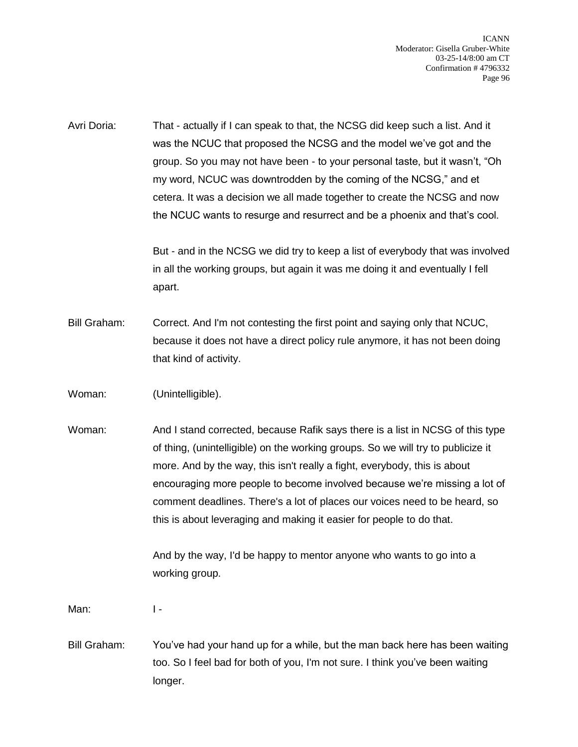Avri Doria: That - actually if I can speak to that, the NCSG did keep such a list. And it was the NCUC that proposed the NCSG and the model we've got and the group. So you may not have been - to your personal taste, but it wasn't, "Oh my word, NCUC was downtrodden by the coming of the NCSG," and et cetera. It was a decision we all made together to create the NCSG and now the NCUC wants to resurge and resurrect and be a phoenix and that's cool.

> But - and in the NCSG we did try to keep a list of everybody that was involved in all the working groups, but again it was me doing it and eventually I fell apart.

- Bill Graham: Correct. And I'm not contesting the first point and saying only that NCUC, because it does not have a direct policy rule anymore, it has not been doing that kind of activity.
- Woman: (Unintelligible).
- Woman: And I stand corrected, because Rafik says there is a list in NCSG of this type of thing, (unintelligible) on the working groups. So we will try to publicize it more. And by the way, this isn't really a fight, everybody, this is about encouraging more people to become involved because we're missing a lot of comment deadlines. There's a lot of places our voices need to be heard, so this is about leveraging and making it easier for people to do that.

And by the way, I'd be happy to mentor anyone who wants to go into a working group.

Man: I -

Bill Graham: You've had your hand up for a while, but the man back here has been waiting too. So I feel bad for both of you, I'm not sure. I think you've been waiting longer.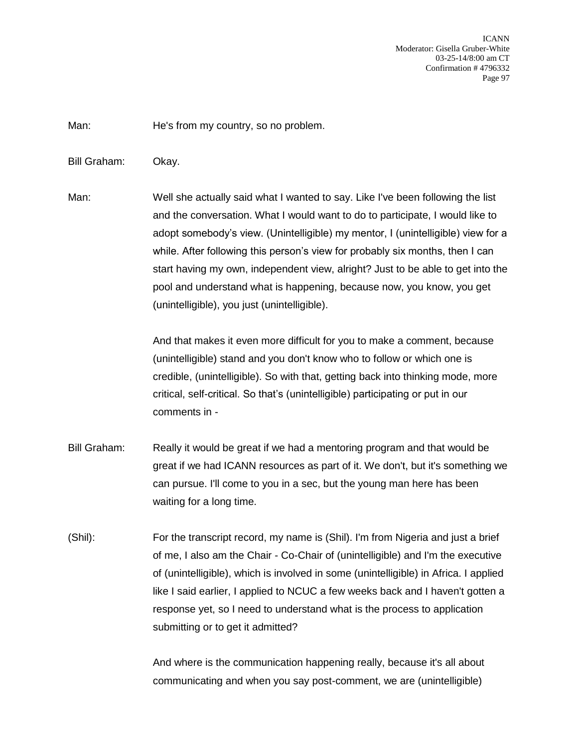Man: He's from my country, so no problem.

Bill Graham: Okay.

Man: Well she actually said what I wanted to say. Like I've been following the list and the conversation. What I would want to do to participate, I would like to adopt somebody's view. (Unintelligible) my mentor, I (unintelligible) view for a while. After following this person's view for probably six months, then I can start having my own, independent view, alright? Just to be able to get into the pool and understand what is happening, because now, you know, you get (unintelligible), you just (unintelligible).

> And that makes it even more difficult for you to make a comment, because (unintelligible) stand and you don't know who to follow or which one is credible, (unintelligible). So with that, getting back into thinking mode, more critical, self-critical. So that's (unintelligible) participating or put in our comments in -

- Bill Graham: Really it would be great if we had a mentoring program and that would be great if we had ICANN resources as part of it. We don't, but it's something we can pursue. I'll come to you in a sec, but the young man here has been waiting for a long time.
- (Shil): For the transcript record, my name is (Shil). I'm from Nigeria and just a brief of me, I also am the Chair - Co-Chair of (unintelligible) and I'm the executive of (unintelligible), which is involved in some (unintelligible) in Africa. I applied like I said earlier, I applied to NCUC a few weeks back and I haven't gotten a response yet, so I need to understand what is the process to application submitting or to get it admitted?

And where is the communication happening really, because it's all about communicating and when you say post-comment, we are (unintelligible)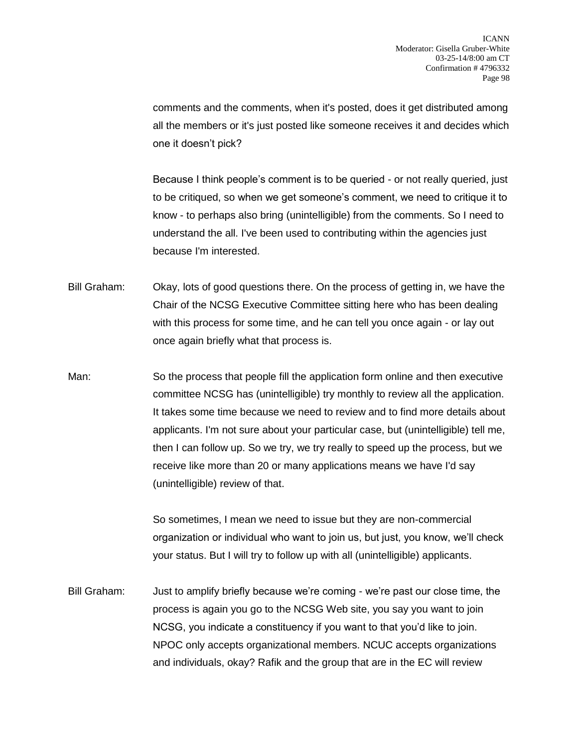comments and the comments, when it's posted, does it get distributed among all the members or it's just posted like someone receives it and decides which one it doesn't pick?

Because I think people's comment is to be queried - or not really queried, just to be critiqued, so when we get someone's comment, we need to critique it to know - to perhaps also bring (unintelligible) from the comments. So I need to understand the all. I've been used to contributing within the agencies just because I'm interested.

- Bill Graham: Okay, lots of good questions there. On the process of getting in, we have the Chair of the NCSG Executive Committee sitting here who has been dealing with this process for some time, and he can tell you once again - or lay out once again briefly what that process is.
- Man: So the process that people fill the application form online and then executive committee NCSG has (unintelligible) try monthly to review all the application. It takes some time because we need to review and to find more details about applicants. I'm not sure about your particular case, but (unintelligible) tell me, then I can follow up. So we try, we try really to speed up the process, but we receive like more than 20 or many applications means we have I'd say (unintelligible) review of that.

So sometimes, I mean we need to issue but they are non-commercial organization or individual who want to join us, but just, you know, we'll check your status. But I will try to follow up with all (unintelligible) applicants.

Bill Graham: Just to amplify briefly because we're coming - we're past our close time, the process is again you go to the NCSG Web site, you say you want to join NCSG, you indicate a constituency if you want to that you'd like to join. NPOC only accepts organizational members. NCUC accepts organizations and individuals, okay? Rafik and the group that are in the EC will review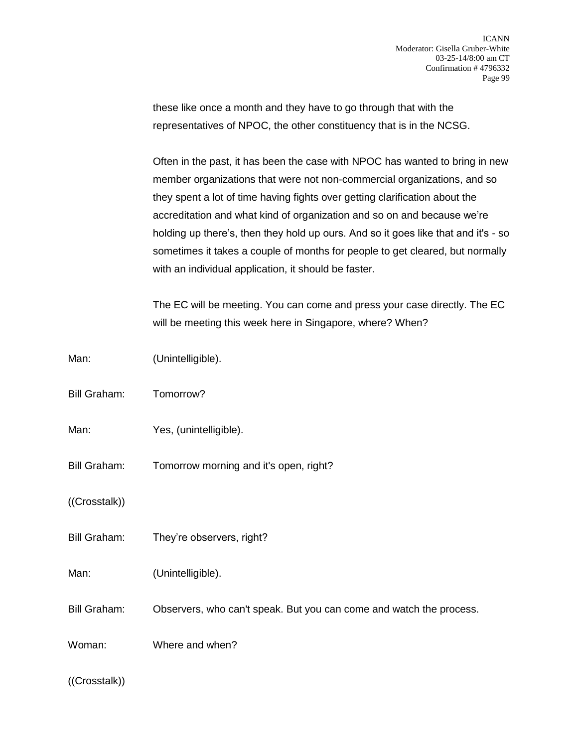these like once a month and they have to go through that with the representatives of NPOC, the other constituency that is in the NCSG.

Often in the past, it has been the case with NPOC has wanted to bring in new member organizations that were not non-commercial organizations, and so they spent a lot of time having fights over getting clarification about the accreditation and what kind of organization and so on and because we're holding up there's, then they hold up ours. And so it goes like that and it's - so sometimes it takes a couple of months for people to get cleared, but normally with an individual application, it should be faster.

The EC will be meeting. You can come and press your case directly. The EC will be meeting this week here in Singapore, where? When?

| Man:                | (Unintelligible).                                                   |
|---------------------|---------------------------------------------------------------------|
| <b>Bill Graham:</b> | Tomorrow?                                                           |
| Man:                | Yes, (unintelligible).                                              |
| Bill Graham:        | Tomorrow morning and it's open, right?                              |
| ((Crosstalk))       |                                                                     |
| Bill Graham:        | They're observers, right?                                           |
| Man:                | (Unintelligible).                                                   |
| Bill Graham:        | Observers, who can't speak. But you can come and watch the process. |
| Woman:              | Where and when?                                                     |
| ((Crosstalk))       |                                                                     |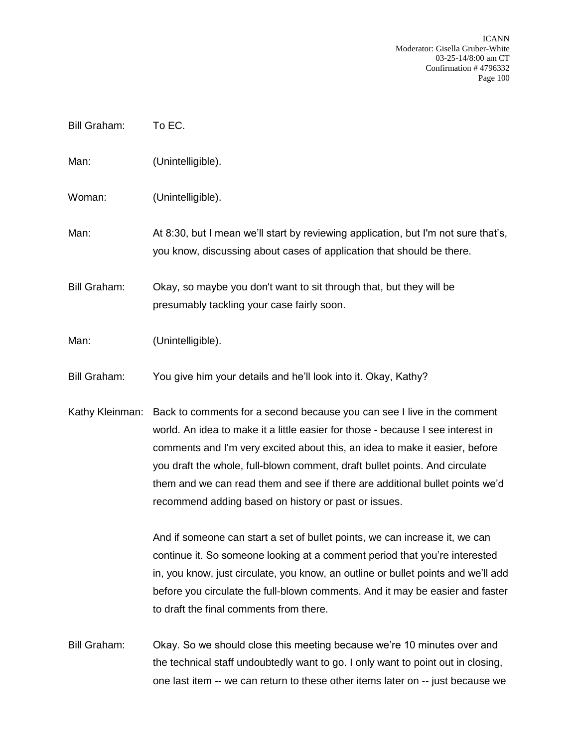| <b>Bill Graham:</b> | To EC.                                                                                                                                                                                                                                                                                                                                                                                                                                                           |
|---------------------|------------------------------------------------------------------------------------------------------------------------------------------------------------------------------------------------------------------------------------------------------------------------------------------------------------------------------------------------------------------------------------------------------------------------------------------------------------------|
| Man:                | (Unintelligible).                                                                                                                                                                                                                                                                                                                                                                                                                                                |
| Woman:              | (Unintelligible).                                                                                                                                                                                                                                                                                                                                                                                                                                                |
| Man:                | At 8:30, but I mean we'll start by reviewing application, but I'm not sure that's,<br>you know, discussing about cases of application that should be there.                                                                                                                                                                                                                                                                                                      |
| <b>Bill Graham:</b> | Okay, so maybe you don't want to sit through that, but they will be<br>presumably tackling your case fairly soon.                                                                                                                                                                                                                                                                                                                                                |
| Man:                | (Unintelligible).                                                                                                                                                                                                                                                                                                                                                                                                                                                |
| <b>Bill Graham:</b> | You give him your details and he'll look into it. Okay, Kathy?                                                                                                                                                                                                                                                                                                                                                                                                   |
| Kathy Kleinman:     | Back to comments for a second because you can see I live in the comment<br>world. An idea to make it a little easier for those - because I see interest in<br>comments and I'm very excited about this, an idea to make it easier, before<br>you draft the whole, full-blown comment, draft bullet points. And circulate<br>them and we can read them and see if there are additional bullet points we'd<br>recommend adding based on history or past or issues. |
|                     | And if someone can start a set of bullet points, we can increase it, we can<br>continue it. So someone looking at a comment period that you're interested<br>in, you know, just circulate, you know, an outline or bullet points and we'll add<br>before you circulate the full-blown comments. And it may be easier and faster<br>to draft the final comments from there.                                                                                       |
| <b>Bill Graham:</b> | Okay. So we should close this meeting because we're 10 minutes over and<br>the technical staff undoubtedly want to go. I only want to point out in closing,<br>one last item -- we can return to these other items later on -- just because we                                                                                                                                                                                                                   |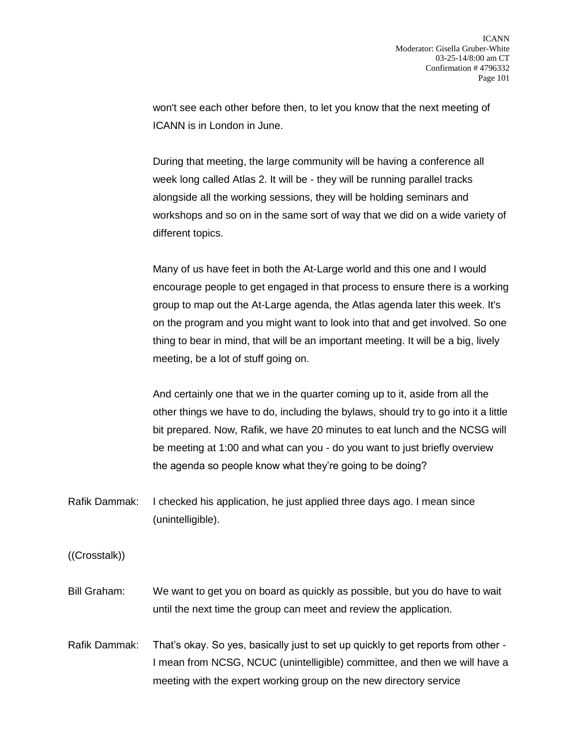won't see each other before then, to let you know that the next meeting of ICANN is in London in June.

During that meeting, the large community will be having a conference all week long called Atlas 2. It will be - they will be running parallel tracks alongside all the working sessions, they will be holding seminars and workshops and so on in the same sort of way that we did on a wide variety of different topics.

Many of us have feet in both the At-Large world and this one and I would encourage people to get engaged in that process to ensure there is a working group to map out the At-Large agenda, the Atlas agenda later this week. It's on the program and you might want to look into that and get involved. So one thing to bear in mind, that will be an important meeting. It will be a big, lively meeting, be a lot of stuff going on.

And certainly one that we in the quarter coming up to it, aside from all the other things we have to do, including the bylaws, should try to go into it a little bit prepared. Now, Rafik, we have 20 minutes to eat lunch and the NCSG will be meeting at 1:00 and what can you - do you want to just briefly overview the agenda so people know what they're going to be doing?

Rafik Dammak: I checked his application, he just applied three days ago. I mean since (unintelligible).

((Crosstalk))

- Bill Graham: We want to get you on board as quickly as possible, but you do have to wait until the next time the group can meet and review the application.
- Rafik Dammak: That's okay. So yes, basically just to set up quickly to get reports from other I mean from NCSG, NCUC (unintelligible) committee, and then we will have a meeting with the expert working group on the new directory service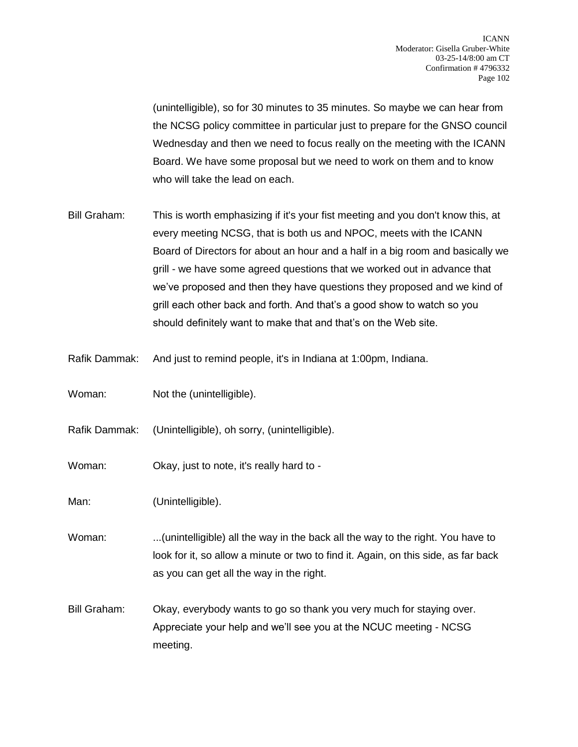(unintelligible), so for 30 minutes to 35 minutes. So maybe we can hear from the NCSG policy committee in particular just to prepare for the GNSO council Wednesday and then we need to focus really on the meeting with the ICANN Board. We have some proposal but we need to work on them and to know who will take the lead on each.

- Bill Graham: This is worth emphasizing if it's your fist meeting and you don't know this, at every meeting NCSG, that is both us and NPOC, meets with the ICANN Board of Directors for about an hour and a half in a big room and basically we grill - we have some agreed questions that we worked out in advance that we've proposed and then they have questions they proposed and we kind of grill each other back and forth. And that's a good show to watch so you should definitely want to make that and that's on the Web site.
- Rafik Dammak: And just to remind people, it's in Indiana at 1:00pm, Indiana.
- Woman: Not the (unintelligible).
- Rafik Dammak: (Unintelligible), oh sorry, (unintelligible).
- Woman: Okay, just to note, it's really hard to -
- Man: (Unintelligible).
- Woman: ...(unintelligible) all the way in the back all the way to the right. You have to look for it, so allow a minute or two to find it. Again, on this side, as far back as you can get all the way in the right.
- Bill Graham: Okay, everybody wants to go so thank you very much for staying over. Appreciate your help and we'll see you at the NCUC meeting - NCSG meeting.